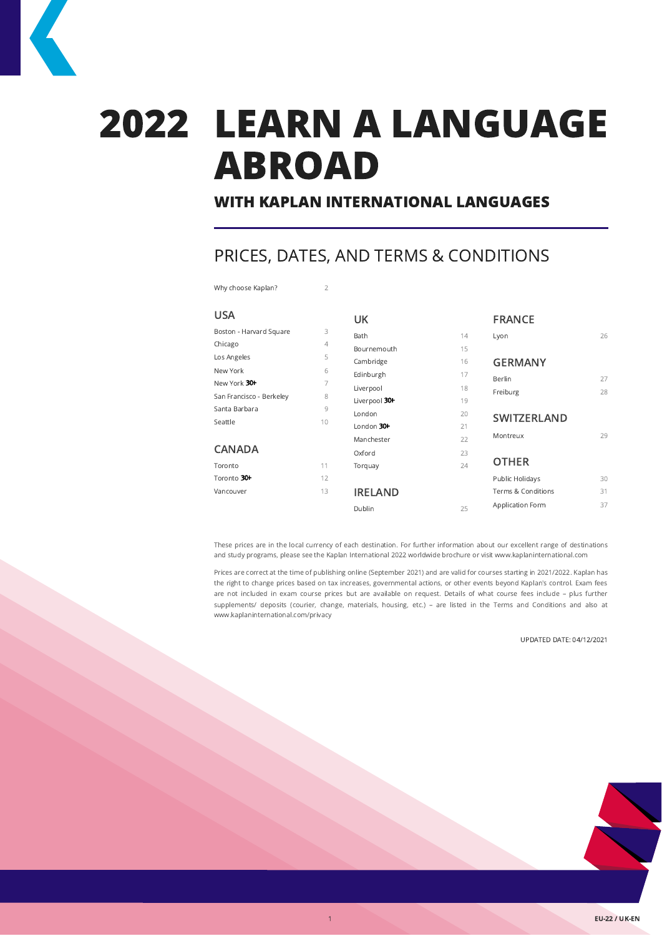# 2022 LEARN A LANGUAGE ABROAD

# WITH KAPLAN INTERNATIONAL LANGUAGES

# PRICES, DATES, AND TERMS & CONDITIONS

Why choose Kaplan? 2

| <b>USA</b>               |    | UK             |    | <b>FRANCE</b>      |    |
|--------------------------|----|----------------|----|--------------------|----|
| Boston - Harvard Square  | 3  | Bath           | 14 | Lyon               | 26 |
| Chicago                  | 4  | Bournemouth    | 15 |                    |    |
| Los Angeles              | 5  | Cambridge      | 16 | <b>GERMANY</b>     |    |
| New York                 | 6  | Edinburgh      | 17 |                    |    |
| New York 30+             | 7  |                |    | Berlin             | 27 |
| San Francisco - Berkeley | 8  | Liverpool      | 18 | Freiburg           | 28 |
|                          |    | Liverpool 30+  | 19 |                    |    |
| Santa Barbara            | 9  | London         | 20 | <b>SWITZERLAND</b> |    |
| Seattle                  | 10 | London $30+$   | 21 |                    |    |
|                          |    | Manchester     | 22 | Montreux           | 29 |
| <b>CANADA</b>            |    | Oxford         | 23 |                    |    |
| Toronto                  | 11 | Torquay        | 24 | <b>OTHER</b>       |    |
| Toronto 30+              | 12 |                |    | Public Holidays    | 30 |
| Vancouver                | 13 | <b>IRELAND</b> |    | Terms & Conditions | 31 |
|                          |    | Dublin         | 25 | Application Form   | 37 |

These prices are in the local currency of each destination. For further information about our excellent range of destinations and study programs, please see the Kaplan International 2022 worldwide brochure or visit www.kaplaninternational.com

Prices are correct at the time of publishing online (September 2021) and are valid for courses starting in 2021/2022. Kaplan has the right to change prices based on tax increases, governmental actions, or other events beyond Kaplan's control. Exam fees are not included in exam course prices but are available on request. Details of what course fees include – plus further supplements/ deposits (courier, change, materials, housing, etc.) – are listed in the Terms and Conditions and also at www.kaplaninternational.com/privacy

#### UPDATED DATE: 04/12/2021



**FU-22 / UK-FN**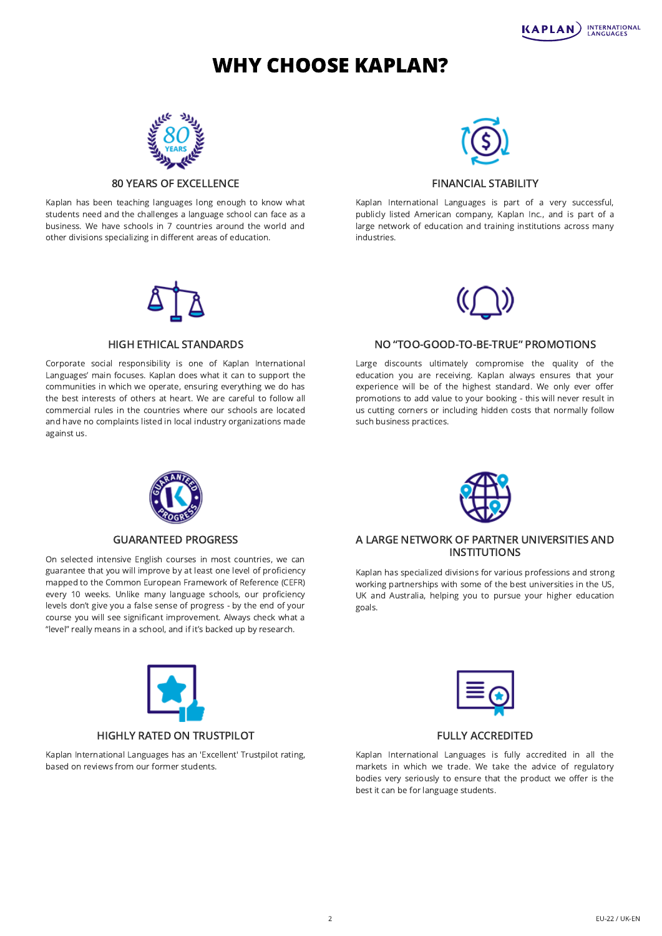# WHY CHOOSE KAPLAN?



## 80 YEARS OF EXCELLENCE

Kaplan has been teaching languages long enough to know what students need and the challenges a language school can face as a business. We have schools in 7 countries around the world and other divisions specializing in different areas of education.

# FINANCIAL STABILITY

Kaplan International Languages is part of a very successful, publicly listed American company, Kaplan Inc., and is part of a large network of education and training institutions across many industries.

#### HIGH ETHICAL STANDARDS

Corporate social responsibility is one of Kaplan International Languages' main focuses. Kaplan does what it can to support the communities in which we operate, ensuring everything we do has the best interests of others at heart. We are careful to follow all commercial rules in the countries where our schools are located and have no complaints listed in local industry organizations made against us.

## NO "TOO-GOOD-TO-BE-TRUE" PROMOTIONS

Large discounts ultimately compromise the quality of the education you are receiving. Kaplan always ensures that your experience will be of the highest standard. We only ever offer promotions to add value to your booking - this will never result in us cutting corners or including hidden costs that normally follow such business practices.

# GUARANTEED PROGRESS

On selected intensive English courses in most countries, we can guarantee that you will improve by at least one level of proficiency mapped to the Common European Framework of Reference (CEFR) every 10 weeks. Unlike many language schools, our proficiency levels don't give you a false sense of progress - by the end of your course you will see significant improvement. Always check what a "level" really means in a school, and if it's backed up by research.



# HIGHLY RATED ON TRUSTPILOT

Kaplan International Languages has an 'Excellent' Trustpilot rating, based on reviews from our former students.



Kaplan has specialized divisions for various professions and strong working partnerships with some of the best universities in the US, UK and Australia, helping you to pursue your higher education goals.

### FULLY ACCREDITED

Kaplan International Languages is fully accredited in all the markets in which we trade. We take the advice of regulatory bodies very seriously to ensure that the product we offer is the best it can be for language students.











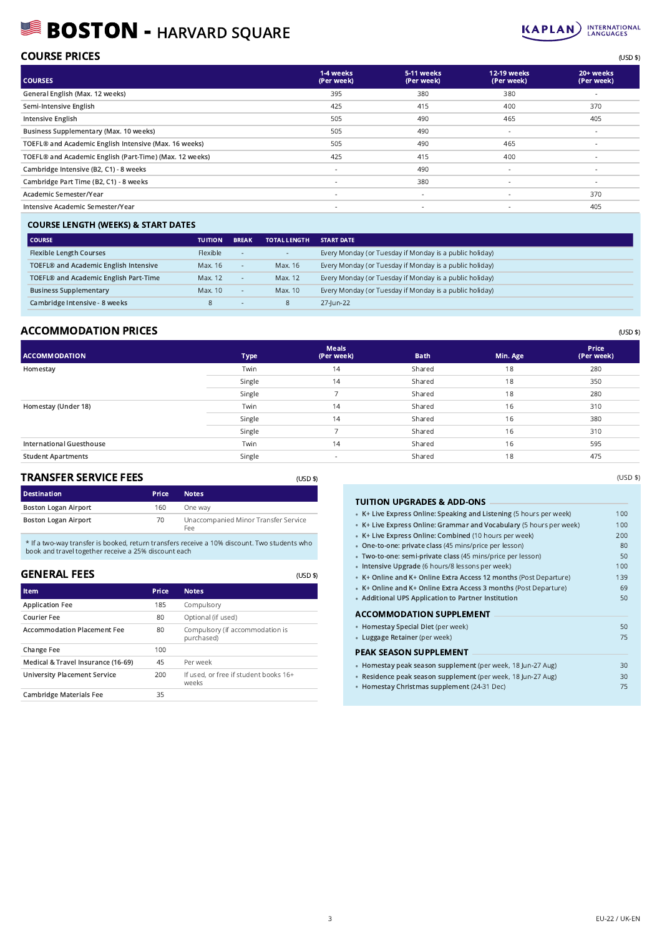# BOSTON - HARVARD SQUARE



# COURSE PRICES (USD \$)

| <b>COURSES</b>                                          | 1-4 weeks<br>(Per week)  | 5-11 weeks<br>(Per week) | 12-19 weeks<br>(Per week) | 20+ weeks<br>(Per week) |
|---------------------------------------------------------|--------------------------|--------------------------|---------------------------|-------------------------|
| General English (Max. 12 weeks)                         | 395                      | 380                      | 380                       | $\sim$                  |
| Semi-Intensive English                                  | 425                      | 415                      | 400                       | 370                     |
| Intensive English                                       | 505                      | 490                      | 465                       | 405                     |
| Business Supplementary (Max. 10 weeks)                  | 505                      | 490                      | $\overline{\phantom{a}}$  | ٠                       |
| TOEFL® and Academic English Intensive (Max. 16 weeks)   | 505                      | 490                      | 465                       | ٠                       |
| TOEFL® and Academic English (Part-Time) (Max. 12 weeks) | 425                      | 415                      | 400                       | ÷.                      |
| Cambridge Intensive (B2, C1) - 8 weeks                  | $\overline{\phantom{a}}$ | 490                      | $\sim$                    | $\sim$                  |
| Cambridge Part Time (B2, C1) - 8 weeks                  | $\overline{\phantom{a}}$ | 380                      | $\overline{\phantom{a}}$  | $\sim$                  |
| Academic Semester/Year                                  | $\overline{\phantom{a}}$ | $\sim$                   | $\overline{\phantom{a}}$  | 370                     |
| Intensive Academic Semester/Year                        | $\sim$                   | $\sim$                   | $\overline{\phantom{a}}$  | 405                     |
|                                                         |                          |                          |                           |                         |

## COURSE LENGTH (WEEKS) & START DATES

| <b>COURSE</b>                                     | <b>TUITION</b> | <b>BREAK</b>             | <b>TOTAL LENGTH</b>      | <b>START DATE</b>                                       |
|---------------------------------------------------|----------------|--------------------------|--------------------------|---------------------------------------------------------|
| <b>Flexible Length Courses</b>                    | Flexible       | $\overline{\phantom{a}}$ | $\overline{\phantom{a}}$ | Every Monday (or Tuesday if Monday is a public holiday) |
| TOEFL® and Academic English Intensive             | Max. 16        | ۰.                       | Max. 16                  | Every Monday (or Tuesday if Monday is a public holiday) |
| TOEFL <sup>®</sup> and Academic English Part-Time | Max. 12        | ۰.                       | Max. 12                  | Every Monday (or Tuesday if Monday is a public holiday) |
| <b>Business Supplementary</b>                     | Max. 10        | ۰.                       | Max. 10                  | Every Monday (or Tuesday if Monday is a public holiday) |
| Cambridge Intensive - 8 weeks                     | 8              | . .                      | 8                        | 27-lun-22                                               |

## ACCOMMODATION PRICES (USD \$)

| <b>Type</b> | <b>Meals</b><br>(Per week) | <b>Bath</b> | Min. Age | <b>Price</b><br>(Per week) |
|-------------|----------------------------|-------------|----------|----------------------------|
| Twin        | 14                         | Shared      | 18       | 280                        |
| Single      | 14                         | Shared      | 18       | 350                        |
| Single      |                            | Shared      | 18       | 280                        |
| Twin        | 14                         | Shared      | 16       | 310                        |
| Single      | 14                         | Shared      | 16       | 380                        |
| Single      | –                          | Shared      | 16       | 310                        |
| Twin        | 14                         | Shared      | 16       | 595                        |
| Single      | $\overline{\phantom{a}}$   | Shared      | 18       | 475                        |
|             |                            |             |          |                            |

(USD \$)

(USD \$)

#### TRANSFER SERVICE FEES

| <b>Destination</b>          | <b>Price</b> | <b>Notes</b>                                |
|-----------------------------|--------------|---------------------------------------------|
| <b>Boston Logan Airport</b> | 160          | One way                                     |
| <b>Boston Logan Airport</b> | 70.          | Unaccompanied Minor Transfer Service<br>Fee |

\* If a two-way transfer is booked, return transfers receive a 10% discount. Two students who book and travel together receive a 25% discount each

### GENERAL FEES

| Item                                | Price | <b>Notes</b>                                   |
|-------------------------------------|-------|------------------------------------------------|
| <b>Application Fee</b>              | 185   | Compulsory                                     |
| Courier Fee                         | 80    | Optional (if used)                             |
| <b>Accommodation Placement Fee</b>  | 80    | Compulsory (if accommodation is<br>purchased)  |
| <b>Change Fee</b>                   | 100   |                                                |
| Medical & Travel Insurance (16-69)  | 45    | Per week                                       |
| <b>University Placement Service</b> | 200   | If used, or free if student books 16+<br>weeks |
| <b>Cambridge Materials Fee</b>      | 35    |                                                |

# TUITION UPGRADES & ADD-ONS •

| TUTTUN UFGRADES & ADD-UNS                                           |     |
|---------------------------------------------------------------------|-----|
| • K+ Live Express Online: Speaking and Listening (5 hours per week) | 100 |
| • K+ Live Express Online: Grammar and Vocabulary (5 hours per week) | 100 |
| • K+ Live Express Online: Combined (10 hours per week)              | 200 |
| • One-to-one: private class (45 mins/price per lesson)              | 80  |
| · Two-to-one: semi-private class (45 mins/price per lesson)         | 50  |
| · Intensive Upgrade (6 hours/8 lessons per week)                    | 100 |
| • K+ Online and K+ Online Extra Access 12 months (Post Departure)   | 139 |
| • K+ Online and K+ Online Extra Access 3 months (Post Departure)    | 69  |
| • Additional UPS Application to Partner Institution                 | 50  |
| <b>ACCOMMODATION SUPPLEMENT</b>                                     |     |
| • Homestay Special Diet (per week)                                  | 50  |
| • Luggage Retainer (per week)                                       | 75  |
| PEAK SEASON SUPPLEMENT                                              |     |
| · Homestay peak season supplement (per week, 18 Jun-27 Aug)         | 30  |
| · Residence peak season supplement (per week, 18 Jun-27 Aug)        | 30  |
| • Homestay Christmas supplement (24-31 Dec)                         | 75  |
|                                                                     |     |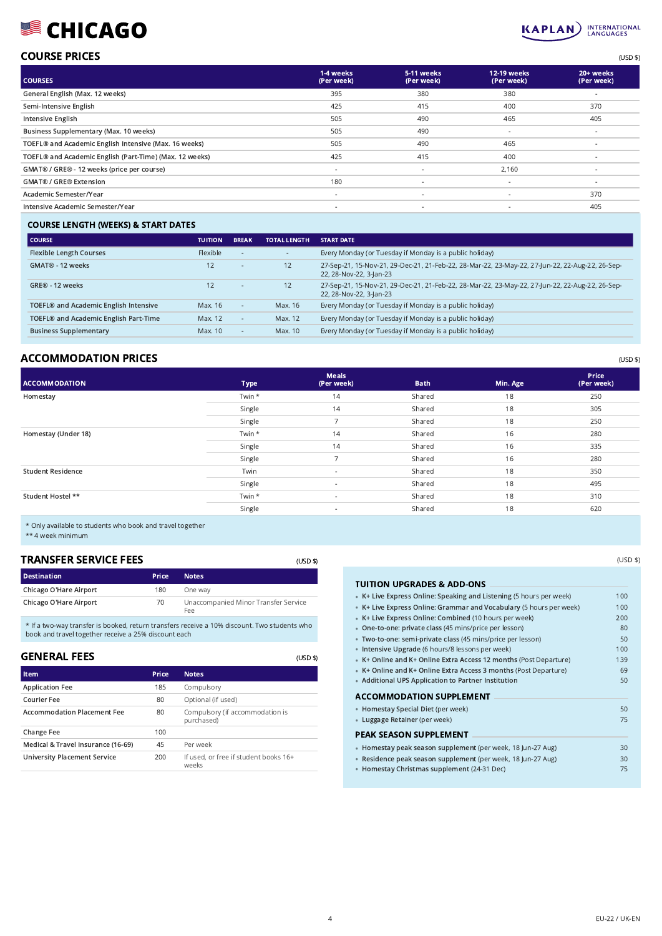# **SCHICAGO**



# COURSE PRICES (USD \$)

| <b>COURSES</b>                                          | 1-4 weeks<br>(Per week)  | 5-11 weeks<br>(Per week) | <b>12-19 weeks</b><br>(Per week) | 20+ weeks<br>(Per week)  |
|---------------------------------------------------------|--------------------------|--------------------------|----------------------------------|--------------------------|
| General English (Max. 12 weeks)                         | 395                      | 380                      | 380                              |                          |
| Semi-Intensive English                                  | 425                      | 415                      | 400                              | 370                      |
| Intensive English                                       | 505                      | 490                      | 465                              | 405                      |
| Business Supplementary (Max. 10 weeks)                  | 505                      | 490                      | $\sim$                           | $\sim$                   |
| TOEFL® and Academic English Intensive (Max. 16 weeks)   | 505                      | 490                      | 465                              | $\sim$                   |
| TOEFL® and Academic English (Part-Time) (Max. 12 weeks) | 425                      | 415                      | 400                              | $\sim$                   |
| GMAT® / GRE® - 12 weeks (price per course)              | $\overline{\phantom{a}}$ | $\overline{\phantom{a}}$ | 2,160                            | $\sim$                   |
| <b>GMAT® / GRE® Extension</b>                           | 180                      | $\sim$                   | $\overline{\phantom{a}}$         | $\overline{\phantom{a}}$ |
| Academic Semester/Year                                  | $\overline{\phantom{a}}$ | $\overline{\phantom{a}}$ | ۰                                | 370                      |
| Intensive Academic Semester/Year                        | $\overline{\phantom{a}}$ | $\sim$                   | ٠                                | 405                      |
|                                                         |                          |                          |                                  |                          |

## COURSE LENGTH (WEEKS) & START DATES

| l course                                          | <b>TUITION</b> | <b>BREAK</b> | <b>TOTAL LENGTH</b> | <b>START DATE</b>                                                                                                          |
|---------------------------------------------------|----------------|--------------|---------------------|----------------------------------------------------------------------------------------------------------------------------|
| <b>Flexible Length Courses</b>                    | Flexible       | $\sim$       | $\sim$              | Every Monday (or Tuesday if Monday is a public holiday)                                                                    |
| GMAT® - 12 weeks                                  | 12             | $\sim$       | 12                  | 27-Sep-21, 15-Nov-21, 29-Dec-21, 21-Feb-22, 28-Mar-22, 23-May-22, 27-Jun-22, 22-Aug-22, 26-Sep-<br>22, 28-Nov-22, 3-Jan-23 |
| GRF® - 12 weeks                                   | 12             |              | 12                  | 27-Sep-21, 15-Nov-21, 29-Dec-21, 21-Feb-22, 28-Mar-22, 23-May-22, 27-Jun-22, 22-Aug-22, 26-Sep-<br>22, 28-Nov-22, 3-Jan-23 |
| TOEFL® and Academic English Intensive             | Max. 16        | $\sim$       | Max. 16             | Every Monday (or Tuesday if Monday is a public holiday)                                                                    |
| TOEFL <sup>®</sup> and Academic English Part-Time | Max. 12        | $\sim$       | Max. 12             | Every Monday (or Tuesday if Monday is a public holiday)                                                                    |
| <b>Business Supplementary</b>                     | Max. 10        |              | Max. 10             | Every Monday (or Tuesday if Monday is a public holiday)                                                                    |

# ACCOMMODATION PRICES (USD \$)

| <b>ACCOMMODATION</b>     | <b>Type</b> | <b>Meals</b><br>(Per week) | <b>Bath</b> | Min. Age | Price<br>(Per week) |
|--------------------------|-------------|----------------------------|-------------|----------|---------------------|
| Homestay                 | Twin *      | 14                         | Shared      | 18       | 250                 |
|                          | Single      | 14                         | Shared      | 18       | 305                 |
|                          | Single      | $\overline{\phantom{a}}$   | Shared      | 18       | 250                 |
| Homestay (Under 18)      | Twin *      | 14                         | Shared      | 16       | 280                 |
|                          | Single      | 14                         | Shared      | 16       | 335                 |
|                          | Single      |                            | Shared      | 16       | 280                 |
| <b>Student Residence</b> | Twin        | $\sim$                     | Shared      | 18       | 350                 |
|                          | Single      | $\sim$                     | Shared      | 18       | 495                 |
| Student Hostel **        | Twin *      | $\sim$                     | Shared      | 18       | 310                 |
|                          | Single      | $\sim$                     | Shared      | 18       | 620                 |

(USD \$)

(USD \$)

\* Only available to students who book and travel together

\*\* 4 week minimum

# TRANSFER SERVICE FEES

| <b>Destination</b>     | <b>Price</b> | <b>Notes</b>                                |
|------------------------|--------------|---------------------------------------------|
| Chicago O'Hare Airport | 180          | One way                                     |
| Chicago O'Hare Airport | 70           | Unaccompanied Minor Transfer Service<br>Fee |

\* If a two-way transfer is booked, return transfers receive a 10% discount. Two students who book and travel together receive a 25% discount each

### GENERAL FEES

| Item                                | Price | <b>Notes</b>                                   |
|-------------------------------------|-------|------------------------------------------------|
| <b>Application Fee</b>              | 185   | Compulsory                                     |
| Courier Fee                         | 80    | Optional (if used)                             |
| <b>Accommodation Placement Fee</b>  | 80    | Compulsory (if accommodation is<br>purchased)  |
| Change Fee                          | 100   |                                                |
| Medical & Travel Insurance (16-69)  | 45    | Per week                                       |
| <b>University Placement Service</b> | 200   | If used, or free if student books 16+<br>weeks |

| TUITION UPGRADES & ADD-ONS                                          |     |
|---------------------------------------------------------------------|-----|
| • K+ Live Express Online: Speaking and Listening (5 hours per week) | 100 |
| • K+ Live Express Online: Grammar and Vocabulary (5 hours per week) | 100 |
| • K+ Live Express Online: Combined (10 hours per week)              | 200 |
| • One-to-one: private class (45 mins/price per lesson)              | 80  |
| · Two-to-one: semi-private class (45 mins/price per lesson)         | 50  |
| Intensive Upgrade (6 hours/8 lessons per week)<br>۰                 | 100 |
| • K+ Online and K+ Online Extra Access 12 months (Post Departure)   | 139 |
| • K+ Online and K+ Online Extra Access 3 months (Post Departure)    | 69  |
| • Additional UPS Application to Partner Institution                 | 50  |
| <b>ACCOMMODATION SUPPLEMENT</b>                                     |     |
| • Homestay Special Diet (per week)                                  | 50  |
| • Luggage Retainer (per week)                                       | 75  |
| PEAK SEASON SUPPLEMENT                                              |     |
| · Homestay peak season supplement (per week, 18 Jun-27 Aug)         | 30  |
| • Residence peak season supplement (per week, 18 Jun-27 Aug)        | 30  |
| • Homestay Christmas supplement (24-31 Dec)                         | 75  |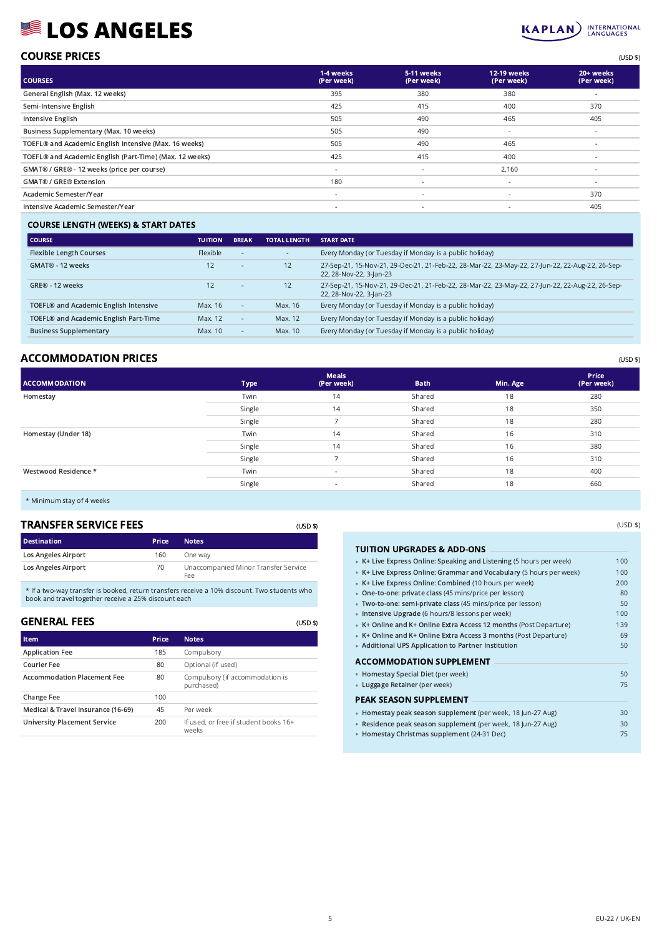# **SEALOS ANGELES**



### COURSE PRICES (USD \$)

| <b>COURSES</b>                                          | 1-4 weeks<br>(Per week)  | 5-11 weeks<br>(Per week) | 12-19 weeks<br>(Per week) | 20+ weeks<br>(Per week) |
|---------------------------------------------------------|--------------------------|--------------------------|---------------------------|-------------------------|
| General English (Max. 12 weeks)                         | 395                      | 380                      | 380                       |                         |
| Semi-Intensive English                                  | 425                      | 415                      | 400                       | 370                     |
| Intensive English                                       | 505                      | 490                      | 465                       | 405                     |
| Business Supplementary (Max. 10 weeks)                  | 505                      | 490                      | $\sim$                    | $\sim$                  |
| TOEFL® and Academic English Intensive (Max. 16 weeks)   | 505                      | 490                      | 465                       | $\sim$                  |
| TOEFL® and Academic English (Part-Time) (Max. 12 weeks) | 425                      | 415                      | 400                       | <b>.</b>                |
| GMAT® / GRE® - 12 weeks (price per course)              | $\overline{\phantom{a}}$ | $\overline{\phantom{a}}$ | 2,160                     | ٠                       |
| <b>GMAT® / GRE® Extension</b>                           | 180                      | $\overline{\phantom{a}}$ | $\sim$                    | $\sim$                  |
| Academic Semester/Year                                  | $\overline{\phantom{a}}$ | $\overline{\phantom{a}}$ |                           | 370                     |
| Intensive Academic Semester/Year                        | $\sim$                   | $\sim$                   | $\sim$                    | 405                     |
|                                                         |                          |                          |                           |                         |

## COURSE LENGTH (WEEKS) & START DATES

| l COURSE                                          | <b>TUITION</b> | <b>BREAK</b> | <b>TOTAL LENGTH</b> | <b>START DATE</b>                                                                                                          |
|---------------------------------------------------|----------------|--------------|---------------------|----------------------------------------------------------------------------------------------------------------------------|
| <b>Flexible Length Courses</b>                    | Flexible       |              | $\sim$              | Every Monday (or Tuesday if Monday is a public holiday)                                                                    |
| GMAT® - 12 weeks                                  | 12             |              | 12                  | 27-Sep-21, 15-Nov-21, 29-Dec-21, 21-Feb-22, 28-Mar-22, 23-May-22, 27-Jun-22, 22-Aug-22, 26-Sep-<br>22, 28-Nov-22, 3-Jan-23 |
| GRE® - 12 weeks                                   | 12             |              | 12                  | 27-Sep-21, 15-Nov-21, 29-Dec-21, 21-Feb-22, 28-Mar-22, 23-May-22, 27-Jun-22, 22-Aug-22, 26-Sep-<br>22, 28-Nov-22, 3-Jan-23 |
| TOEFL® and Academic English Intensive             | Max. 16        | $\sim$       | Max. 16             | Every Monday (or Tuesday if Monday is a public holiday)                                                                    |
| TOEFL <sup>®</sup> and Academic English Part-Time | Max. 12        |              | Max. 12             | Every Monday (or Tuesday if Monday is a public holiday)                                                                    |
| <b>Business Supplementary</b>                     | Max. 10        | $\sim$       | Max. 10             | Every Monday (or Tuesday if Monday is a public holiday)                                                                    |

# ACCOMMODATION PRICES (USD \$)

| <b>ACCOMMODATION</b> | <b>Type</b> | <b>Meals</b><br>(Per week) | <b>Bath</b> | Min. Age | Price<br>(Per week) |
|----------------------|-------------|----------------------------|-------------|----------|---------------------|
| Homestay             | Twin        | 14                         | Shared      | 18       | 280                 |
|                      | Single      | 14                         | Shared      | 18       | 350                 |
|                      | Single      |                            | Shared      | 18       | 280                 |
| Homestay (Under 18)  | Twin        | 14                         | Shared      | 16       | 310                 |
|                      | Single      | 14                         | Shared      | 16       | 380                 |
|                      | Single      |                            | Shared      | 16       | 310                 |
| Westwood Residence * | Twin        | $\overline{\phantom{a}}$   | Shared      | 18       | 400                 |
|                      | Single      | $\sim$                     | Shared      | 18       | 660                 |
|                      |             |                            |             |          |                     |

\* Minimum stay of 4 weeks

## TRANSFER SERVICE FEES

| <b>TRANSFER SERVICE FEES</b> | (USD \$)     |                                             |
|------------------------------|--------------|---------------------------------------------|
| <b>Destination</b>           | <b>Price</b> | <b>Notes</b>                                |
| Los Angeles Airport          | 160          | One way                                     |
| <b>Los Angeles Airport</b>   | 70           | Unaccompanied Minor Transfer Service<br>Fee |

\* If a two-way transfer is booked, return transfers receive a 10% discount. Two students who book and travel together receive a 25% discount each

| GENERAL FEES                        |       |                                                | (USD |
|-------------------------------------|-------|------------------------------------------------|------|
| <b>Item</b>                         | Price | <b>Notes</b>                                   |      |
| <b>Application Fee</b>              | 185   | Compulsory                                     |      |
| Courier Fee                         | 80    | Optional (if used)                             |      |
| <b>Accommodation Placement Fee</b>  | 80    | Compulsory (if accommodation is<br>purchased)  |      |
| Change Fee                          | 100   |                                                |      |
| Medical & Travel Insurance (16-69)  | 45    | Per week                                       |      |
| <b>University Placement Service</b> | 200   | If used, or free if student books 16+<br>weeks |      |

| TUITION UPGRADES & ADD-ONS                                          |     |
|---------------------------------------------------------------------|-----|
| • K+ Live Express Online: Speaking and Listening (5 hours per week) | 100 |
| • K+ Live Express Online: Grammar and Vocabulary (5 hours per week) | 100 |
| • K+ Live Express Online: Combined (10 hours per week)              | 200 |
| • One-to-one: private class (45 mins/price per lesson)              | 80  |
| · Two-to-one: semi-private class (45 mins/price per lesson)         | 50  |
| • Intensive Upgrade (6 hours/8 lessons per week)                    | 100 |
| • K+ Online and K+ Online Extra Access 12 months (Post Departure)   | 139 |
| • K+ Online and K+ Online Extra Access 3 months (Post Departure)    | 69  |
| • Additional UPS Application to Partner Institution                 | 50  |
| <b>ACCOMMODATION SUPPLEMENT</b>                                     |     |
| • Homestay Special Diet (per week)                                  | 50  |
| • Luggage Retainer (per week)                                       | 75  |
| <b>PEAK SEASON SUPPLEMENT</b>                                       |     |
| • Homestay peak season supplement (per week, 18 Jun-27 Aug)         | 30  |
| · Residence peak season supplement (per week, 18 Jun-27 Aug)        | 30  |
| • Homestay Christmas supplement (24-31 Dec)                         | 75  |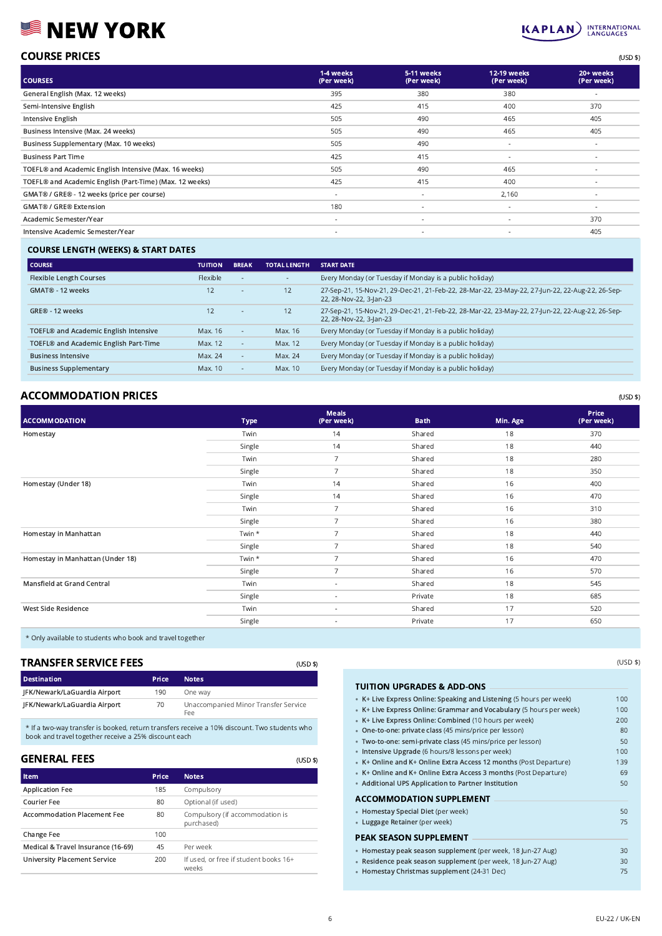# **SEW YORK**



| <b>COURSE PRICES</b> | (USD \$) |
|----------------------|----------|
|                      |          |

| <b>COURSES</b>                                          | 1-4 weeks<br>(Per week) | 5-11 weeks<br>(Per week) | 12-19 weeks<br>(Per week) | 20+ weeks<br>(Per week) |
|---------------------------------------------------------|-------------------------|--------------------------|---------------------------|-------------------------|
| General English (Max. 12 weeks)                         | 395                     | 380                      | 380                       | $\sim$                  |
| Semi-Intensive English                                  | 425                     | 415                      | 400                       | 370                     |
| Intensive English                                       | 505                     | 490                      | 465                       | 405                     |
| Business Intensive (Max. 24 weeks)                      | 505                     | 490                      | 465                       | 405                     |
| Business Supplementary (Max. 10 weeks)                  | 505                     | 490                      | $\sim$                    | $\sim$                  |
| <b>Business Part Time</b>                               | 425                     | 415                      | $\overline{\phantom{a}}$  | $\sim$                  |
| TOEFL® and Academic English Intensive (Max. 16 weeks)   | 505                     | 490                      | 465                       | $\sim$                  |
| TOEFL® and Academic English (Part-Time) (Max. 12 weeks) | 425                     | 415                      | 400                       | $\sim$                  |
| GMAT® / GRE® - 12 weeks (price per course)              | $\sim$                  | $\overline{\phantom{a}}$ | 2,160                     | $\sim$                  |
| <b>GMAT® / GRE® Extension</b>                           | 180                     | $\overline{\phantom{a}}$ | $\overline{\phantom{a}}$  | $\sim$                  |
| Academic Semester/Year                                  | $\sim$                  | $\overline{\phantom{a}}$ | $\sim$                    | 370                     |
| Intensive Academic Semester/Year                        | $\sim$                  | $\sim$                   | $\sim$                    | 405                     |
|                                                         |                         |                          |                           |                         |

#### COURSE LENGTH (WEEKS) & START DATES

| l COURSE                                          | <b>TUITION</b> | <b>BREAK</b>             | <b>TOTAL LENGTH</b> | <b>START DATE</b>                                                                                                          |
|---------------------------------------------------|----------------|--------------------------|---------------------|----------------------------------------------------------------------------------------------------------------------------|
| <b>Flexible Length Courses</b>                    | Flexible       | $\sim$                   | $\sim$              | Every Monday (or Tuesday if Monday is a public holiday)                                                                    |
| GMAT® - 12 weeks                                  | 12             | $\overline{\phantom{a}}$ | 12                  | 27-Sep-21, 15-Nov-21, 29-Dec-21, 21-Feb-22, 28-Mar-22, 23-May-22, 27-Jun-22, 22-Aug-22, 26-Sep-<br>22, 28-Nov-22, 3-lan-23 |
| GRE® - 12 weeks                                   | 12             | $\overline{\phantom{a}}$ | 12                  | 27-Sep-21, 15-Nov-21, 29-Dec-21, 21-Feb-22, 28-Mar-22, 23-May-22, 27-Jun-22, 22-Aug-22, 26-Sep-<br>22, 28-Nov-22, 3-lan-23 |
| TOEFL® and Academic English Intensive             | Max. 16        | $\sim$                   | Max. 16             | Every Monday (or Tuesday if Monday is a public holiday)                                                                    |
| TOEFL <sup>®</sup> and Academic English Part-Time | Max. 12        | $\sim$                   | Max. 12             | Every Monday (or Tuesday if Monday is a public holiday)                                                                    |
| <b>Business Intensive</b>                         | Max. 24        | $\sim$                   | Max. 24             | Every Monday (or Tuesday if Monday is a public holiday)                                                                    |
| <b>Business Supplementary</b>                     | Max. 10        | $\sim$                   | Max. 10             | Every Monday (or Tuesday if Monday is a public holiday)                                                                    |

# $\mathsf{ACCOMMODATION\bigcap}$  PRICES  $\begin{array}{c}\n\text{(USD 3)}\n\end{array}$

| <b>ACCOMMODATION</b>             | <b>Type</b> | <b>Meals</b><br>(Per week) | <b>Bath</b> | Min. Age | Price<br>(Per week) |
|----------------------------------|-------------|----------------------------|-------------|----------|---------------------|
| Homestay                         | Twin        | 14                         | Shared      | 18       | 370                 |
|                                  | Single      | 14                         | Shared      | 18       | 440                 |
|                                  | Twin        | $\overline{7}$             | Shared      | 18       | 280                 |
|                                  | Single      | $\overline{7}$             | Shared      | 18       | 350                 |
| Homestay (Under 18)              | Twin        | 14                         | Shared      | 16       | 400                 |
|                                  | Single      | 14                         | Shared      | 16       | 470                 |
|                                  | Twin        | 7                          | Shared      | 16       | 310                 |
|                                  | Single      | $\overline{7}$             | Shared      | 16       | 380                 |
| Homestay in Manhattan            | Twin *      | $\overline{7}$             | Shared      | 18       | 440                 |
|                                  | Single      | $\overline{7}$             | Shared      | 18       | 540                 |
| Homestay in Manhattan (Under 18) | Twin *      | $\overline{7}$             | Shared      | 16       | 470                 |
|                                  | Single      | $\overline{7}$             | Shared      | 16       | 570                 |
| Mansfield at Grand Central       | Twin        | $\sim$                     | Shared      | 18       | 545                 |
|                                  | Single      | $\sim$                     | Private     | 18       | 685                 |
| West Side Residence              | Twin        | $\sim$                     | Shared      | 17       | 520                 |
|                                  | Single      | $\sim$                     | Private     | 17       | 650                 |
|                                  |             |                            |             |          |                     |

\* Only available to students who book and travel together

## TRANSFER SERVICE FEES

| <b>TRANSFER SERVICE FEES</b> | (USD \$)     |                                             |
|------------------------------|--------------|---------------------------------------------|
| <b>Destination</b>           | <b>Price</b> | <b>Notes</b>                                |
| JFK/Newark/LaGuardia Airport | 190          | One way                                     |
| JFK/Newark/LaGuardia Airport | 70           | Unaccompanied Minor Transfer Service<br>Fee |

\* If a two-way transfer is booked, return transfers receive a 10% discount. Two students who book and travel together receive a 25% discount each

### GENERAL FEES

| <b>GENERAL FEES</b>                |              | (USD                                           |
|------------------------------------|--------------|------------------------------------------------|
| <b>Item</b>                        | <b>Price</b> | <b>Notes</b>                                   |
| <b>Application Fee</b>             | 185          | Compulsory                                     |
| Courier Fee                        | 80           | Optional (if used)                             |
| <b>Accommodation Placement Fee</b> | 80           | Compulsory (if accommodation is<br>purchased)  |
| Change Fee                         | 100          |                                                |
| Medical & Travel Insurance (16-69) | 45           | Per week                                       |
| University Placement Service       | 200          | If used, or free if student books 16+<br>weeks |

(USD \$)

| TUITION UPGRADES & ADD-ONS                                          |     |
|---------------------------------------------------------------------|-----|
| • K+ Live Express Online: Speaking and Listening (5 hours per week) | 100 |
| • K+ Live Express Online: Grammar and Vocabulary (5 hours per week) | 100 |
| • K+ Live Express Online: Combined (10 hours per week)              | 200 |
| · One-to-one: private class (45 mins/price per lesson)              | 80  |
| · Two-to-one: semi-private class (45 mins/price per lesson)         | 50  |
| · Intensive Upgrade (6 hours/8 lessons per week)                    | 100 |
| • K+ Online and K+ Online Extra Access 12 months (Post Departure)   | 139 |
| • K+ Online and K+ Online Extra Access 3 months (Post Departure)    | 69  |
| • Additional UPS Application to Partner Institution                 | 50  |
| <b>ACCOMMODATION SUPPLEMENT</b>                                     |     |
| • Homestay Special Diet (per week)                                  | 50  |
| • Luggage Retainer (per week)                                       | 75  |
| PEAK SEASON SUPPLEMENT                                              |     |
| · Homestay peak season supplement (per week, 18 Jun-27 Aug)         | 30  |

• Residence peak season supplement (per week, 18 Jun-27 Aug) 30 • Homestay Christmas supplement (24-31 Dec) 75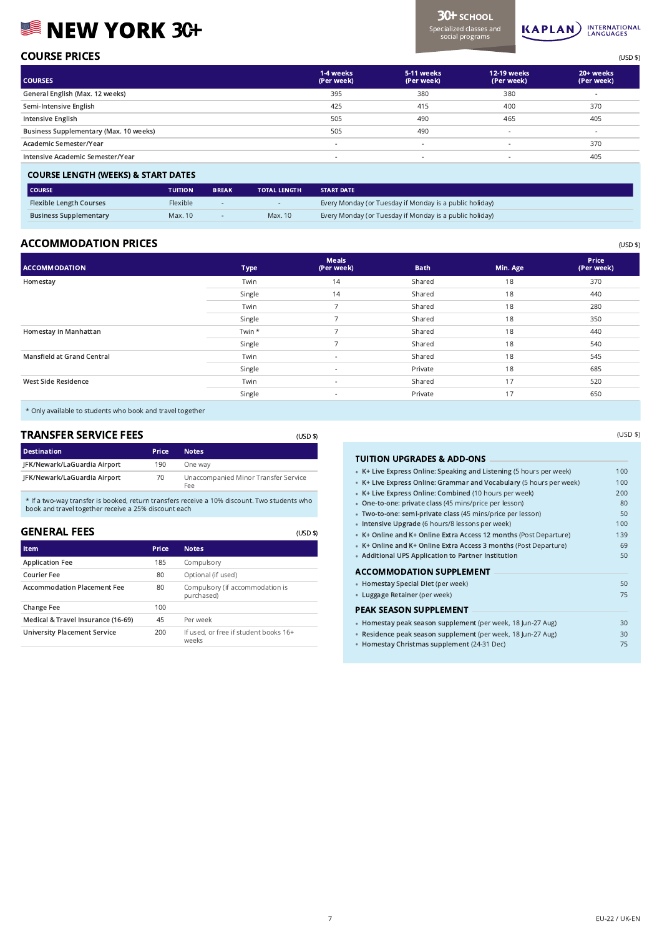# **SINEW YORK 3G+**

Specialized classes and social programs

3CH SCHOOL



| <b>COURSE PRICES</b> | $I$ $C \cap A'$ |
|----------------------|-----------------|
|                      |                 |

| <b>COURSES</b>                         | 1-4 weeks<br>(Per week)  | 5-11 weeks<br>(Per week) | 12-19 weeks<br>(Per week) | 20+ weeks<br>(Per week) |
|----------------------------------------|--------------------------|--------------------------|---------------------------|-------------------------|
| General English (Max. 12 weeks)        | 395                      | 380                      | 380                       |                         |
| Semi-Intensive English                 | 425                      | 415                      | 400                       | 370                     |
| Intensive English                      | 505                      | 490                      | 465                       | 405                     |
| Business Supplementary (Max. 10 weeks) | 505                      | 490                      | $\overline{\phantom{a}}$  | $\sim$                  |
| Academic Semester/Year                 | $\overline{\phantom{a}}$ | $\sim$                   | $\overline{\phantom{a}}$  | 370                     |
| Intensive Academic Semester/Year       | $\overline{\phantom{a}}$ | $\sim$                   | $\overline{\phantom{a}}$  | 405                     |
|                                        |                          |                          |                           |                         |

| <b>COURSE LENGTH (WEEKS) &amp; START DATES</b> |                |                          |                     |                                                         |  |
|------------------------------------------------|----------------|--------------------------|---------------------|---------------------------------------------------------|--|
| <b>COURSE</b>                                  | <b>TUITION</b> | <b>BREAK</b>             | <b>TOTAL LENGTH</b> | <b>START DATE</b>                                       |  |
| <b>Flexible Length Courses</b>                 | Flexible       | $\overline{\phantom{0}}$ |                     | Every Monday (or Tuesday if Monday is a public holiday) |  |
| <b>Business Supplementary</b>                  | Max. 10        | $-$                      | Max. 10             | Every Monday (or Tuesday if Monday is a public holiday) |  |

# ACCOMMODATION PRICES (USD \$)

| <b>ACCOMMODATION</b>       | <b>Type</b> | <b>Meals</b><br>(Per week) | <b>Bath</b> | Min. Age | Price<br>(Per week) |
|----------------------------|-------------|----------------------------|-------------|----------|---------------------|
| Homestay                   | Twin        | 14                         | Shared      | 18       | 370                 |
|                            | Single      | 14                         | Shared      | 18       | 440                 |
|                            | Twin        | $\overline{\phantom{a}}$   | Shared      | 18       | 280                 |
|                            | Single      | -                          | Shared      | 18       | 350                 |
| Homestay in Manhattan      | Twin *      | -                          | Shared      | 18       | 440                 |
|                            | Single      |                            | Shared      | 18       | 540                 |
| Mansfield at Grand Central | Twin        | $\sim$                     | Shared      | 18       | 545                 |
|                            | Single      | $\sim$                     | Private     | 18       | 685                 |
| West Side Residence        | Twin        | $\sim$                     | Shared      | 17       | 520                 |
|                            | Single      | $\sim$                     | Private     | 17       | 650                 |

(USD \$)

\* Only available to students who book and travel together

| <b>TRANSFER SERVICE FEES</b><br>(USD \$) |       |                                             |  |  |
|------------------------------------------|-------|---------------------------------------------|--|--|
| <b>Destination</b>                       | Price | <b>Notes</b>                                |  |  |
| JFK/Newark/LaGuardia Airport             | 190   | One way                                     |  |  |
| JFK/Newark/LaGuardia Airport             | 70    | Unaccompanied Minor Transfer Service<br>Fee |  |  |

\* If a two-way transfer is booked, return transfers receive a 10% discount. Two students who book and travel together receive a 25% discount each

## GENERAL FEES

| Item                                | Price | <b>Notes</b>                                   |
|-------------------------------------|-------|------------------------------------------------|
| <b>Application Fee</b>              | 185   | Compulsory                                     |
| Courier Fee                         | 80    | Optional (if used)                             |
| <b>Accommodation Placement Fee</b>  | 80    | Compulsory (if accommodation is<br>purchased)  |
| Change Fee                          | 100   |                                                |
| Medical & Travel Insurance (16-69)  | 45    | Per week                                       |
| <b>University Placement Service</b> | 200   | If used, or free if student books 16+<br>weeks |

| <b>TUITION UPGRADES &amp; ADD-ONS</b>                               |     |
|---------------------------------------------------------------------|-----|
| • K+ Live Express Online: Speaking and Listening (5 hours per week) | 100 |
| • K+ Live Express Online: Grammar and Vocabulary (5 hours per week) | 100 |
| • K+ Live Express Online: Combined (10 hours per week)              | 200 |
| • One-to-one: private class (45 mins/price per lesson)              | 80  |
| · Two-to-one: semi-private class (45 mins/price per lesson)         | 50  |
| • Intensive Upgrade (6 hours/8 lessons per week)                    | 100 |
| • K+ Online and K+ Online Extra Access 12 months (Post Departure)   | 139 |
| • K+ Online and K+ Online Extra Access 3 months (Post Departure)    | 69  |
| • Additional UPS Application to Partner Institution                 | 50  |
| ACCOMMODATION SUPPLEMENT                                            |     |
| • Homestay Special Diet (per week)                                  | 50  |
| • Luggage Retainer (per week)                                       | 75  |
| PEAK SEASON SUPPLEMENT                                              |     |
| · Homestay peak season supplement (per week, 18 Jun-27 Aug)         | 30  |
| · Residence peak season supplement (per week, 18 Jun-27 Aug)        | 30  |
| • Homestay Christmas supplement (24-31 Dec)                         | 75  |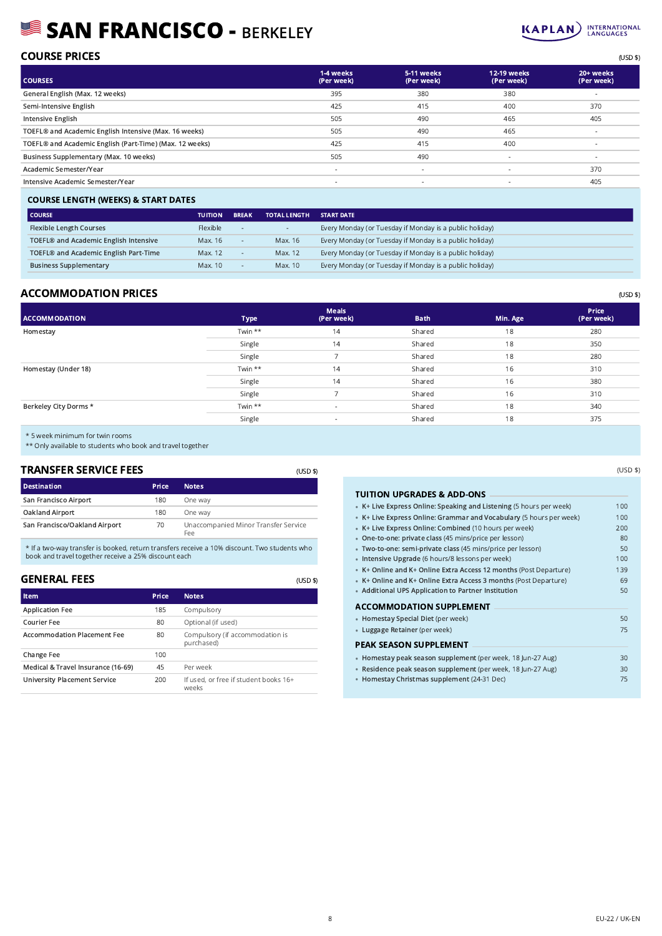# SAN FRANCISCO - BERKELEY



(USD \$)

| <b>COURSE PRICES</b> | (USD \$) |
|----------------------|----------|

| <b>COURSES</b>                                          | 1-4 weeks<br>(Per week)  | 5-11 weeks<br>(Per week) | 12-19 weeks<br>(Per week) | 20+ weeks<br>(Per week) |
|---------------------------------------------------------|--------------------------|--------------------------|---------------------------|-------------------------|
| General English (Max. 12 weeks)                         | 395                      | 380                      | 380                       |                         |
| Semi-Intensive English                                  | 425                      | 415                      | 400                       | 370                     |
| Intensive English                                       | 505                      | 490                      | 465                       | 405                     |
| TOEFL® and Academic English Intensive (Max. 16 weeks)   | 505                      | 490                      | 465                       | $\sim$                  |
| TOEFL® and Academic English (Part-Time) (Max. 12 weeks) | 425                      | 415                      | 400                       | $\sim$                  |
| Business Supplementary (Max. 10 weeks)                  | 505                      | 490                      | $\sim$                    | $\sim$                  |
| Academic Semester/Year                                  | $\overline{\phantom{a}}$ | ۰.                       |                           | 370                     |
| Intensive Academic Semester/Year                        | $\sim$                   | $\sim$                   | ۰.                        | 405                     |
|                                                         |                          |                          |                           |                         |

#### COURSE LENGTH (WEEKS) & START DATES

| <b>COURSE</b>                         | <b>TUITION</b>  | <b>BREAK</b> | <b>TOTAL LENGTH</b> | <b>START DATE</b>                                       |
|---------------------------------------|-----------------|--------------|---------------------|---------------------------------------------------------|
| <b>Flexible Length Courses</b>        | <b>Flexible</b> | $\sim$       |                     | Every Monday (or Tuesday if Monday is a public holiday) |
| TOEFL® and Academic English Intensive | Max. 16         |              | Max. 16             | Every Monday (or Tuesday if Monday is a public holiday) |
| TOEFL® and Academic English Part-Time | Max. 12         |              | Max. 12             | Every Monday (or Tuesday if Monday is a public holiday) |
| <b>Business Supplementary</b>         | Max. 10         |              | Max. 10             | Every Monday (or Tuesday if Monday is a public holiday) |

## ACCOMMODATION PRICES (USD \$)

| <b>ACCOMMODATION</b>  | Type    | <b>Meals</b><br>(Per week) | <b>Bath</b> | Min. Age | Price<br>(Per week) |
|-----------------------|---------|----------------------------|-------------|----------|---------------------|
| Homestay              | Twin ** | 14                         | Shared      | 18       | 280                 |
|                       | Single  | 14                         | Shared      | 18       | 350                 |
|                       | Single  |                            | Shared      | 18       | 280                 |
| Homestay (Under 18)   | Twin ** | 14                         | Shared      | 16       | 310                 |
|                       | Single  | 14                         | Shared      | 16       | 380                 |
|                       | Single  |                            | Shared      | 16       | 310                 |
| Berkeley City Dorms * | Twin ** | $\overline{\phantom{a}}$   | Shared      | 18       | 340                 |
|                       | Single  | $\overline{\phantom{a}}$   | Shared      | 18       | 375                 |

(USD \$)

(USD \$)

\* 5 week minimum for twin rooms

\*\* Only available to students who book and travel together

#### TRANSFER SERVICE FEES

| <b>Destination</b>            | <b>Price</b> | <b>Notes</b>                                |
|-------------------------------|--------------|---------------------------------------------|
| San Francisco Airport         | 180          | One way                                     |
| Oakland Airport               | 180          | One way                                     |
| San Francisco/Oakland Airport | 70           | Unaccompanied Minor Transfer Service<br>Fee |

\* If a two-way transfer is booked, return transfers receive a 10% discount. Two students who book and travel together receive a 25% discount each

# GENERAL FEES

| Item                                | Price | <b>Notes</b>                                   |
|-------------------------------------|-------|------------------------------------------------|
| <b>Application Fee</b>              | 185   | Compulsory                                     |
| Courier Fee                         | 80    | Optional (if used)                             |
| <b>Accommodation Placement Fee</b>  | 80    | Compulsory (if accommodation is<br>purchased)  |
| Change Fee                          | 100   |                                                |
| Medical & Travel Insurance (16-69)  | 45    | Per week                                       |
| <b>University Placement Service</b> | 200   | If used, or free if student books 16+<br>weeks |

| TUITION UPGRADES & ADD-ONS                                          |     |
|---------------------------------------------------------------------|-----|
| • K+ Live Express Online: Speaking and Listening (5 hours per week) | 100 |
| • K+ Live Express Online: Grammar and Vocabulary (5 hours per week) | 100 |
| • K+ Live Express Online: Combined (10 hours per week)              | 200 |
| • One-to-one: private class (45 mins/price per lesson)              | 80  |
| · Two-to-one: semi-private class (45 mins/price per lesson)         | 50  |
| · Intensive Upgrade (6 hours/8 lessons per week)                    | 100 |
| • K+ Online and K+ Online Extra Access 12 months (Post Departure)   | 139 |
| • K+ Online and K+ Online Extra Access 3 months (Post Departure)    | 69  |
| • Additional UPS Application to Partner Institution                 | 50  |
| ACCOMMODATION SUPPLEMENT                                            |     |
| • Homestay Special Diet (per week)                                  | 50  |
| • Luggage Retainer (per week)                                       | 75  |
| PEAK SEASON SUPPLEMENT                                              |     |
| • Homestay peak season supplement (per week, 18 Jun-27 Aug)         | 30  |
| · Residence peak season supplement (per week, 18 Jun-27 Aug)        | 30  |
| • Homestay Christmas supplement (24-31 Dec)                         | 75  |
|                                                                     |     |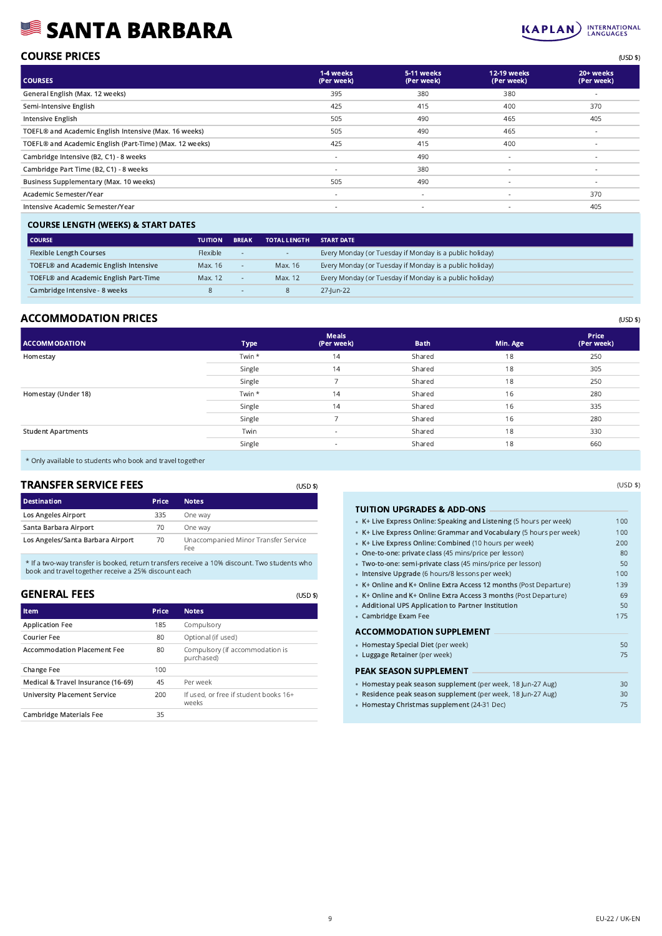# SANTA BARBARA



| <b>COURSE PRICES</b> | (USD \$) |
|----------------------|----------|
|                      |          |

| <b>COURSES</b>                                          | 1-4 weeks<br>(Per week)  | 5-11 weeks<br>(Per week) | <b>12-19 weeks</b><br>(Per week) | 20+ weeks<br>(Per week) |
|---------------------------------------------------------|--------------------------|--------------------------|----------------------------------|-------------------------|
| General English (Max. 12 weeks)                         | 395                      | 380                      | 380                              |                         |
| Semi-Intensive English                                  | 425                      | 415                      | 400                              | 370                     |
| Intensive English                                       | 505                      | 490                      | 465                              | 405                     |
| TOEFL® and Academic English Intensive (Max. 16 weeks)   | 505                      | 490                      | 465                              | $\sim$                  |
| TOEFL® and Academic English (Part-Time) (Max. 12 weeks) | 425                      | 415                      | 400                              | $\sim$                  |
| Cambridge Intensive (B2, C1) - 8 weeks                  | $\overline{\phantom{a}}$ | 490                      | $\sim$                           | $\sim$                  |
| Cambridge Part Time (B2, C1) - 8 weeks                  | $\overline{\phantom{a}}$ | 380                      | $\sim$                           | $\sim$                  |
| Business Supplementary (Max. 10 weeks)                  | 505                      | 490                      | $\sim$                           | $\sim$                  |
| Academic Semester/Year                                  | $\overline{\phantom{a}}$ | $\overline{\phantom{a}}$ | $\overline{\phantom{a}}$         | 370                     |
| Intensive Academic Semester/Year                        | $\sim$                   | $\overline{\phantom{a}}$ | $\overline{\phantom{a}}$         | 405                     |
|                                                         |                          |                          |                                  |                         |

## COURSE LENGTH (WEEKS) & START DATES

| <b>COURSE</b>                         | <b>TUITION</b>  | <b>BREAK</b> | <b>TOTAL LENGTH</b> | <b>START DATE</b>                                       |
|---------------------------------------|-----------------|--------------|---------------------|---------------------------------------------------------|
| <b>Flexible Length Courses</b>        | <b>Flexible</b> | $\sim$       | $\sim$              | Every Monday (or Tuesday if Monday is a public holiday) |
| TOEFL® and Academic English Intensive | Max. 16         |              | Max. 16             | Every Monday (or Tuesday if Monday is a public holiday) |
| TOEFL® and Academic English Part-Time | Max. 12         |              | Max. 12             | Every Monday (or Tuesday if Monday is a public holiday) |
| Cambridge Intensive - 8 weeks         |                 | $\sim$       |                     | 27-lun-22                                               |

## ACCOMMODATION PRICES (USD \$)

| <b>ACCOMMODATION</b>      | <b>Type</b> | <b>Meals</b><br>(Per week) | <b>Bath</b> | Min. Age | Price<br>(Per week) |
|---------------------------|-------------|----------------------------|-------------|----------|---------------------|
| Homestay                  | Twin *      | 14                         | Shared      | 18       | 250                 |
|                           | Single      | 14                         | Shared      | 18       | 305                 |
|                           | Single      | -                          | Shared      | 18       | 250                 |
| Homestay (Under 18)       | Twin *      | 14                         | Shared      | 16       | 280                 |
|                           | Single      | 14                         | Shared      | 16       | 335                 |
|                           | Single      |                            | Shared      | 16       | 280                 |
| <b>Student Apartments</b> | Twin        | $\overline{\phantom{a}}$   | Shared      | 18       | 330                 |
|                           | Single      | $\overline{\phantom{a}}$   | Shared      | 18       | 660                 |

(USD \$)

(USD \$)

\* Only available to students who book and travel together

## TRANSFER SERVICE FEES

| <b>Destination</b>                | Price | <b>Notes</b>                                |
|-----------------------------------|-------|---------------------------------------------|
| <b>Los Angeles Airport</b>        | 335   | One way                                     |
| Santa Barbara Airport             | 70    | One way                                     |
| Los Angeles/Santa Barbara Airport | 70    | Unaccompanied Minor Transfer Service<br>Fee |

\* If a two-way transfer is booked, return transfers receive a 10% discount. Two students who book and travel together receive a 25% discount each

### GENERAL FEES

| <b>Item</b>                         | Price | <b>Notes</b>                                   |
|-------------------------------------|-------|------------------------------------------------|
| <b>Application Fee</b>              | 185   | Compulsory                                     |
| Courier Fee                         | 80    | Optional (if used)                             |
| <b>Accommodation Placement Fee</b>  | 80    | Compulsory (if accommodation is<br>purchased)  |
| Change Fee                          | 100   |                                                |
| Medical & Travel Insurance (16-69)  | 45    | Per week                                       |
| <b>University Placement Service</b> | 200   | If used, or free if student books 16+<br>weeks |
| <b>Cambridge Materials Fee</b>      | 35    |                                                |

### TUITION UPGRADES & ADD-ONS •

| TUTTUN UPGRADES & ADD-UNS                                           |     |
|---------------------------------------------------------------------|-----|
| • K+ Live Express Online: Speaking and Listening (5 hours per week) | 100 |
| • K+ Live Express Online: Grammar and Vocabulary (5 hours per week) | 100 |
| • K+ Live Express Online: Combined (10 hours per week)              | 200 |
| • One-to-one: private class (45 mins/price per lesson)              | 80  |
| · Two-to-one: semi-private class (45 mins/price per lesson)         | 50  |
| · Intensive Upgrade (6 hours/8 lessons per week)                    | 100 |
| • K+ Online and K+ Online Extra Access 12 months (Post Departure)   | 139 |
| • K+ Online and K+ Online Extra Access 3 months (Post Departure)    | 69  |
| • Additional UPS Application to Partner Institution                 | 50  |
| • Cambridge Exam Fee                                                | 175 |
| <b>ACCOMMODATION SUPPLEMENT</b>                                     |     |
| • Homestay Special Diet (per week)                                  | 50  |
| • Luggage Retainer (per week)                                       | 75  |
| PEAK SEASON SUPPLEMENT                                              |     |
| · Homestay peak season supplement (per week, 18 Jun-27 Aug)         | 30  |
| · Residence peak season supplement (per week, 18 Jun-27 Aug)        | 30  |
| • Homestay Christmas supplement (24-31 Dec)                         | 75  |
|                                                                     |     |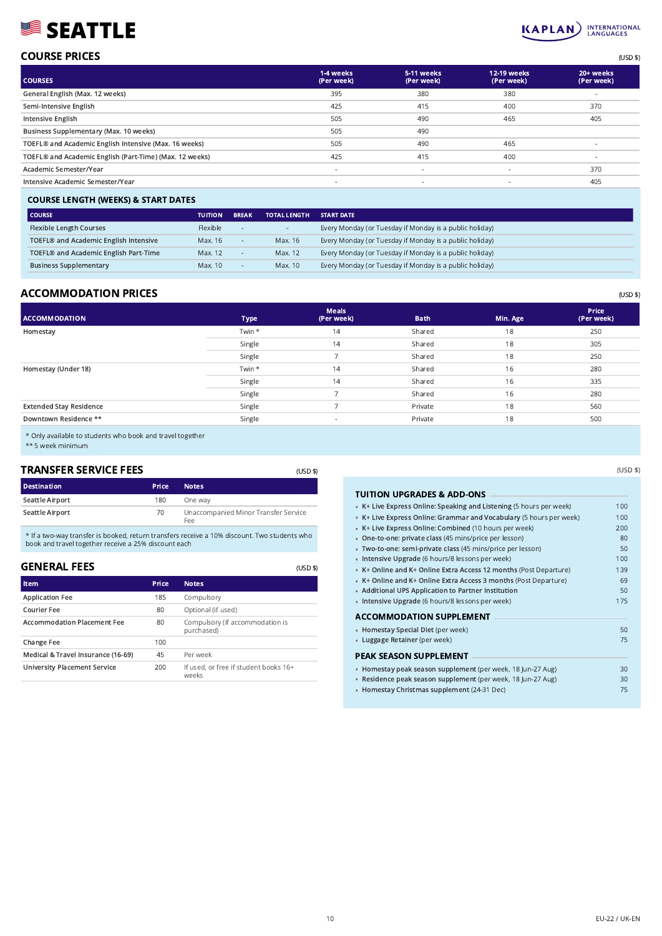# SEATTLE



(USD \$)

| <b>COURSE PRICES</b> | (USD \$) |
|----------------------|----------|
|                      |          |

| <b>COURSES</b>                                          | 1-4 weeks<br>(Per week)  | 5-11 weeks<br>(Per week) | 12-19 weeks<br>(Per week) | 20+ weeks<br>(Per week) |
|---------------------------------------------------------|--------------------------|--------------------------|---------------------------|-------------------------|
| General English (Max. 12 weeks)                         | 395                      | 380                      | 380                       | $\sim$                  |
| Semi-Intensive English                                  | 425                      | 415                      | 400                       | 370                     |
| Intensive English                                       | 505                      | 490                      | 465                       | 405                     |
| Business Supplementary (Max. 10 weeks)                  | 505                      | 490                      |                           |                         |
| TOEFL® and Academic English Intensive (Max. 16 weeks)   | 505                      | 490                      | 465                       | $\sim$                  |
| TOEFL® and Academic English (Part-Time) (Max. 12 weeks) | 425                      | 415                      | 400                       | $\sim$                  |
| Academic Semester/Year                                  | $\overline{\phantom{a}}$ | $\overline{\phantom{a}}$ | $\overline{\phantom{a}}$  | 370                     |
| Intensive Academic Semester/Year                        | $\overline{\phantom{a}}$ | $\sim$                   | $\overline{\phantom{a}}$  | 405                     |
|                                                         |                          |                          |                           |                         |

#### COURSE LENGTH (WEEKS) & START DATES

| <b>COURSE</b>                         | <b>TUITION</b> | <b>BREAK</b> | <b>TOTAL LENGTH</b> | <b>START DATE</b>                                       |
|---------------------------------------|----------------|--------------|---------------------|---------------------------------------------------------|
| <b>Flexible Length Courses</b>        | Flexible       | ۰.           | $\sim$              | Every Monday (or Tuesday if Monday is a public holiday) |
| TOEFL® and Academic English Intensive | Max. 16        |              | Max. 16             | Every Monday (or Tuesday if Monday is a public holiday) |
| TOEFL® and Academic English Part-Time | Max. 12        |              | Max. 12             | Every Monday (or Tuesday if Monday is a public holiday) |
| <b>Business Supplementary</b>         | Max. 10        | $\sim$       | Max. 10             | Every Monday (or Tuesday if Monday is a public holiday) |

## ACCOMMODATION PRICES (USD \$)

| <b>ACCOMMODATION</b>           | Type   | Meals<br>(Per week)      | <b>Bath</b> | Min. Age | Price<br>(Per week) |
|--------------------------------|--------|--------------------------|-------------|----------|---------------------|
| Homestay                       | Twin * | 14                       | Shared      | 18       | 250                 |
|                                | Single | 14                       | Shared      | 18       | 305                 |
|                                | Single |                          | Shared      | 18       | 250                 |
| Homestay (Under 18)            | Twin * | 14                       | Shared      | 16       | 280                 |
|                                | Single | 14                       | Shared      | 16       | 335                 |
|                                | Single | -                        | Shared      | 16       | 280                 |
| <b>Extended Stay Residence</b> | Single |                          | Private     | 18       | 560                 |
| Downtown Residence **          | Single | $\overline{\phantom{a}}$ | Private     | 18       | 500                 |

(USD \$)

(USD \$)

\* Only available to students who book and travel together

\*\* 5 week minimum

# TRANSFER SERVICE FEES

| <b>Destination</b> | <b>Price</b> | <b>Notes</b>                                |
|--------------------|--------------|---------------------------------------------|
| Seattle Airport    | 180          | One way                                     |
| Seattle Airport    | 70           | Unaccompanied Minor Transfer Service<br>Fee |

\* If a two-way transfer is booked, return transfers receive a 10% discount. Two students who book and travel together receive a 25% discount each

# GENERAL FEES

| Item                                | <b>Price</b> | <b>Notes</b>                                   |
|-------------------------------------|--------------|------------------------------------------------|
| <b>Application Fee</b>              | 185          | Compulsory                                     |
| Courier Fee                         | 80           | Optional (if used)                             |
| <b>Accommodation Placement Fee</b>  | 80           | Compulsory (if accommodation is<br>purchased)  |
| Change Fee                          | 100          |                                                |
| Medical & Travel Insurance (16-69)  | 45           | Per week                                       |
| <b>University Placement Service</b> | 200          | If used, or free if student books 16+<br>weeks |

### TUITION UPGRADES & ADD-ONS •

| TUITIUN UPGRADES & ADD-ONS                                          |     |
|---------------------------------------------------------------------|-----|
| • K+ Live Express Online: Speaking and Listening (5 hours per week) | 100 |
| • K+ Live Express Online: Grammar and Vocabulary (5 hours per week) | 100 |
| • K+ Live Express Online: Combined (10 hours per week)              | 200 |
| • One-to-one: private class (45 mins/price per lesson)              | 80  |
| · Two-to-one: semi-private class (45 mins/price per lesson)         | 50  |
| · Intensive Upgrade (6 hours/8 lessons per week)                    | 100 |
| • K+ Online and K+ Online Extra Access 12 months (Post Departure)   | 139 |
| • K+ Online and K+ Online Extra Access 3 months (Post Departure)    | 69  |
| • Additional UPS Application to Partner Institution                 | 50  |
| · Intensive Upgrade (6 hours/8 lessons per week)                    | 175 |
| ACCOMMODATION SUPPLEMENT                                            |     |
| • Homestay Special Diet (per week)                                  | 50  |
| • Luggage Retainer (per week)                                       | 75  |
| PEAK SEASON SUPPLEMENT                                              |     |
| · Homestay peak season supplement (per week, 18 Jun-27 Aug)         | 30  |
| · Residence peak season supplement (per week, 18 Jun-27 Aug)        | 30  |

Homestay Christmas supplement (24-31 Dec) 75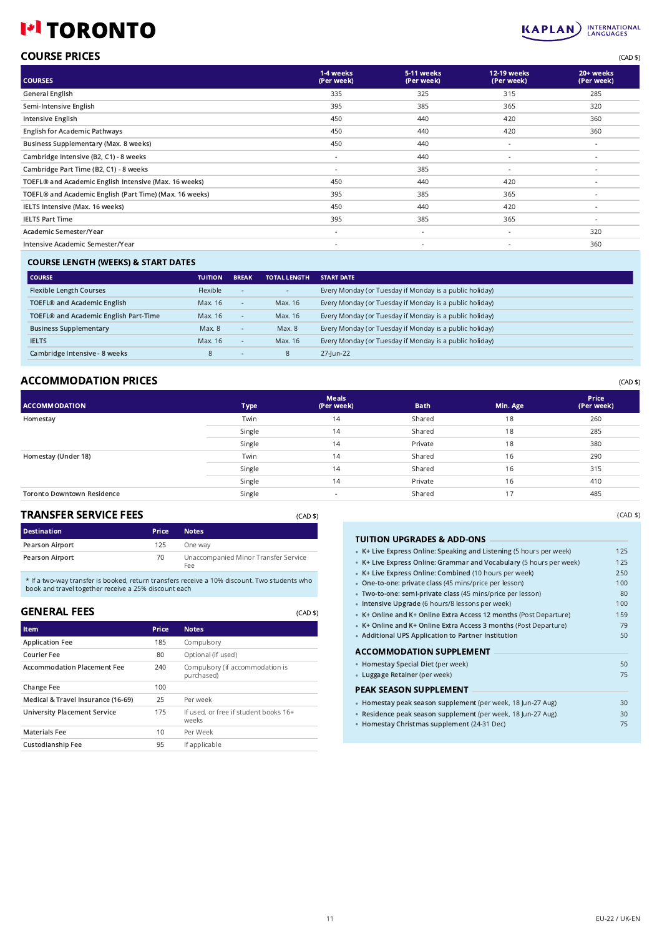# **I\*I TORONTO**



| <b>COURSE PRICES</b> | (CAD \$) |
|----------------------|----------|
|                      |          |

| <b>COURSES</b>                                          | 1-4 weeks<br>(Per week)  | 5-11 weeks<br>(Per week) | 12-19 weeks<br>(Per week) | 20+ weeks<br>(Per week)  |
|---------------------------------------------------------|--------------------------|--------------------------|---------------------------|--------------------------|
| General English                                         | 335                      | 325                      | 315                       | 285                      |
| Semi-Intensive English                                  | 395                      | 385                      | 365                       | 320                      |
| Intensive English                                       | 450                      | 440                      | 420                       | 360                      |
| <b>English for Academic Pathways</b>                    | 450                      | 440                      | 420                       | 360                      |
| Business Supplementary (Max. 8 weeks)                   | 450                      | 440                      | $\overline{\phantom{a}}$  | $\sim$                   |
| Cambridge Intensive (B2, C1) - 8 weeks                  | $\overline{\phantom{a}}$ | 440                      |                           | $\sim$                   |
| Cambridge Part Time (B2, C1) - 8 weeks                  | $\sim$                   | 385                      | $\overline{\phantom{a}}$  | $\sim$                   |
| TOEFL® and Academic English Intensive (Max. 16 weeks)   | 450                      | 440                      | 420                       | $\sim$                   |
| TOEFL® and Academic English (Part Time) (Max. 16 weeks) | 395                      | 385                      | 365                       | $\sim$                   |
| IELTS Intensive (Max. 16 weeks)                         | 450                      | 440                      | 420                       | $\sim$                   |
| <b>IELTS Part Time</b>                                  | 395                      | 385                      | 365                       | $\overline{\phantom{a}}$ |
| Academic Semester/Year                                  | $\overline{\phantom{a}}$ | $\sim$                   | $\overline{\phantom{a}}$  | 320                      |
| Intensive Academic Semester/Year                        | $\overline{\phantom{a}}$ | $\overline{\phantom{a}}$ |                           | 360                      |
|                                                         |                          |                          |                           |                          |

## COURSE LENGTH (WEEKS) & START DATES

| <b>COURSE</b>                           | <b>TUITION</b> | <b>BREAK</b> | <b>TOTAL LENGTH</b>      | <b>START DATE</b>                                       |
|-----------------------------------------|----------------|--------------|--------------------------|---------------------------------------------------------|
| <b>Flexible Length Courses</b>          | Flexible       | ۰.           | $\overline{\phantom{a}}$ | Every Monday (or Tuesday if Monday is a public holiday) |
| TOEFL <sup>®</sup> and Academic English | Max. 16        | $\sim$       | Max. 16                  | Every Monday (or Tuesday if Monday is a public holiday) |
| TOEFL® and Academic English Part-Time   | Max. 16        | $\sim$       | Max. 16                  | Every Monday (or Tuesday if Monday is a public holiday) |
| <b>Business Supplementary</b>           | Max. 8         | $\sim$       | Max. 8                   | Every Monday (or Tuesday if Monday is a public holiday) |
| <b>IELTS</b>                            | Max. 16        | $\sim$       | Max. 16                  | Every Monday (or Tuesday if Monday is a public holiday) |
| Cambridge Intensive - 8 weeks           | 8              | . .          | 8                        | 27-lun-22                                               |

## ACCOMMODATION PRICES (CAD \$)

| <b>ACCOMMODATION</b>              | <b>Type</b> | <b>Meals</b><br>(Per week) | <b>Bath</b> | Min. Age | Price<br>(Per week) |
|-----------------------------------|-------------|----------------------------|-------------|----------|---------------------|
| Homestay                          | Twin        | 14                         | Shared      | 18       | 260                 |
|                                   | Single      | 14                         | Shared      | 18       | 285                 |
|                                   | Single      | 14                         | Private     | 18       | 380                 |
| Homestay (Under 18)               | Twin        | 14                         | Shared      | 16       | 290                 |
|                                   | Single      | 14                         | Shared      | 16       | 315                 |
|                                   | Single      | 14                         | Private     | 16       | 410                 |
| <b>Toronto Downtown Residence</b> | Single      |                            | Shared      | 17       | 485                 |

# TRANSFER SERVICE FEES

| <b>TRANSFER SERVICE FEES</b> |              | (CAD \$)                                    |
|------------------------------|--------------|---------------------------------------------|
| <b>Destination</b>           | <b>Price</b> | <b>Notes</b>                                |
| Pearson Airport              | 125          | One way                                     |
| <b>Pearson Airport</b>       | 70           | Unaccompanied Minor Transfer Service<br>Fee |

\* If a two-way transfer is booked, return transfers receive a 10% discount. Two students who book and travel together receive a 25% discount each

| <b>GENERAL FEES</b>                 |       | (CAD \$)                                       |
|-------------------------------------|-------|------------------------------------------------|
| Item                                | Price | <b>Notes</b>                                   |
| <b>Application Fee</b>              | 185   | Compulsory                                     |
| Courier Fee                         | 80    | Optional (if used)                             |
| <b>Accommodation Placement Fee</b>  | 240   | Compulsory (if accommodation is<br>purchased)  |
| Change Fee                          | 100   |                                                |
| Medical & Travel Insurance (16-69)  | 25    | Per week                                       |
| <b>University Placement Service</b> | 175   | If used, or free if student books 16+<br>weeks |
| <b>Materials Fee</b>                | 10    | Per Week                                       |
| Custodianship Fee                   | 95    | If applicable                                  |

TUITION UPGRADES & ADD-ONS •

| • K+ Live Express Online: Speaking and Listening (5 hours per week) | 125 |
|---------------------------------------------------------------------|-----|
| • K+ Live Express Online: Grammar and Vocabulary (5 hours per week) | 125 |
| • K+ Live Express Online: Combined (10 hours per week)              | 250 |
| • One-to-one: private class (45 mins/price per lesson)              | 100 |
| · Two-to-one: semi-private class (45 mins/price per lesson)         | 80  |
| · Intensive Upgrade (6 hours/8 lessons per week)                    | 100 |
| • K+ Online and K+ Online Extra Access 12 months (Post Departure)   | 159 |
| • K+ Online and K+ Online Extra Access 3 months (Post Departure)    | 79  |
| • Additional UPS Application to Partner Institution                 | 50  |
| ACCOMMODATION SUPPLEMENT                                            |     |
| • Homestay Special Diet (per week)                                  | 50  |
| • Luggage Retainer (per week)                                       | 75  |
| PEAK SEASON SUPPLEMENT                                              |     |
| · Homestay peak season supplement (per week, 18 Jun-27 Aug)         | 30  |
| · Residence peak season supplement (per week, 18 Jun-27 Aug)        | 30  |
| • Homestay Christmas supplement (24-31 Dec)                         | 75  |
|                                                                     |     |
|                                                                     |     |

(CAD \$)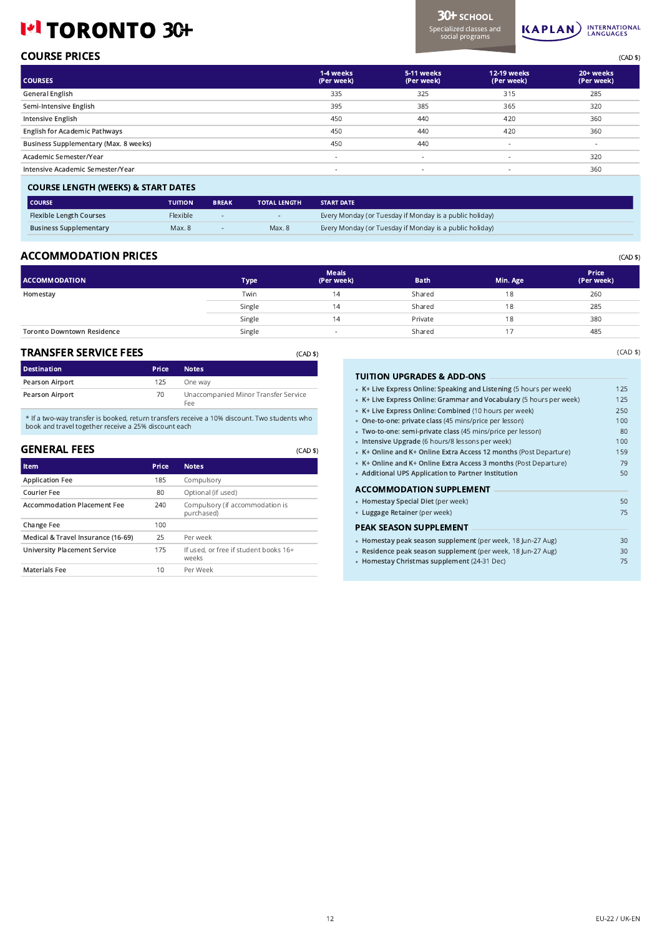# I<sup>el</sup> TORONTO 3C+



| <b>COURSE PRICES</b> | (CAD \$) |
|----------------------|----------|

| <b>COURSES</b>                        | 1-4 weeks<br>(Per week) | 5-11 weeks<br>(Per week) | <b>12-19 weeks</b><br>(Per week) | 20+ weeks<br>(Per week) |
|---------------------------------------|-------------------------|--------------------------|----------------------------------|-------------------------|
| General English                       | 335                     | 325                      | 315                              | 285                     |
| Semi-Intensive English                | 395                     | 385                      | 365                              | 320                     |
| Intensive English                     | 450                     | 440                      | 420                              | 360                     |
| <b>English for Academic Pathways</b>  | 450                     | 440                      | 420                              | 360                     |
| Business Supplementary (Max. 8 weeks) | 450                     | 440                      | $\sim$                           | $\sim$                  |
| Academic Semester/Year                |                         | $\overline{\phantom{a}}$ | $\overline{\phantom{a}}$         | 320                     |
| Intensive Academic Semester/Year      |                         | $\overline{\phantom{a}}$ | $\overline{\phantom{a}}$         | 360                     |
|                                       |                         |                          |                                  |                         |

#### COURSE LENGTH (WEEKS) & START DATES

| l COURSE                       | <b>TUITION</b>  | <b>BREAK</b> | <b>TOTAL LENGTH</b> | <b>START DATE</b>                                       |
|--------------------------------|-----------------|--------------|---------------------|---------------------------------------------------------|
| <b>Flexible Length Courses</b> | <b>Flexible</b> |              |                     | Every Monday (or Tuesday if Monday is a public holiday) |
| <b>Business Supplementary</b>  | Max. 8          |              | Max. 8              | Every Monday (or Tuesday if Monday is a public holiday) |
|                                |                 |              |                     |                                                         |

## ACCOMMODATION PRICES (CAD \$)

| <b>ACCOMMODATION</b>              | <b>Type</b> | <b>Meals</b><br>(Per week) | <b>Bath</b> | Min. Age | Price<br>(Per week) |
|-----------------------------------|-------------|----------------------------|-------------|----------|---------------------|
| Homestay                          | Twin        | 14                         | Shared      | 18       | 260                 |
|                                   | Single      | 14                         | Shared      | 18       | 285                 |
|                                   | Single      | 4                          | Private     | 18       | 380                 |
| <b>Toronto Downtown Residence</b> | Single      |                            | Shared      |          | 485                 |

(CAD \$)

#### TRANSFER SERVICE FEES

| TRANSFER SERVICE FEES |              | (CAD \$)                                    |
|-----------------------|--------------|---------------------------------------------|
| <b>Destination</b>    | <b>Price</b> | <b>Notes</b>                                |
| Pearson Airport       | 125          | One way                                     |
| Pearson Airport       | 70           | Unaccompanied Minor Transfer Service<br>Fee |

\* If a two-way transfer is booked, return transfers receive a 10% discount. Two students who book and travel together receive a 25% discount each

# GENERAL FEES

| <b>Item</b>                         | Price | <b>Notes</b>                                   |
|-------------------------------------|-------|------------------------------------------------|
| <b>Application Fee</b>              | 185   | Compulsory                                     |
| Courier Fee                         | 80    | Optional (if used)                             |
| <b>Accommodation Placement Fee</b>  | 240   | Compulsory (if accommodation is<br>purchased)  |
| Change Fee                          | 100   |                                                |
| Medical & Travel Insurance (16-69)  | 25    | Per week                                       |
| <b>University Placement Service</b> | 175   | If used, or free if student books 16+<br>weeks |
| <b>Materials Fee</b>                | 10    | Per Week                                       |

### TUITION UPGRADES & ADD-ONS •

| • K+ Live Express Online: Speaking and Listening (5 hours per week) | 125 |
|---------------------------------------------------------------------|-----|
| • K+ Live Express Online: Grammar and Vocabulary (5 hours per week) | 125 |
| • K+ Live Express Online: Combined (10 hours per week)              | 250 |
| • One-to-one: private class (45 mins/price per lesson)              | 100 |
| · Two-to-one: semi-private class (45 mins/price per lesson)         | 80  |
| · Intensive Upgrade (6 hours/8 lessons per week)                    | 100 |
| • K+ Online and K+ Online Extra Access 12 months (Post Departure)   | 159 |
| • K+ Online and K+ Online Extra Access 3 months (Post Departure)    | 79  |
| • Additional UPS Application to Partner Institution                 | 50  |
| ACCOMMODATION SUPPLEMENT                                            |     |
| • Homestay Special Diet (per week)                                  | 50  |
| · Luggage Retainer (per week)                                       | 75  |
| PEAK SEASON SUPPLEMENT                                              |     |
| · Homestay peak season supplement (per week, 18 Jun-27 Aug)         | 30  |
| · Residence peak season supplement (per week, 18 Jun-27 Aug)        | 30  |
| • Homestay Christmas supplement (24-31 Dec)                         | 75  |
|                                                                     |     |

(CAD \$)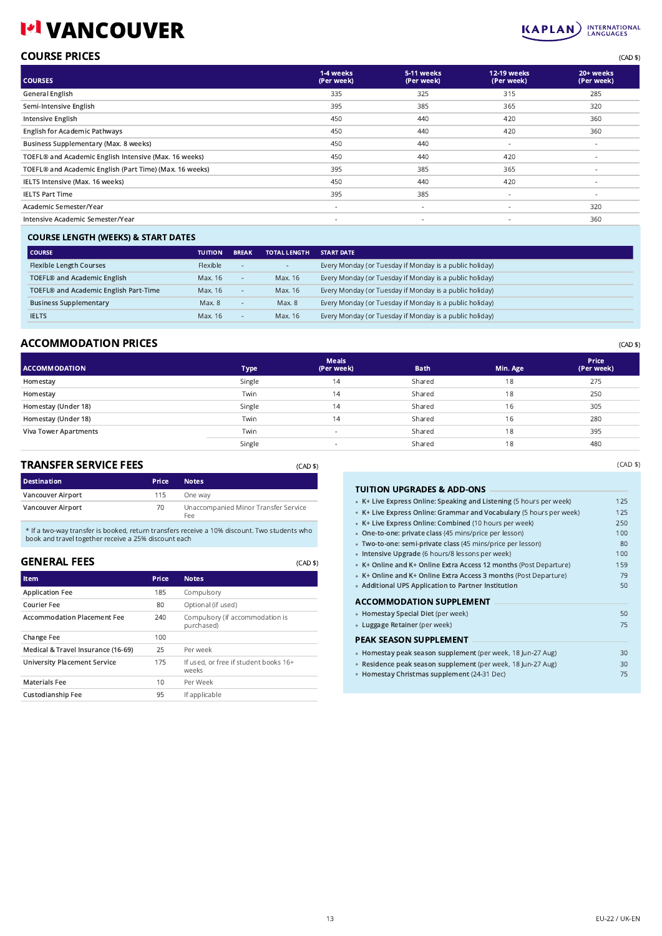# **VANCOUVER**



| <b>COURSE PRICES</b> | (CAD \$) |
|----------------------|----------|
|                      |          |

| <b>COURSES</b>                                          | 1-4 weeks<br>(Per week)  | 5-11 weeks<br>(Per week) | <b>12-19 weeks</b><br>(Per week) | 20+ weeks<br>(Per week)  |
|---------------------------------------------------------|--------------------------|--------------------------|----------------------------------|--------------------------|
| <b>General English</b>                                  | 335                      | 325                      | 315                              | 285                      |
| Semi-Intensive English                                  | 395                      | 385                      | 365                              | 320                      |
| Intensive English                                       | 450                      | 440                      | 420                              | 360                      |
| <b>English for Academic Pathways</b>                    | 450                      | 440                      | 420                              | 360                      |
| Business Supplementary (Max. 8 weeks)                   | 450                      | 440                      | ٠                                | $\sim$                   |
| TOEFL® and Academic English Intensive (Max. 16 weeks)   | 450                      | 440                      | 420                              | $\sim$                   |
| TOEFL® and Academic English (Part Time) (Max. 16 weeks) | 395                      | 385                      | 365                              | $\sim$                   |
| IELTS Intensive (Max. 16 weeks)                         | 450                      | 440                      | 420                              | $\overline{\phantom{a}}$ |
| <b>IELTS Part Time</b>                                  | 395                      | 385                      | ٠                                | $\sim$                   |
| Academic Semester/Year                                  | $\sim$                   | $\sim$                   | $\overline{\phantom{a}}$         | 320                      |
| Intensive Academic Semester/Year                        | $\overline{\phantom{a}}$ | $\sim$                   | ٠                                | 360                      |
|                                                         |                          |                          |                                  |                          |

## COURSE LENGTH (WEEKS) & START DATES

| <b>TUITION</b> | <b>BREAK</b> | <b>TOTAL LENGTH</b> | <b>START DATE</b>                                       |
|----------------|--------------|---------------------|---------------------------------------------------------|
| Flexible       | ٠.           | . .                 | Every Monday (or Tuesday if Monday is a public holiday) |
| Max. 16        | $\sim$       | Max. 16             | Every Monday (or Tuesday if Monday is a public holiday) |
| Max. 16        | $\sim$       | Max. 16             | Every Monday (or Tuesday if Monday is a public holiday) |
| Max. 8         | $\sim$       | Max. 8              | Every Monday (or Tuesday if Monday is a public holiday) |
| Max. 16        | $\sim$       | Max. 16             | Every Monday (or Tuesday if Monday is a public holiday) |
|                |              |                     |                                                         |

# ACCOMMODATION PRICES (CAD \$)

| <b>ACCOMMODATION</b>         | Type   | <b>Meals</b><br>(Per week) | <b>Bath</b> | Min. Age | Price<br>(Per week) |
|------------------------------|--------|----------------------------|-------------|----------|---------------------|
| Homestay                     | Single | 14                         | Shared      | 18       | 275                 |
| Homestay                     | Twin   | 14                         | Shared      | 18       | 250                 |
| Homestay (Under 18)          | Single | 14                         | Shared      | 16       | 305                 |
| Homestay (Under 18)          | Twin   | 14                         | Shared      | 16       | 280                 |
| <b>Viva Tower Apartments</b> | Twin   |                            | Shared      | 18       | 395                 |
|                              | Single |                            | Shared      | 18       | 480                 |

(CAD \$)

#### TRANSFER SERVICE FEES

| TRANSFER SERVICE FEES<br>(CAD \$) |              |                                             |  |  |
|-----------------------------------|--------------|---------------------------------------------|--|--|
| <b>Destination</b>                | <b>Price</b> | <b>Notes</b>                                |  |  |
| Vancouver Airport                 | 115          | One way                                     |  |  |
| Vancouver Airport                 | 70           | Unaccompanied Minor Transfer Service<br>Fee |  |  |

\* If a two-way transfer is booked, return transfers receive a 10% discount. Two students who book and travel together receive a 25% discount each

## GENERAL FEES

| Item                                | Price | <b>Notes</b>                                   |
|-------------------------------------|-------|------------------------------------------------|
| <b>Application Fee</b>              | 185   | Compulsory                                     |
| Courier Fee                         | 80    | Optional (if used)                             |
| <b>Accommodation Placement Fee</b>  | 240   | Compulsory (if accommodation is<br>purchased)  |
| <b>Change Fee</b>                   | 100   |                                                |
| Medical & Travel Insurance (16-69)  | 25    | Per week                                       |
| <b>University Placement Service</b> | 175   | If used, or free if student books 16+<br>weeks |
| <b>Materials Fee</b>                | 10    | Per Week                                       |
| Custodianship Fee                   | 95    | If applicable                                  |

### $T_{\text{max}}$

| TUITION UPGRADES & ADD-ONS                                          |     |
|---------------------------------------------------------------------|-----|
| • K+ Live Express Online: Speaking and Listening (5 hours per week) | 125 |
| • K+ Live Express Online: Grammar and Vocabulary (5 hours per week) | 125 |
| • K+ Live Express Online: Combined (10 hours per week)              | 250 |
| • One-to-one: private class (45 mins/price per lesson)              | 100 |
| · Two-to-one: semi-private class (45 mins/price per lesson)         | 80  |
| · Intensive Upgrade (6 hours/8 lessons per week)                    | 100 |
| • K+ Online and K+ Online Extra Access 12 months (Post Departure)   | 159 |
| • K+ Online and K+ Online Extra Access 3 months (Post Departure)    | 79  |
| • Additional UPS Application to Partner Institution                 | 50  |
| ACCOMMODATION SUPPLEMENT                                            |     |
| • Homestay Special Diet (per week)                                  | 50  |
| • Luggage Retainer (per week)                                       | 75  |
| PEAK SEASON SUPPLEMENT                                              |     |
| · Homestay peak season supplement (per week, 18 Jun-27 Aug)         | 30  |
| · Residence peak season supplement (per week, 18 Jun-27 Aug)        | 30  |
| • Homestay Christmas supplement (24-31 Dec)                         | 75  |

(CAD \$)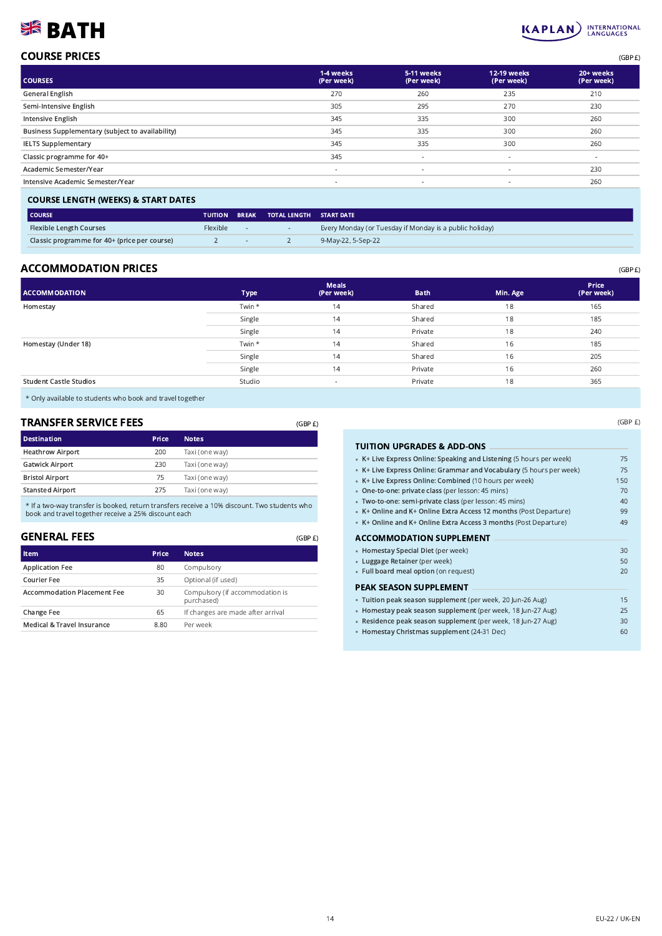# **BATH**

# KAPLAN INTERNATIONAL

(GBP £)

| <b>COURSE PRICES</b> | (GBP E) |
|----------------------|---------|
|                      |         |

| <b>COURSES</b>                                   | 1-4 weeks<br>(Per week)  | 5-11 weeks<br>(Per week) | 12-19 weeks<br>(Per week) | 20+ weeks<br>(Per week) |
|--------------------------------------------------|--------------------------|--------------------------|---------------------------|-------------------------|
| General English                                  | 270                      | 260                      | 235                       | 210                     |
| Semi-Intensive English                           | 305                      | 295                      | 270                       | 230                     |
| Intensive English                                | 345                      | 335                      | 300                       | 260                     |
| Business Supplementary (subject to availability) | 345                      | 335                      | 300                       | 260                     |
| <b>IELTS Supplementary</b>                       | 345                      | 335                      | 300                       | 260                     |
| Classic programme for 40+                        | 345                      | $\overline{\phantom{a}}$ |                           | $\sim$                  |
| Academic Semester/Year                           | $\overline{\phantom{a}}$ | $\overline{\phantom{a}}$ | $\overline{\phantom{a}}$  | 230                     |
| Intensive Academic Semester/Year                 | $\sim$                   | $\overline{\phantom{a}}$ | $\sim$                    | 260                     |
|                                                  |                          |                          |                           |                         |

#### COURSE LENGTH (WEEKS) & START DATES

| l COURSE                                     |          |            | TUITION BREAK TOTAL LENGTH START DATE |                                                         |
|----------------------------------------------|----------|------------|---------------------------------------|---------------------------------------------------------|
| <b>Flexible Length Courses</b>               | Flexible |            |                                       | Every Monday (or Tuesday if Monday is a public holiday) |
| Classic programme for 40+ (price per course) |          | $\sim$ $-$ |                                       | 9-May-22, 5-Sep-22                                      |

## ACCOMMODATION PRICES (GBP E)

| <b>ACCOMMODATION</b>          | <b>Type</b> | <b>Meals</b><br>(Per week) | <b>Bath</b> | Min. Age | Price<br>(Per week) |
|-------------------------------|-------------|----------------------------|-------------|----------|---------------------|
| Homestay                      | Twin *      | 14                         | Shared      | 18       | 165                 |
|                               | Single      | 14                         | Shared      | 18       | 185                 |
|                               | Single      | 14                         | Private     | 18       | 240                 |
| Homestay (Under 18)           | Twin *      | 14                         | Shared      | 16       | 185                 |
|                               | Single      | 14                         | Shared      | 16       | 205                 |
|                               | Single      | 14                         | Private     | 16       | 260                 |
| <b>Student Castle Studios</b> | Studio      | $\sim$                     | Private     | 18       | 365                 |
|                               |             |                            |             |          |                     |

\* Only available to students who book and travel together

# TRANSFER SERVICE FEES

| <b>TRANSFER SERVICE FEES</b> | (GBP E) |                |  |
|------------------------------|---------|----------------|--|
| <b>Destination</b>           | Price   | <b>Notes</b>   |  |
| <b>Heathrow Airport</b>      | 200     | Taxi (one way) |  |
| <b>Gatwick Airport</b>       | 230     | Taxi (one way) |  |
| <b>Bristol Airport</b>       | 75      | Taxi (one way) |  |
| <b>Stansted Airport</b>      | 275     | Taxi (one way) |  |

\* If a two-way transfer is booked, return transfers receive a 10% discount. Two students who book and travel together receive a 25% discount each

### GENERAL FEES

| <b>Item</b>                        | Price | <b>Notes</b>                                  |
|------------------------------------|-------|-----------------------------------------------|
| <b>Application Fee</b>             | 80    | Compulsory                                    |
| Courier Fee                        | 35    | Optional (if used)                            |
| <b>Accommodation Placement Fee</b> | 30    | Compulsory (if accommodation is<br>purchased) |
| Change Fee                         | 65    | If changes are made after arrival             |
| Medical & Travel Insurance         | 8.80  | Per week                                      |

| 75  |
|-----|
| 75  |
| 150 |
| 70  |
| 40  |
| 99  |
| 49  |
|     |
| 30  |
| 50  |
| 20  |
|     |
| 15  |
| 25  |
| 30  |
| 60  |
|     |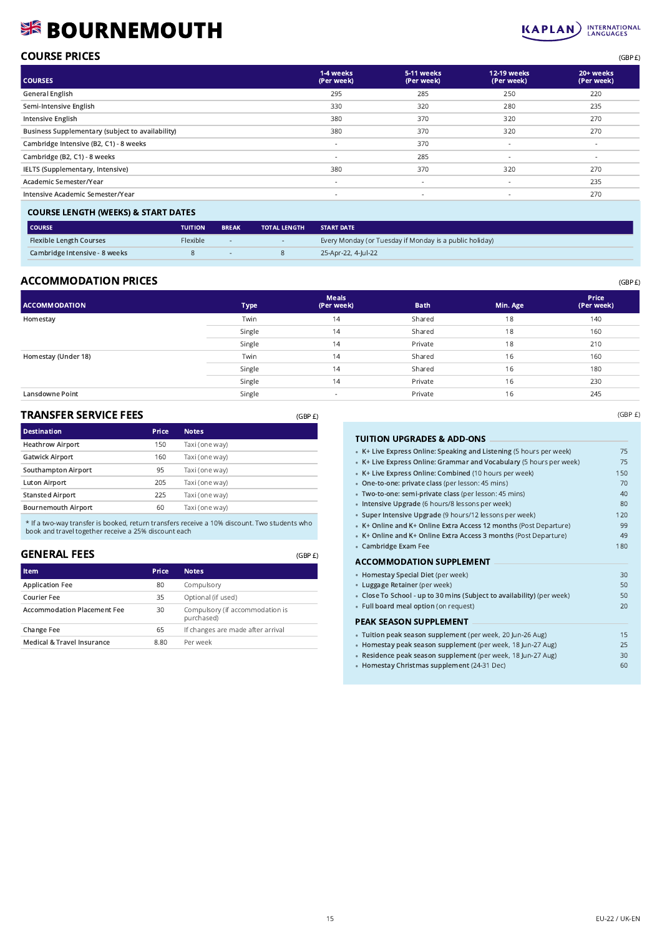# **BOURNEMOUTH**



(GBP £)

| <b>COURSE PRICES</b> | (GBP E) |
|----------------------|---------|
|                      |         |

| <b>COURSES</b>                                   | 1-4 weeks<br>(Per week)  | 5-11 weeks<br>(Per week) | 12-19 weeks<br>(Per week) | 20+ weeks<br>(Per week) |
|--------------------------------------------------|--------------------------|--------------------------|---------------------------|-------------------------|
| <b>General English</b>                           | 295                      | 285                      | 250                       | 220                     |
| Semi-Intensive English                           | 330                      | 320                      | 280                       | 235                     |
| Intensive English                                | 380                      | 370                      | 320                       | 270                     |
| Business Supplementary (subject to availability) | 380                      | 370                      | 320                       | 270                     |
| Cambridge Intensive (B2, C1) - 8 weeks           | $\sim$                   | 370                      | $\sim$                    | $\sim$                  |
| Cambridge (B2, C1) - 8 weeks                     | $\overline{\phantom{a}}$ | 285                      |                           | $\sim$                  |
| IELTS (Supplementary, Intensive)                 | 380                      | 370                      | 320                       | 270                     |
| Academic Semester/Year                           | $\sim$                   | $\overline{\phantom{a}}$ |                           | 235                     |
| Intensive Academic Semester/Year                 | $\sim$                   | $\sim$                   | $\overline{\phantom{a}}$  | 270                     |
|                                                  |                          |                          |                           |                         |

| <b>COURSE LENGTH (WEEKS) &amp; START DATES</b> |                 |                          |                     |                                                         |  |  |  |
|------------------------------------------------|-----------------|--------------------------|---------------------|---------------------------------------------------------|--|--|--|
| l COURSE                                       | <b>TUITION</b>  | <b>BREAK</b>             | <b>TOTAL LENGTH</b> | <b>START DATE</b>                                       |  |  |  |
| <b>Flexible Length Courses</b>                 | <b>Flexible</b> | $\overline{\phantom{a}}$ | $\sim$              | Every Monday (or Tuesday if Monday is a public holiday) |  |  |  |
| Cambridge Intensive - 8 weeks                  |                 | <b>COL</b>               |                     | 25-Apr-22, 4-Iul-22                                     |  |  |  |

# ACCOMMODATION PRICES (GBP E)

| <b>ACCOMMODATION</b> | <b>Type</b> | <b>Meals</b><br>(Per week) | <b>Bath</b> | Min. Age | Price<br>(Per week) |
|----------------------|-------------|----------------------------|-------------|----------|---------------------|
| Homestay             | Twin        | 14                         | Shared      | 18       | 140                 |
|                      | Single      | 14                         | Shared      | 18       | 160                 |
|                      | Single      | 14                         | Private     | 18       | 210                 |
| Homestay (Under 18)  | Twin        | 14                         | Shared      | 16       | 160                 |
|                      | Single      | 14                         | Shared      | 16       | 180                 |
|                      | Single      | 14                         | Private     | 16       | 230                 |
| Lansdowne Point      | Single      | $\blacksquare$             | Private     | 16       | 245                 |

(GBP £)

## TRANSFER SERVICE FEES

| TRANSFER SERVICE FEES      |       | (GBP E)        |
|----------------------------|-------|----------------|
| <b>Destination</b>         | Price | <b>Notes</b>   |
| <b>Heathrow Airport</b>    | 150   | Taxi (one way) |
| <b>Gatwick Airport</b>     | 160   | Taxi (one way) |
| Southampton Airport        | 95    | Taxi (one way) |
| <b>Luton Airport</b>       | 205   | Taxi (one way) |
| <b>Stansted Airport</b>    | 225   | Taxi (one way) |
| <b>Bournemouth Airport</b> | 60    | Taxi (one way) |

\* If a two-way transfer is booked, return transfers receive a 10% discount. Two students who book and travel together receive a 25% discount each

### GENERAL FEES

| <b>Item</b>                        | Price | <b>Notes</b>                                  |
|------------------------------------|-------|-----------------------------------------------|
| <b>Application Fee</b>             | 80    | Compulsory                                    |
| Courier Fee                        | 35    | Optional (if used)                            |
| <b>Accommodation Placement Fee</b> | 30    | Compulsory (if accommodation is<br>purchased) |
| Change Fee                         | 65    | If changes are made after arrival             |
| Medical & Travel Insurance         | 8.80  | Per week                                      |

|  |  | <b>TUITION UPGRADES &amp; ADD-ONS</b> |
|--|--|---------------------------------------|
|--|--|---------------------------------------|

| • K+ Live Express Online: Speaking and Listening (5 hours per week)    | 75  |
|------------------------------------------------------------------------|-----|
| • K+ Live Express Online: Grammar and Vocabulary (5 hours per week)    | 75  |
| • K+ Live Express Online: Combined (10 hours per week)                 | 150 |
| • One-to-one: private class (per lesson: 45 mins)                      | 70  |
| · Two-to-one: semi-private class (per lesson: 45 mins)                 | 40  |
| · Intensive Upgrade (6 hours/8 lessons per week)                       | 80  |
| • Super Intensive Upgrade (9 hours/12 lessons per week)                | 120 |
| • K+ Online and K+ Online Extra Access 12 months (Post Departure)      | 99  |
| • K+ Online and K+ Online Extra Access 3 months (Post Departure)       | 49  |
| • Cambridge Exam Fee                                                   | 180 |
| <b>ACCOMMODATION SUPPLEMENT</b>                                        |     |
| • Homestay Special Diet (per week)                                     | 30  |
| • Luggage Retainer (per week)                                          | 50  |
| • Close To School - up to 30 mins (Subject to availability) (per week) | 50  |
| · Full board meal option (on request)                                  | 20  |
| <b>PEAK SEASON SUPPLEMENT</b>                                          |     |
| · Tuition peak season supplement (per week, 20 Jun-26 Aug)             | 15  |
| · Homestay peak season supplement (per week, 18 Jun-27 Aug)            | 25  |
| · Residence peak season supplement (per week, 18 Jun-27 Aug)           | 30  |
| • Homestay Christmas supplement (24-31 Dec)                            | 60  |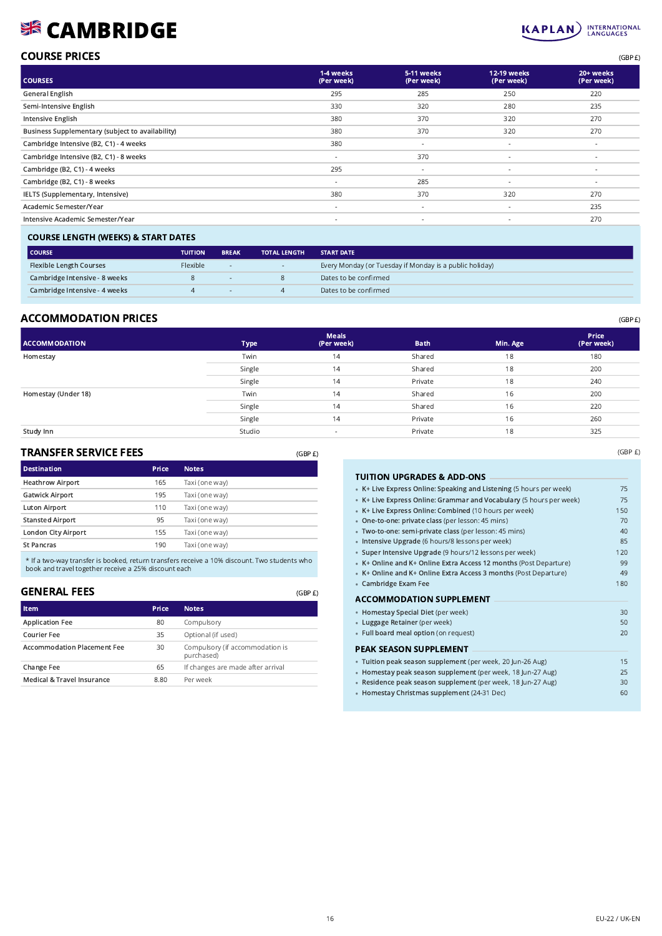# **SIS CAMBRIDGE**



# COURSE PRICES (GBP £)

| <b>COURSES</b>                                   | 1-4 weeks<br>(Per week)  | 5-11 weeks<br>(Per week) | 12-19 weeks<br>(Per week) | 20+ weeks<br>(Per week)  |
|--------------------------------------------------|--------------------------|--------------------------|---------------------------|--------------------------|
| General English                                  | 295                      | 285                      | 250                       | 220                      |
| Semi-Intensive English                           | 330                      | 320                      | 280                       | 235                      |
| Intensive English                                | 380                      | 370                      | 320                       | 270                      |
| Business Supplementary (subject to availability) | 380                      | 370                      | 320                       | 270                      |
| Cambridge Intensive (B2, C1) - 4 weeks           | 380                      | $\overline{\phantom{a}}$ | $\sim$                    | $\sim$                   |
| Cambridge Intensive (B2, C1) - 8 weeks           | $\sim$                   | 370                      | $\sim$                    | $\sim$                   |
| Cambridge (B2, C1) - 4 weeks                     | 295                      | $\sim$                   | $\sim$                    | $\overline{\phantom{a}}$ |
| Cambridge (B2, C1) - 8 weeks                     | $\overline{\phantom{a}}$ | 285                      | $\overline{\phantom{a}}$  | $\sim$                   |
| IELTS (Supplementary, Intensive)                 | 380                      | 370                      | 320                       | 270                      |
| Academic Semester/Year                           | $\overline{\phantom{a}}$ | $\overline{\phantom{a}}$ | ٠                         | 235                      |
| Intensive Academic Semester/Year                 | $\sim$                   | $\sim$                   | $\sim$                    | 270                      |

### COURSE LENGTH (WEEKS) & START DATES

| COURSE                         | <b>TUITION</b> | <b>BREAK</b> | <b>TOTAL LENGTH</b> | <b>START DATE</b>                                       |
|--------------------------------|----------------|--------------|---------------------|---------------------------------------------------------|
| <b>Flexible Length Courses</b> | Flexible       | $\sim$       |                     | Every Monday (or Tuesday if Monday is a public holiday) |
| Cambridge Intensive - 8 weeks  |                |              |                     | Dates to be confirmed                                   |
| Cambridge Intensive - 4 weeks  |                | $\sim$       |                     | Dates to be confirmed                                   |

# ACCOMMODATION PRICES (GBP £)

TRANSFER SERVICE FEES

| <b>ACCOMMODATION</b> | <b>Type</b> | <b>Meals</b><br>(Per week) | <b>Bath</b> | Min. Age | Price<br>(Per week) |
|----------------------|-------------|----------------------------|-------------|----------|---------------------|
| Homestay             | Twin        | 14                         | Shared      | 18       | 180                 |
|                      | Single      | 14                         | Shared      | 18       | 200                 |
|                      | Single      | 14                         | Private     | 18       | 240                 |
| Homestay (Under 18)  | Twin        | 14                         | Shared      | 16       | 200                 |
|                      | Single      | 14                         | Shared      | 16       | 220                 |
|                      | Single      | 14                         | Private     | 16       | 260                 |
| Study Inn            | Studio      | $\,$                       | Private     | 18       | 325                 |

(GBP £)

| <b>Destination</b><br>Price<br><b>Notes</b><br><b>Heathrow Airport</b><br>165<br>Taxi (one way)<br><b>Gatwick Airport</b><br>195<br>Taxi (one way)<br>Luton Airport<br>110<br>Taxi (one way)<br><b>Stansted Airport</b><br>95<br>Taxi (one way)<br>London City Airport<br>155<br>Taxi (one way)<br><b>St Pancras</b><br>190<br>Taxi (one way) | TRANSFER SERVICE FEES |  | (GBP E) |
|-----------------------------------------------------------------------------------------------------------------------------------------------------------------------------------------------------------------------------------------------------------------------------------------------------------------------------------------------|-----------------------|--|---------|
|                                                                                                                                                                                                                                                                                                                                               |                       |  |         |
|                                                                                                                                                                                                                                                                                                                                               |                       |  |         |
|                                                                                                                                                                                                                                                                                                                                               |                       |  |         |
|                                                                                                                                                                                                                                                                                                                                               |                       |  |         |
|                                                                                                                                                                                                                                                                                                                                               |                       |  |         |
|                                                                                                                                                                                                                                                                                                                                               |                       |  |         |
|                                                                                                                                                                                                                                                                                                                                               |                       |  |         |

\* If a two-way transfer is booked, return transfers receive a 10% discount. Two students who book and travel together receive a 25% discount each

### GENERAL FEES

| <b>Item</b>                        | Price | <b>Notes</b>                                  |
|------------------------------------|-------|-----------------------------------------------|
| <b>Application Fee</b>             | 80    | Compulsory                                    |
| Courier Fee                        | 35    | Optional (if used)                            |
| <b>Accommodation Placement Fee</b> | 30    | Compulsory (if accommodation is<br>purchased) |
| Change Fee                         | 65    | If changes are made after arrival             |
| Medical & Travel Insurance         | 8.80  | Per week                                      |

| <b>TUITION UPGRADES &amp; ADD-ONS</b>                               |     |
|---------------------------------------------------------------------|-----|
| • K+ Live Express Online: Speaking and Listening (5 hours per week) | 75  |
| • K+ Live Express Online: Grammar and Vocabulary (5 hours per week) | 75  |
| • K+ Live Express Online: Combined (10 hours per week)              | 150 |
| • One-to-one: private class (per lesson: 45 mins)                   | 70  |
| · Two-to-one: semi-private class (per lesson: 45 mins)              | 40  |
| · Intensive Upgrade (6 hours/8 lessons per week)                    | 85  |
| • Super Intensive Upgrade (9 hours/12 lessons per week)             | 120 |
| • K+ Online and K+ Online Extra Access 12 months (Post Departure)   | 99  |
| • K+ Online and K+ Online Extra Access 3 months (Post Departure)    | 49  |
| • Cambridge Exam Fee                                                | 180 |
| ACCOMMODATION SUPPLEMENT                                            |     |
| • Homestay Special Diet (per week)                                  | 30  |
| • Luggage Retainer (per week)                                       | 50  |
| • Full board meal option (on request)                               | 20  |
| PEAK SEASON SUPPLEMENT                                              |     |
| · Tuition peak season supplement (per week, 20 Jun-26 Aug)          | 15  |
| · Homestay peak season supplement (per week, 18 Jun-27 Aug)         | 25  |
| · Residence peak season supplement (per week, 18 Jun-27 Aug)        | 30  |
| • Homestay Christmas supplement (24-31 Dec)                         | 60  |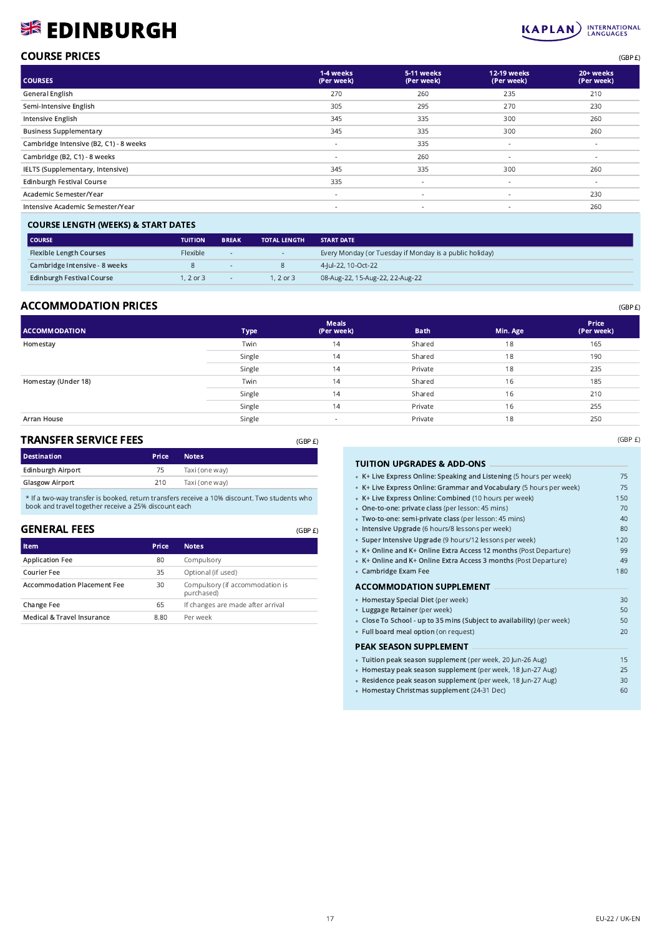# **SEDINBURGH**



| <b>COURSE PRICES</b> | (GBP £) |
|----------------------|---------|
|                      |         |

| <b>COURSES</b>                         | 1-4 weeks<br>(Per week)  | 5-11 weeks<br>(Per week) | <b>12-19 weeks</b><br>(Per week) | 20+ weeks<br>(Per week) |
|----------------------------------------|--------------------------|--------------------------|----------------------------------|-------------------------|
| <b>General English</b>                 | 270                      | 260                      | 235                              | 210                     |
| Semi-Intensive English                 | 305                      | 295                      | 270                              | 230                     |
| Intensive English                      | 345                      | 335                      | 300                              | 260                     |
| <b>Business Supplementary</b>          | 345                      | 335                      | 300                              | 260                     |
| Cambridge Intensive (B2, C1) - 8 weeks | $\overline{\phantom{a}}$ | 335                      | $\sim$                           | $\sim$                  |
| Cambridge (B2, C1) - 8 weeks           | $\sim$                   | 260                      | $\sim$                           | $\sim$                  |
| IELTS (Supplementary, Intensive)       | 345                      | 335                      | 300                              | 260                     |
| <b>Edinburgh Festival Course</b>       | 335                      | $\overline{\phantom{a}}$ | $\overline{\phantom{a}}$         | $\sim$                  |
| Academic Semester/Year                 | $\sim$                   | $\overline{\phantom{a}}$ | $\overline{\phantom{a}}$         | 230                     |
| Intensive Academic Semester/Year       | $\overline{\phantom{a}}$ | $\overline{\phantom{a}}$ | $\overline{\phantom{a}}$         | 260                     |
|                                        |                          |                          |                                  |                         |

#### COURSE LENGTH (WEEKS) & START DATES

| <b>COURSE</b>                    | <b>TUITION</b>  | <b>BREAK</b>     | <b>TOTAL LENGTH</b> | <b>START DATE</b>                                       |
|----------------------------------|-----------------|------------------|---------------------|---------------------------------------------------------|
| <b>Flexible Length Courses</b>   | <b>Flexible</b> | $\sim$           | $\sim$ $-$          | Every Monday (or Tuesday if Monday is a public holiday) |
| Cambridge Intensive - 8 weeks    |                 | <b>CONTINUES</b> | 8                   | 4-Jul-22, 10-Oct-22                                     |
| <b>Edinburgh Festival Course</b> | $.2$ or 3       | $\sim$           | 1, 2 or 3           | 08-Aug-22, 15-Aug-22, 22-Aug-22                         |

# $\mathsf{ACCOMMODATION\;PRICES}$  (GBP  $\pmb{\epsilon}$ )

| <b>ACCOMMODATION</b> | Type   | <b>Meals</b><br>(Per week) | <b>Bath</b> | Min. Age | Price<br>(Per week) |
|----------------------|--------|----------------------------|-------------|----------|---------------------|
| Homestay             | Twin   | 14                         | Shared      | 18       | 165                 |
|                      | Single | 14                         | Shared      | 18       | 190                 |
|                      | Single | 14                         | Private     | 18       | 235                 |
| Homestay (Under 18)  | Twin   | 14                         | Shared      | 16       | 185                 |
|                      | Single | 14                         | Shared      | 16       | 210                 |
|                      | Single | 14                         | Private     | 16       | 255                 |
| Arran House          | Single |                            | Private     | 18       | 250                 |

#### TRANSFER SERVICE FEES

| <b>Destination</b>     | <b>Price</b> | <b>Notes</b>   |
|------------------------|--------------|----------------|
| Edinburgh Airport      | 75           | Taxi (one way) |
| <b>Glasgow Airport</b> | 210          | Taxi (one way) |
|                        |              |                |

\* If a two-way transfer is booked, return transfers receive a 10% discount. Two students who book and travel together receive a 25% discount each

### GENERAL FEES

(GBP £)

| Item                               | Price | <b>Notes</b>                                  |
|------------------------------------|-------|-----------------------------------------------|
| <b>Application Fee</b>             | 80    | Compulsory                                    |
| Courier Fee                        | 35    | Optional (if used)                            |
| <b>Accommodation Placement Fee</b> | 30    | Compulsory (if accommodation is<br>purchased) |
| Change Fee                         | 65    | If changes are made after arrival             |
| Medical & Travel Insurance         | 8.80  | Per week                                      |
|                                    |       |                                               |

#### TUITION UPGRADES & ADD-ONS •• K+ Live Express Online: Speaking and Listening (5 hours per week) 75 • K+ Live Express Online: Grammar and Vocabulary (5 hours per week) 75 • K+ Live Express Online: Combined (10 hours per week) 150 • One-to-one: private class (per lesson: 45 mins) 70 • Two-to-one: semi-private class (per lesson: 45 mins) 40 • Intensive Upgrade (6 hours/8 lessons per week) and the state of the state of the 80 • Super Intensive Upgrade (9 hours/12 lessons per week) 120 • K+ Online and K+ Online Extra Access 12 months (Post Departure) 99 • K+ Online and K+ Online Extra Access 3 months (Post Departure) 49 **Cambridge Exam Fee** 180 ACCOMMODATION SUPPLEMENT •• Homestay Special Diet (per week) 30 • Luggage Retainer (per week) **50** • Close To School - up to 35 mins (Subject to availability) (per week) 50 Full board meal option (on request) 20 PEAK SEASON SUPPLEMENT •• Tuition peak season supplement (per week, 20 Jun-26 Aug) 15 • Homestay peak season supplement (per week, 18 Jun-27 Aug) 25 • Residence peak season supplement (per week, 18 Jun-27 Aug) 30 Homestay Christmas supplement (24-31 Dec) 60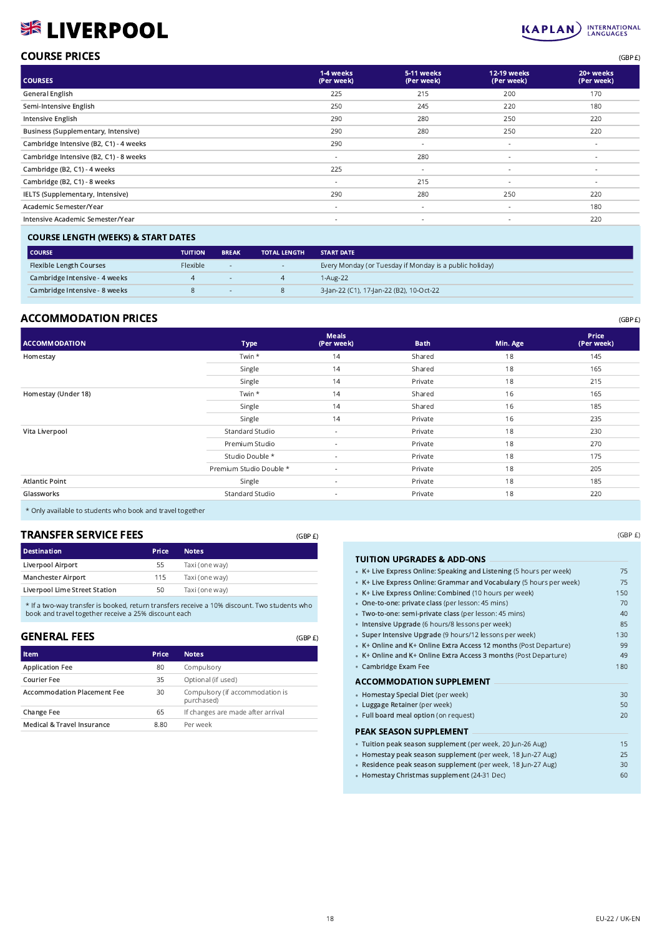# **% LIVERPOOL**

#### **INTERNATIONAL**<br>LANGUAGES  $KAPLAN$

# COURSE PRICES (GBP £)

| <b>COURSES</b>                         | 1-4 weeks<br>(Per week)  | 5-11 weeks<br>(Per week) | 12-19 weeks<br>(Per week) | 20+ weeks<br>(Per week) |
|----------------------------------------|--------------------------|--------------------------|---------------------------|-------------------------|
| General English                        | 225                      | 215                      | 200                       | 170                     |
| Semi-Intensive English                 | 250                      | 245                      | 220                       | 180                     |
| Intensive English                      | 290                      | 280                      | 250                       | 220                     |
| Business (Supplementary, Intensive)    | 290                      | 280                      | 250                       | 220                     |
| Cambridge Intensive (B2, C1) - 4 weeks | 290                      | $\sim$                   | $\overline{\phantom{a}}$  | $\sim$                  |
| Cambridge Intensive (B2, C1) - 8 weeks | $\sim$                   | 280                      | $\sim$                    | $\sim$                  |
| Cambridge (B2, C1) - 4 weeks           | 225                      | $\sim$                   | $\sim$                    | $\sim$                  |
| Cambridge (B2, C1) - 8 weeks           | ٠                        | 215                      |                           | ۰                       |
| IELTS (Supplementary, Intensive)       | 290                      | 280                      | 250                       | 220                     |
| Academic Semester/Year                 | ٠                        | $\overline{\phantom{a}}$ | $\sim$                    | 180                     |
| Intensive Academic Semester/Year       | $\overline{\phantom{a}}$ | $\overline{\phantom{a}}$ | $\sim$                    | 220                     |
|                                        |                          |                          |                           |                         |

### COURSE LENGTH (WEEKS) & START DATES

| <b>COURSE</b>                  | <b>TUITION</b> | <b>BREAK</b> | <b>TOTAL LENGTH</b> | <b>START DATE</b>                                       |
|--------------------------------|----------------|--------------|---------------------|---------------------------------------------------------|
| <b>Flexible Length Courses</b> | Flexible       | $\sim$       | <b>State State</b>  | Every Monday (or Tuesday if Monday is a public holiday) |
| Cambridge Intensive - 4 weeks  |                | $\sim$       |                     | 1-Aug-22                                                |
| Cambridge Intensive - 8 weeks  |                | $\sim$       |                     | 3-Jan-22 (C1), 17-Jan-22 (B2), 10-Oct-22                |

# ACCOMMODATION PRICES (GBP E)

| <b>ACCOMMODATION</b>  | <b>Type</b>             | <b>Meals</b><br>(Per week) | <b>Bath</b> | Min. Age | Price<br>(Per week) |
|-----------------------|-------------------------|----------------------------|-------------|----------|---------------------|
| Homestay              | Twin *                  | 14                         | Shared      | 18       | 145                 |
|                       | Single                  | 14                         | Shared      | 18       | 165                 |
|                       | Single                  | 14                         | Private     | 18       | 215                 |
| Homestay (Under 18)   | Twin *                  | 14                         | Shared      | 16       | 165                 |
|                       | Single                  | 14                         | Shared      | 16       | 185                 |
|                       | Single                  | 14                         | Private     | 16       | 235                 |
| Vita Liverpool        | Standard Studio         | $\sim$                     | Private     | 18       | 230                 |
|                       | Premium Studio          | $\overline{\phantom{a}}$   | Private     | 18       | 270                 |
|                       | Studio Double *         | $\overline{\phantom{a}}$   | Private     | 18       | 175                 |
|                       | Premium Studio Double * | $\sim$                     | Private     | 18       | 205                 |
| <b>Atlantic Point</b> | Single                  | $\sim$                     | Private     | 18       | 185                 |
| Glassworks            | Standard Studio         | $\sim$                     | Private     | 18       | 220                 |

(GBP £)

(GBP £)

\* Only available to students who book and travel together

## TRANSFER SERVICE FEES

| <b>Destination</b>            | <b>Price</b> | <b>Notes</b>   |
|-------------------------------|--------------|----------------|
| Liverpool Airport             | 55           | Taxi (one way) |
| <b>Manchester Airport</b>     | 115          | Taxi (one way) |
| Liverpool Lime Street Station | 50           | Taxi (one way) |
|                               |              |                |

\* If a two-way transfer is booked, return transfers receive a 10% discount. Two students who book and travel together receive a 25% discount each

### GENERAL FEES

| <b>Item</b>                        | Price | <b>Notes</b>                                  |
|------------------------------------|-------|-----------------------------------------------|
| <b>Application Fee</b>             | 80    | Compulsory                                    |
| Courier Fee                        | 35    | Optional (if used)                            |
| <b>Accommodation Placement Fee</b> | 30    | Compulsory (if accommodation is<br>purchased) |
| Change Fee                         | 65    | If changes are made after arrival             |
| Medical & Travel Insurance         | 8.80  | Per week                                      |

(GBP £)

| TUITION UPGRADES & ADD-ONS                                          |     |
|---------------------------------------------------------------------|-----|
| • K+ Live Express Online: Speaking and Listening (5 hours per week) | 75  |
| • K+ Live Express Online: Grammar and Vocabulary (5 hours per week) | 75  |
| • K+ Live Express Online: Combined (10 hours per week)              | 150 |
| • One-to-one: private class (per lesson: 45 mins)                   | 70  |
| · Two-to-one: semi-private class (per lesson: 45 mins)              | 40  |
| · Intensive Upgrade (6 hours/8 lessons per week)                    | 85  |
| • Super Intensive Upgrade (9 hours/12 lessons per week)             | 130 |
| • K+ Online and K+ Online Extra Access 12 months (Post Departure)   | 99  |
| • K+ Online and K+ Online Extra Access 3 months (Post Departure)    | 49  |
| • Cambridge Exam Fee                                                | 180 |
| <b>ACCOMMODATION SUPPLEMENT</b>                                     |     |
| • Homestay Special Diet (per week)                                  | 30  |
| • Luggage Retainer (per week)                                       | 50  |
| • Full board meal option (on request)                               | 20  |
| <b>PEAK SEASON SUPPLEMENT</b>                                       |     |
| · Tuition peak season supplement (per week, 20 Jun-26 Aug)          | 15  |
| • Homestay peak season supplement (per week, 18 Jun-27 Aug)         | 25  |
| · Residence peak season supplement (per week, 18 Jun-27 Aug)        | 30  |

Homestay Christmas supplement (24-31 Dec) 60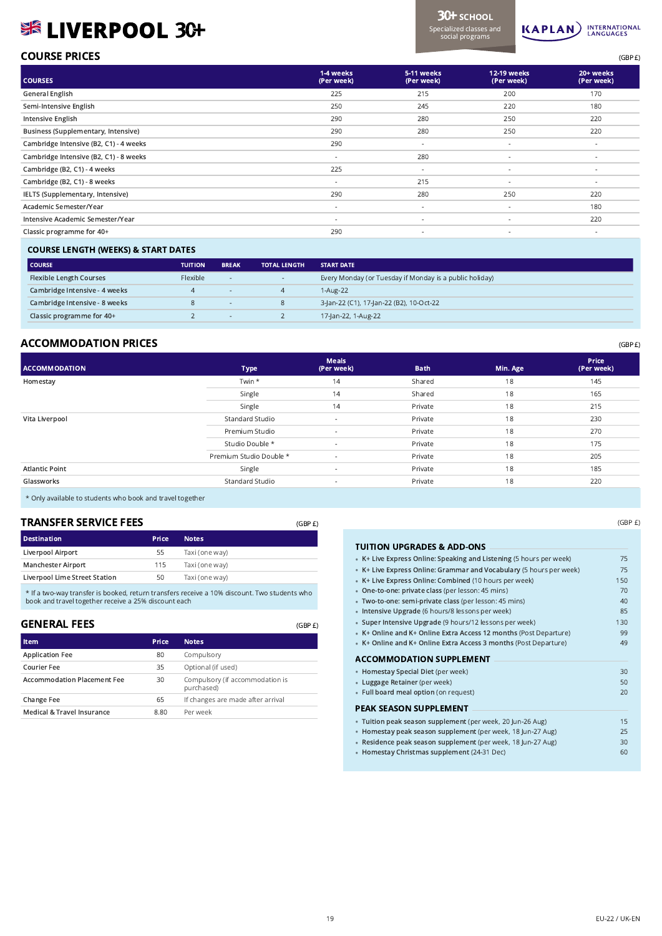# **SISK LIVERPOOL 3C+**

3CH SCHOOL Specialized classes and social programs



# **COURSE PRICES** (GBP £)

| <b>COURSES</b>                         | 1-4 weeks<br>(Per week)  | 5-11 weeks<br>(Per week) | 12-19 weeks<br>(Per week) | 20+ weeks<br>(Per week)  |
|----------------------------------------|--------------------------|--------------------------|---------------------------|--------------------------|
| <b>General English</b>                 | 225                      | 215                      | 200                       | 170                      |
| Semi-Intensive English                 | 250                      | 245                      | 220                       | 180                      |
| Intensive English                      | 290                      | 280                      | 250                       | 220                      |
| Business (Supplementary, Intensive)    | 290                      | 280                      | 250                       | 220                      |
| Cambridge Intensive (B2, C1) - 4 weeks | 290                      | $\overline{\phantom{a}}$ | $\sim$                    | $\overline{\phantom{a}}$ |
| Cambridge Intensive (B2, C1) - 8 weeks | $\overline{\phantom{a}}$ | 280                      | $\sim$                    | ٠                        |
| Cambridge (B2, C1) - 4 weeks           | 225                      | $\sim$                   | $\sim$                    | $\overline{\phantom{a}}$ |
| Cambridge (B2, C1) - 8 weeks           | $\overline{\phantom{a}}$ | 215                      | $\overline{\phantom{a}}$  | ٠                        |
| IELTS (Supplementary, Intensive)       | 290                      | 280                      | 250                       | 220                      |
| Academic Semester/Year                 | $\overline{\phantom{a}}$ | $\sim$                   | $\overline{\phantom{a}}$  | 180                      |
| Intensive Academic Semester/Year       | $\overline{\phantom{a}}$ | $\overline{\phantom{a}}$ | $\overline{\phantom{a}}$  | 220                      |
| Classic programme for 40+              | 290                      | $\overline{\phantom{a}}$ | $\overline{\phantom{a}}$  | $\overline{\phantom{a}}$ |

#### COURSE LENGTH (WEEKS) & START DATES

| <b>COURSE</b>                  | <b>TUITION</b>  | <b>BREAK</b>             | <b>TOTAL LENGTH</b> | <b>START DATE</b>                                       |
|--------------------------------|-----------------|--------------------------|---------------------|---------------------------------------------------------|
| <b>Flexible Length Courses</b> | <b>Flexible</b> | $\overline{\phantom{a}}$ | $\sim$              | Every Monday (or Tuesday if Monday is a public holiday) |
| Cambridge Intensive - 4 weeks  |                 |                          |                     | 1-Aug-22                                                |
| Cambridge Intensive - 8 weeks  |                 |                          |                     | 3-Jan-22 (C1), 17-Jan-22 (B2), 10-Oct-22                |
| Classic programme for 40+      |                 |                          |                     | 17-Jan-22, 1-Aug-22                                     |

# ACCOMMODATION PRICES (GBP E)

| <b>ACCOMMODATION</b>  | <b>Type</b>             | <b>Meals</b><br>(Per week) | <b>Bath</b> | Min. Age | <b>Price</b><br>(Per week) |
|-----------------------|-------------------------|----------------------------|-------------|----------|----------------------------|
| Homestay              | Twin *                  | 14                         | Shared      | 18       | 145                        |
|                       | Single                  | 14                         | Shared      | 18       | 165                        |
|                       | Single                  | 14                         | Private     | 18       | 215                        |
| Vita Liverpool        | Standard Studio         | $\overline{\phantom{a}}$   | Private     | 18       | 230                        |
|                       | Premium Studio          | $\overline{\phantom{a}}$   | Private     | 18       | 270                        |
|                       | Studio Double *         | $\overline{\phantom{a}}$   | Private     | 18       | 175                        |
|                       | Premium Studio Double * | $\overline{\phantom{a}}$   | Private     | 18       | 205                        |
| <b>Atlantic Point</b> | Single                  | $\sim$                     | Private     | 18       | 185                        |
| Glassworks            | Standard Studio         | $\sim$                     | Private     | 18       | 220                        |
|                       |                         |                            |             |          |                            |

(GBP £)

(GBP £)

\* Only available to students who book and travel together

## TRANSFER SERVICE FEES

| Destination                   | Price | <b>Notes</b>   |
|-------------------------------|-------|----------------|
| Liverpool Airport             | 55    | Taxi (one way) |
| <b>Manchester Airport</b>     | 115   | Taxi (one way) |
| Liverpool Lime Street Station | 50    | Taxi (one way) |

\* If a two-way transfer is booked, return transfers receive a 10% discount. Two students who book and travel together receive a 25% discount each

#### GENERAL FEES

| <b>Item</b>                        | Price | <b>Notes</b>                                  |
|------------------------------------|-------|-----------------------------------------------|
| <b>Application Fee</b>             | 80    | Compulsory                                    |
| Courier Fee                        | 35    | Optional (if used)                            |
| <b>Accommodation Placement Fee</b> | 30    | Compulsory (if accommodation is<br>purchased) |
| Change Fee                         | 65    | If changes are made after arrival             |
| Medical & Travel Insurance         | 8.80  | Per week                                      |

(GBP £)

| TUITION UPGRADES & ADD-ONS                                          |     |
|---------------------------------------------------------------------|-----|
| • K+ Live Express Online: Speaking and Listening (5 hours per week) | 75  |
| • K+ Live Express Online: Grammar and Vocabulary (5 hours per week) | 75  |
| • K+ Live Express Online: Combined (10 hours per week)              | 150 |
| • One-to-one: private class (per lesson: 45 mins)                   | 70  |
| · Two-to-one: semi-private class (per lesson: 45 mins)              | 40  |
| · Intensive Upgrade (6 hours/8 lessons per week)                    | 85  |
| · Super Intensive Upgrade (9 hours/12 lessons per week)             | 130 |
| • K+ Online and K+ Online Extra Access 12 months (Post Departure)   | 99  |
| • K+ Online and K+ Online Extra Access 3 months (Post Departure)    | 49  |
| <b>ACCOMMODATION SUPPLEMENT</b>                                     |     |
| • Homestay Special Diet (per week)                                  | 30  |
| • Luggage Retainer (per week)                                       | 50  |
| • Full board meal option (on request)                               | 20  |
| PEAK SEASON SUPPLEMENT                                              |     |
| · Tuition peak season supplement (per week, 20 Jun-26 Aug)          | 15  |
| · Homestay peak season supplement (per week, 18 Jun-27 Aug)         | 25  |
| · Residence peak season supplement (per week, 18 Jun-27 Aug)        | 30  |

• Homestay Christmas supplement (24-31 Dec) 60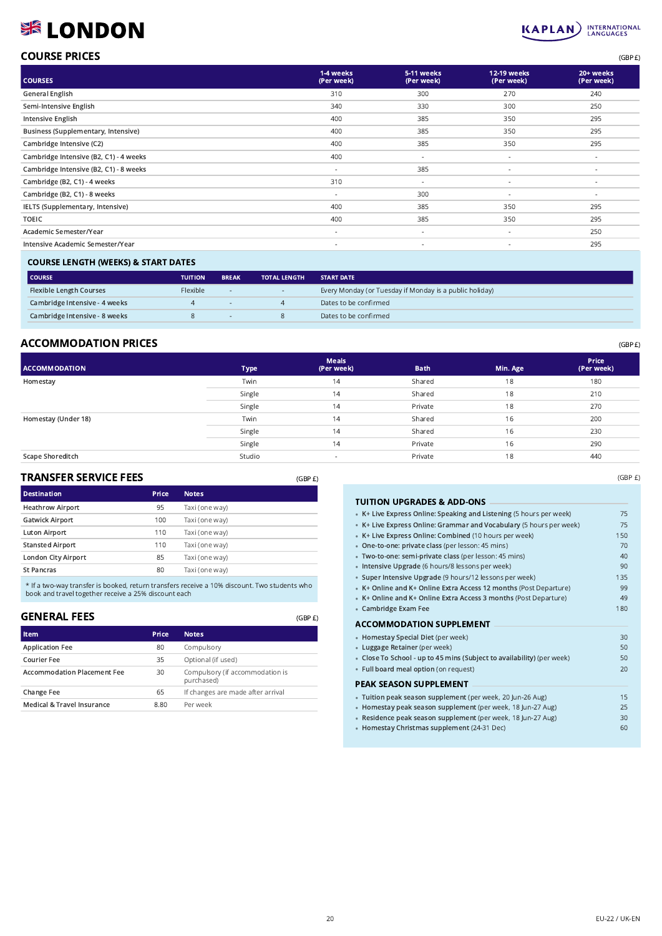# **SE LONDON**

# KAPLAN INTERNATIONAL

| <b>COURSE PRICES</b> | (GBP E) |
|----------------------|---------|
|                      |         |

| <b>COURSES</b>                         | 1-4 weeks<br>(Per week)  | 5-11 weeks<br>(Per week) | 12-19 weeks<br>(Per week) | 20+ weeks<br>(Per week) |
|----------------------------------------|--------------------------|--------------------------|---------------------------|-------------------------|
| <b>General English</b>                 | 310                      | 300                      | 270                       | 240                     |
| Semi-Intensive English                 | 340                      | 330                      | 300                       | 250                     |
| Intensive English                      | 400                      | 385                      | 350                       | 295                     |
| Business (Supplementary, Intensive)    | 400                      | 385                      | 350                       | 295                     |
| Cambridge Intensive (C2)               | 400                      | 385                      | 350                       | 295                     |
| Cambridge Intensive (B2, C1) - 4 weeks | 400                      | $\overline{\phantom{a}}$ | $\overline{\phantom{a}}$  | $\sim$                  |
| Cambridge Intensive (B2, C1) - 8 weeks | ٠                        | 385                      | $\overline{\phantom{a}}$  | $\sim$                  |
| Cambridge (B2, C1) - 4 weeks           | 310                      | $\overline{\phantom{a}}$ |                           | $\sim$                  |
| Cambridge (B2, C1) - 8 weeks           | ٠                        | 300                      | $\overline{\phantom{a}}$  | $\sim$                  |
| IELTS (Supplementary, Intensive)       | 400                      | 385                      | 350                       | 295                     |
| <b>TOEIC</b>                           | 400                      | 385                      | 350                       | 295                     |
| Academic Semester/Year                 | $\overline{\phantom{a}}$ | $\overline{\phantom{a}}$ | $\overline{\phantom{a}}$  | 250                     |
| Intensive Academic Semester/Year       | $\sim$                   | $\overline{\phantom{a}}$ | $\sim$                    | 295                     |
|                                        |                          |                          |                           |                         |

## COURSE LENGTH (WEEKS) & START DATES

| l COURSE                       | <b>TUITION</b> | <b>BREAK</b>             | <b>TOTAL LENGTH</b> | <b>START DATE</b>                                       |
|--------------------------------|----------------|--------------------------|---------------------|---------------------------------------------------------|
| <b>Flexible Length Courses</b> | Flexible       | $\overline{\phantom{a}}$ | $\sim$              | Every Monday (or Tuesday if Monday is a public holiday) |
| Cambridge Intensive - 4 weeks  |                |                          |                     | Dates to be confirmed                                   |
| Cambridge Intensive - 8 weeks  |                |                          |                     | Dates to be confirmed                                   |

## ACCOMMODATION PRICES (GBP £)

| <b>ACCOMMODATION</b> | <b>Type</b> | <b>Meals</b><br>(Per week) | <b>Bath</b> | Min. Age | Price<br>(Per week) |
|----------------------|-------------|----------------------------|-------------|----------|---------------------|
| Homestay             | Twin        | 14                         | Shared      | 18       | 180                 |
|                      | Single      | 14                         | Shared      | 18       | 210                 |
|                      | Single      | 14                         | Private     | 18       | 270                 |
| Homestay (Under 18)  | Twin        | 14                         | Shared      | 16       | 200                 |
|                      | Single      | 14                         | Shared      | 16       | 230                 |
|                      | Single      | 14                         | Private     | 16       | 290                 |
| Scape Shoreditch     | Studio      | $\,$                       | Private     | 18       | 440                 |

(GBP £)

(GBP £)

#### TRANSFER SERVICE FEES

| <b>Destination</b>      | Price | <b>Notes</b>   |
|-------------------------|-------|----------------|
| <b>Heathrow Airport</b> | 95    | Taxi (one way) |
| <b>Gatwick Airport</b>  | 100   | Taxi (one way) |
| <b>Luton Airport</b>    | 110   | Taxi (one way) |
| <b>Stansted Airport</b> | 110   | Taxi (one way) |
| London City Airport     | 85    | Taxi (one way) |
| <b>St Pancras</b>       | 80    | Taxi (one way) |

\* If a two-way transfer is booked, return transfers receive a 10% discount. Two students who book and travel together receive a 25% discount each

# GENERAL FEES

| <b>Item</b>                        | Price | <b>Notes</b>                                  |
|------------------------------------|-------|-----------------------------------------------|
| <b>Application Fee</b>             | 80    | Compulsory                                    |
| Courier Fee                        | 35    | Optional (if used)                            |
| <b>Accommodation Placement Fee</b> | 30    | Compulsory (if accommodation is<br>purchased) |
| Change Fee                         | 65    | If changes are made after arrival             |
| Medical & Travel Insurance         | 8.80  | Per week                                      |

| <b>TUITION UPGRADES &amp; ADD-ONS</b>                                  |     |
|------------------------------------------------------------------------|-----|
| • K+ Live Express Online: Speaking and Listening (5 hours per week)    | 75  |
| • K+ Live Express Online: Grammar and Vocabulary (5 hours per week)    | 75  |
| • K+ Live Express Online: Combined (10 hours per week)                 | 150 |
| . One-to-one: private class (per lesson: 45 mins)                      | 70  |
| · Two-to-one: semi-private class (per lesson: 45 mins)                 | 40  |
| · Intensive Upgrade (6 hours/8 lessons per week)                       | 90  |
| • Super Intensive Upgrade (9 hours/12 lessons per week)                | 135 |
| • K+ Online and K+ Online Extra Access 12 months (Post Departure)      | 99  |
| • K+ Online and K+ Online Extra Access 3 months (Post Departure)       | 49  |
| • Cambridge Exam Fee                                                   | 180 |
|                                                                        |     |
| <b>ACCOMMODATION SUPPLEMENT</b>                                        |     |
| • Homestay Special Diet (per week)                                     | 30  |
| • Luggage Retainer (per week)                                          | 50  |
| • Close To School - up to 45 mins (Subject to availability) (per week) | 50  |
| · Full board meal option (on request)                                  | 20  |
| PEAK SEASON SUPPLEMENT                                                 |     |
| · Tuition peak season supplement (per week, 20 Jun-26 Aug)             | 15  |
| • Homestay peak season supplement (per week, 18 Jun-27 Aug)            | 25  |
| · Residence peak season supplement (per week, 18 Jun-27 Aug)           | 30  |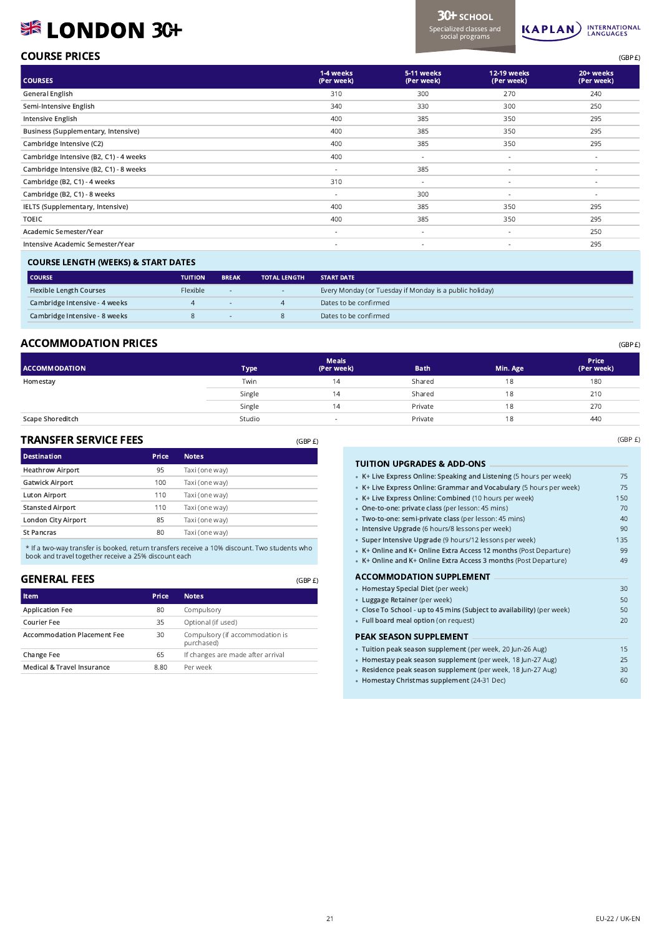# SE LONDON 3C+



# $\mathsf{COMRSE}$  PRICES  $\mathsf{GBP} \, \mathsf{E}$

| <b>COURSES</b>                         | 1-4 weeks<br>(Per week)  | 5-11 weeks<br>(Per week) | 12-19 weeks<br>(Per week) | 20+ weeks<br>(Per week)  |
|----------------------------------------|--------------------------|--------------------------|---------------------------|--------------------------|
| <b>General English</b>                 | 310                      | 300                      | 270                       | 240                      |
| Semi-Intensive English                 | 340                      | 330                      | 300                       | 250                      |
| <b>Intensive English</b>               | 400                      | 385                      | 350                       | 295                      |
| Business (Supplementary, Intensive)    | 400                      | 385                      | 350                       | 295                      |
| Cambridge Intensive (C2)               | 400                      | 385                      | 350                       | 295                      |
| Cambridge Intensive (B2, C1) - 4 weeks | 400                      | $\sim$                   | ×.                        | $\sim$                   |
| Cambridge Intensive (B2, C1) - 8 weeks | $\sim$                   | 385                      | ٠                         | $\overline{\phantom{a}}$ |
| Cambridge (B2, C1) - 4 weeks           | 310                      | $\sim$                   | ٠                         | ٠                        |
| Cambridge (B2, C1) - 8 weeks           | $\sim$                   | 300                      | $\overline{\phantom{a}}$  | $\overline{\phantom{a}}$ |
| IELTS (Supplementary, Intensive)       | 400                      | 385                      | 350                       | 295                      |
| <b>TOEIC</b>                           | 400                      | 385                      | 350                       | 295                      |
| Academic Semester/Year                 | $\overline{\phantom{a}}$ | $\overline{\phantom{a}}$ | ٠                         | 250                      |
| Intensive Academic Semester/Year       | $\sim$                   | $\overline{\phantom{a}}$ | $\overline{\phantom{a}}$  | 295                      |
|                                        |                          |                          |                           |                          |

#### COURSE LENGTH (WEEKS) & START DATES

| <b>COURSE</b>                  | <b>TUITION</b>  | <b>BREAK</b> | <b>TOTAL LENGTH</b> | <b>START DATE</b>                                       |
|--------------------------------|-----------------|--------------|---------------------|---------------------------------------------------------|
| <b>Flexible Length Courses</b> | <b>Flexible</b> | $\sim$       | $\sim$              | Every Monday (or Tuesday if Monday is a public holiday) |
| Cambridge Intensive - 4 weeks  |                 |              |                     | Dates to be confirmed                                   |
| Cambridge Intensive - 8 weeks  |                 |              |                     | Dates to be confirmed                                   |

## $\mathsf{\Lambda}\mathsf{CC}\mathsf{OMM}\mathsf{OD}\mathsf{ATION}\mathsf{\ PRICES}$  and the contract of the contract of the contract of the contract of the contract of the contract of the contract of the contract of the contract of the contract of the contract of th

| <b>ACCOMMODATION</b> | <b>Type</b> | <b>Meals</b><br>(Per week) | <b>Bath</b> | Min. Age | <b>Price</b><br>(Per week) |
|----------------------|-------------|----------------------------|-------------|----------|----------------------------|
| Homestay             | Twin        | 4۱                         | Shared      |          | 180                        |
|                      | Single      | 14                         | Shared      | 18       | 210                        |
|                      | Single      | 14                         | Private     |          | 270                        |
| Scape Shoreditch     | Studio      |                            | Private     |          | 440                        |

(GBP £)

(GBP £)

•

### TRANSFER SERVICE FEES

| <b>Destination</b>      | Price | <b>Notes</b>   |
|-------------------------|-------|----------------|
| <b>Heathrow Airport</b> | 95    | Taxi (one way) |
| <b>Gatwick Airport</b>  | 100   | Taxi (one way) |
| <b>Luton Airport</b>    | 110   | Taxi (one way) |
| <b>Stansted Airport</b> | 110   | Taxi (one way) |
| London City Airport     | 85    | Taxi (one way) |
| <b>St Pancras</b>       | 80    | Taxi (one way) |

\* If a two-way transfer is booked, return transfers receive a 10% discount. Two students who book and travel together receive a 25% discount each

### GENERAL FEES

| <b>Item</b>                        | Price | <b>Notes</b>                                  |
|------------------------------------|-------|-----------------------------------------------|
| <b>Application Fee</b>             | 80    | Compulsory                                    |
| Courier Fee                        | 35    | Optional (if used)                            |
| <b>Accommodation Placement Fee</b> | 30    | Compulsory (if accommodation is<br>purchased) |
| Change Fee                         | 65    | If changes are made after arrival             |
| Medical & Travel Insurance         | 8.80  | Per week                                      |

#### TUITION UPGRADES & ADD-ONS •• K+ Live Express Online: Speaking and Listening (5 hours per week) 75 • K+ Live Express Online: Grammar and Vocabulary (5 hours per week) 75 • K+ Live Express Online: Combined (10 hours per week) 150 • One-to-one: private class (per lesson: 45 mins) 70 • Two-to-one: semi-private class (per lesson: 45 mins) 40 • Intensive Upgrade (6 hours/8 lessons per week) **1998** and 1990 • Super Intensive Upgrade (9 hours/12 lessons per week) 135 • K+ Online and K+ Online Extra Access 12 months (Post Departure) 99 K+ Online and K+ Online Extra Access 3 months (Post Departure) 49 ACCOMMODATION SUPPLEMENT •• Homestay Special Diet (per week) 30 •

| • Luggage Retainer (per week)                                          | 50 |  |  |  |  |
|------------------------------------------------------------------------|----|--|--|--|--|
| • Close To School - up to 45 mins (Subject to availability) (per week) |    |  |  |  |  |
| • Full board meal option (on request)                                  | 20 |  |  |  |  |
| PEAK SEASON SUPPLEMENT                                                 |    |  |  |  |  |
| . Tuition peak season supplement (per week, 20 Jun-26 Aug)             | 15 |  |  |  |  |
| · Homestay peak season supplement (per week, 18 Jun-27 Aug)            | 25 |  |  |  |  |
| · Residence peak season supplement (per week, 18 Jun-27 Aug)           | 30 |  |  |  |  |
| • Homestay Christmas supplement (24-31 Dec)                            | 60 |  |  |  |  |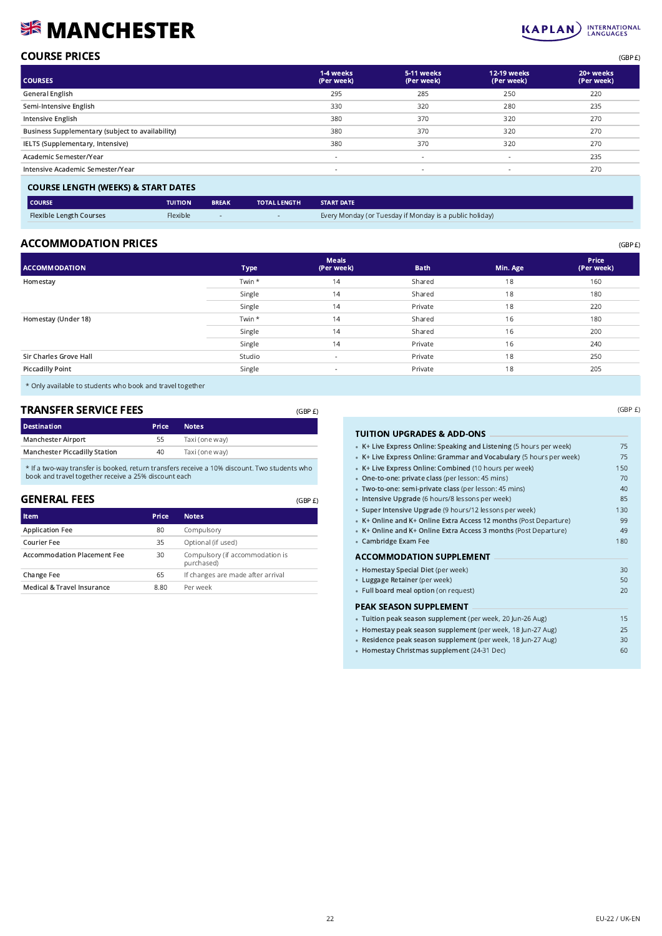# **SK MANCHESTER**

|        | Single |         | 14                       |                                       | Shared                                                                                                          | 18 |
|--------|--------|---------|--------------------------|---------------------------------------|-----------------------------------------------------------------------------------------------------------------|----|
|        | Single |         | 14                       |                                       | Private                                                                                                         | 18 |
|        | Twin * |         | 14                       |                                       | Shared                                                                                                          | 16 |
|        | Single |         | 14                       |                                       | Shared                                                                                                          | 16 |
|        | Single |         | 14                       |                                       | Private                                                                                                         | 16 |
|        | Studio |         | $\overline{\phantom{a}}$ |                                       | Private                                                                                                         | 18 |
|        | Single |         | $\overline{\phantom{a}}$ |                                       | Private                                                                                                         | 18 |
|        |        |         |                          |                                       |                                                                                                                 |    |
|        |        | (GBP E) |                          |                                       |                                                                                                                 |    |
|        |        |         |                          | <b>TUITION UPGRADES &amp; ADD-ONS</b> |                                                                                                                 |    |
| : way) |        |         |                          |                                       | the contract of the contract of the contract of the contract of the contract of the contract of the contract of |    |

# COURSE PRICES (GBP £)

| <b>COURSES</b>                                   | 1-4 weeks<br>(Per week)  | 5-11 weeks<br>(Per week) | <b>12-19 weeks</b><br>(Per week) | 20+ weeks<br>(Per week) |
|--------------------------------------------------|--------------------------|--------------------------|----------------------------------|-------------------------|
| General English                                  | 295                      | 285                      | 250                              | 220                     |
| Semi-Intensive English                           | 330                      | 320                      | 280                              | 235                     |
| Intensive English                                | 380                      | 370                      | 320                              | 270                     |
| Business Supplementary (subject to availability) | 380                      | 370                      | 320                              | 270                     |
| IELTS (Supplementary, Intensive)                 | 380                      | 370                      | 320                              | 270                     |
| Academic Semester/Year                           | $\overline{\phantom{a}}$ | $\sim$                   | $\sim$                           | 235                     |
| Intensive Academic Semester/Year                 | $\overline{\phantom{a}}$ | $\overline{\phantom{a}}$ | $\sim$                           | 270                     |
|                                                  |                          |                          |                                  |                         |

#### COURSE LENGTH (WEEKS) & START DATES

| <b>COURSE</b>                  | <b>TUITION</b> | <b>BREAK</b> | <b>TOTAL LENGTH</b> | <b>START DATE</b>                                       |
|--------------------------------|----------------|--------------|---------------------|---------------------------------------------------------|
| <b>Flexible Length Courses</b> | Flexible       |              |                     | Every Monday (or Tuesday if Monday is a public holiday) |

## ACCOMMODATION PRICES (GBP E)

| <b>ACCOMMODATION</b>    | <b>Type</b> | <b>Meals</b><br>(Per week) | <b>Bath</b> | Min. Age | <b>Price</b><br>(Per week) |
|-------------------------|-------------|----------------------------|-------------|----------|----------------------------|
| Homestay                | Twin *      | 14                         | Shared      | 18       | 160                        |
|                         | Single      | 14                         | Shared      | 18       | 180                        |
|                         | Single      | 14                         | Private     | 18       | 220                        |
| Homestay (Under 18)     | Twin *      | 14                         | Shared      | 16       | 180                        |
|                         | Single      | 14                         | Shared      | 16       | 200                        |
|                         | Single      | 14                         | Private     | 16       | 240                        |
| Sir Charles Grove Hall  | Studio      | $\overline{\phantom{a}}$   | Private     | 18       | 250                        |
| <b>Piccadilly Point</b> | Single      | $\sim$                     | Private     | 18       | 205                        |
|                         |             |                            |             |          |                            |

(GBP £)

\* Only available to students who book and travel together

#### TRANSFER SERVICE FEES

| Taxi (one way) |
|----------------|
| Taxi (one way) |
|                |

\* If a two-way transfer is booked, return transfers receive a 10% discount. Two students who book and travel together receive a 25% discount each

## GENERAL FEES

| <b>Item</b>                        | Price | <b>Notes</b>                                  |
|------------------------------------|-------|-----------------------------------------------|
| <b>Application Fee</b>             | 80    | Compulsory                                    |
| Courier Fee                        | 35    | Optional (if used)                            |
| <b>Accommodation Placement Fee</b> | 30    | Compulsory (if accommodation is<br>purchased) |
| Change Fee                         | 65    | If changes are made after arrival             |
| Medical & Travel Insurance         | 8.80  | Per week                                      |

| TUITION UPGRADES & ADD-ONS                                          |     |
|---------------------------------------------------------------------|-----|
| • K+ Live Express Online: Speaking and Listening (5 hours per week) | 75  |
| • K+ Live Express Online: Grammar and Vocabulary (5 hours per week) | 75  |
| • K+ Live Express Online: Combined (10 hours per week)              | 150 |
| . One-to-one: private class (per lesson: 45 mins)                   | 70  |
| · Two-to-one: semi-private class (per lesson: 45 mins)              | 40  |
| · Intensive Upgrade (6 hours/8 lessons per week)                    | 85  |
| · Super Intensive Upgrade (9 hours/12 lessons per week)             | 130 |
| • K+ Online and K+ Online Extra Access 12 months (Post Departure)   | 99  |
| • K+ Online and K+ Online Extra Access 3 months (Post Departure)    | 49  |
| • Cambridge Exam Fee                                                | 180 |
| <b>ACCOMMODATION SUPPLEMENT</b>                                     |     |
| • Homestay Special Diet (per week)                                  | 30  |
| • Luggage Retainer (per week)                                       | 50  |
| • Full board meal option (on request)                               | 20  |
| <b>PEAK SEASON SUPPLEMENT</b>                                       |     |
| · Tuition peak season supplement (per week, 20 Jun-26 Aug)          | 15  |
| · Homestay peak season supplement (per week, 18 Jun-27 Aug)         | 25  |
| · Residence peak season supplement (per week, 18 Jun-27 Aug)        | 30  |
| • Homestay Christmas supplement (24-31 Dec)                         | 60  |

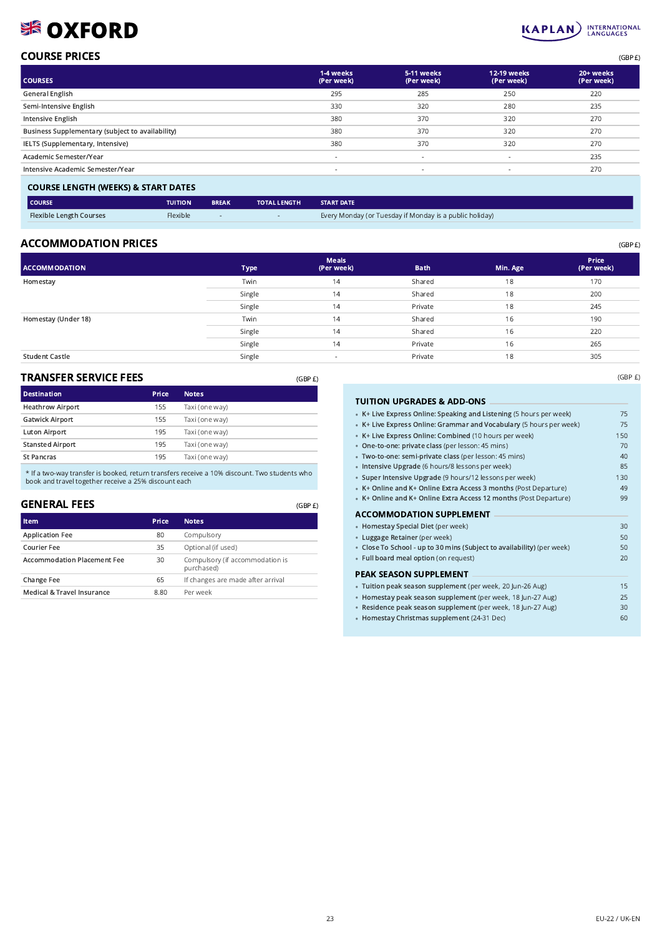# SSE OXFORD

#### **INTERNATIONAL**<br>LANGUAGES **KAPLAN**

(GBP £)

| <b>COURSE PRICES</b> | (GBPE) |
|----------------------|--------|
|                      |        |

| <b>COURSES</b>                                   | 1-4 weeks<br>(Per week)  | 5-11 weeks<br>(Per week) | <b>12-19 weeks</b><br>(Per week) | 20+ weeks<br>(Per week) |
|--------------------------------------------------|--------------------------|--------------------------|----------------------------------|-------------------------|
| General English                                  | 295                      | 285                      | 250                              | 220                     |
| Semi-Intensive English                           | 330                      | 320                      | 280                              | 235                     |
| Intensive English                                | 380                      | 370                      | 320                              | 270                     |
| Business Supplementary (subject to availability) | 380                      | 370                      | 320                              | 270                     |
| IELTS (Supplementary, Intensive)                 | 380                      | 370                      | 320                              | 270                     |
| Academic Semester/Year                           | $\overline{\phantom{a}}$ | $\sim$                   | $\overline{\phantom{a}}$         | 235                     |
| Intensive Academic Semester/Year                 | $\overline{\phantom{a}}$ | $\overline{\phantom{a}}$ | $\overline{\phantom{a}}$         | 270                     |
|                                                  |                          |                          |                                  |                         |

#### COURSE LENGTH (WEEKS) & START DATES

| <b>COURSE</b>                  | <b>TUITION</b> | <b>BREAK</b> | <b>TOTAL LENGTH</b> | <b>START DATE</b>                                       |
|--------------------------------|----------------|--------------|---------------------|---------------------------------------------------------|
| <b>Flexible Length Courses</b> | Flexible       |              |                     | Every Monday (or Tuesday if Monday is a public holiday) |

## $\mathsf{ACCOMMODATION\;PRICES}$

| <b>ACCOMMODATION</b>  | <b>Type</b> | <b>Meals</b><br>(Per week) | <b>Bath</b> | Min. Age | Price<br>(Per week) |
|-----------------------|-------------|----------------------------|-------------|----------|---------------------|
| Homestay              | Twin        | 14                         | Shared      | 18       | 170                 |
|                       | Single      | 14                         | Shared      | 18       | 200                 |
|                       | Single      | 14                         | Private     | 18       | 245                 |
| Homestay (Under 18)   | Twin        | 14                         | Shared      | 16       | 190                 |
|                       | Single      | 14                         | Shared      | 16       | 220                 |
|                       | Single      | 14                         | Private     | 16       | 265                 |
| <b>Student Castle</b> | Single      |                            | Private     | 18       | 305                 |

#### TRANSFER SERVICE FEES

| <b>Destination</b>      | Price | <b>Notes</b>   |
|-------------------------|-------|----------------|
| <b>Heathrow Airport</b> | 155   | Taxi (one way) |
| <b>Gatwick Airport</b>  | 155   | Taxi (one way) |
| <b>Luton Airport</b>    | 195   | Taxi (one way) |
| <b>Stansted Airport</b> | 195   | Taxi (one way) |
| <b>St Pancras</b>       | 195   | Taxi (one way) |
|                         |       |                |

\* If a two-way transfer is booked, return transfers receive a 10% discount. Two students who book and travel together receive a 25% discount each

#### GENERAL FEES

| Item                               | Price | <b>Notes</b>                                  |
|------------------------------------|-------|-----------------------------------------------|
| <b>Application Fee</b>             | 80    | Compulsory                                    |
| <b>Courier Fee</b>                 | 35    | Optional (if used)                            |
| <b>Accommodation Placement Fee</b> | 30    | Compulsory (if accommodation is<br>purchased) |
| Change Fee                         | 65    | If changes are made after arrival             |
| Medical & Travel Insurance         | 8.80  | Per week                                      |

(GBP £)

(GBP £)

#### TUITION UPGRADES & ADD-ONS •• K+ Live Express Online: Speaking and Listening (5 hours per week) 75 • K+ Live Express Online: Grammar and Vocabulary (5 hours per week) 75 • K+ Live Express Online: Combined (10 hours per week) 150 • One-to-one: private class (per lesson: 45 mins) 70 • Two-to-one: semi-private class (per lesson: 45 mins) 40 • Intensive Upgrade (6 hours/8 lessons per week) 85 • Super Intensive Upgrade (9 hours/12 lessons per week) 130 • K+ Online and K+ Online Extra Access 3 months (Post Departure) 49 K+ Online and K+ Online Extra Access 12 months (Post Departure) 99 ACCOMMODATION SUPPLEMENT •• Homestay Special Diet (per week) 30 • Luggage Retainer (per week) **50** • Close To School - up to 30 mins (Subject to availability) (per week) 60 Full board meal option (on request) 20 PEAK SEASON SUPPLEMENT •• Tuition peak season supplement (per week, 20 Jun-26 Aug) 15 • Homestay peak season supplement (per week, 18 Jun-27 Aug) 25

- Residence peak season supplement (per week, 18 Jun-27 Aug) 30
- Homestay Christmas supplement (24-31 Dec) 60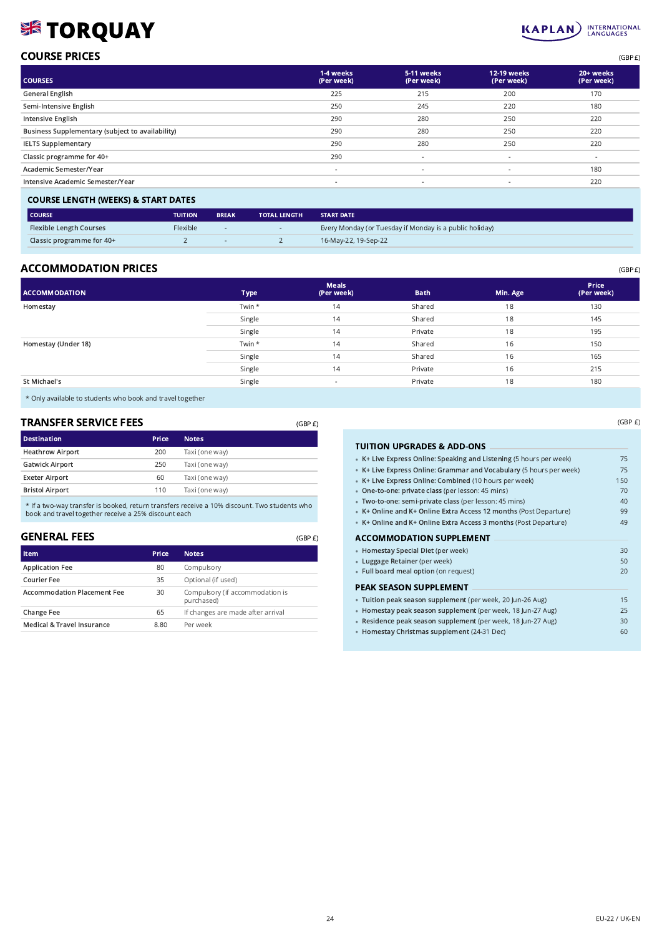# **SE TORQUAY**

# COURSE PRICES (GBP £)

| <b>COURSES</b>                                   | 1-4 weeks<br>(Per week)  | 5-11 weeks<br>(Per week) | <b>12-19 weeks</b><br>(Per week) | 20+ weeks<br>(Per week) |
|--------------------------------------------------|--------------------------|--------------------------|----------------------------------|-------------------------|
| General English                                  | 225                      | 215                      | 200                              | 170                     |
| Semi-Intensive English                           | 250                      | 245                      | 220                              | 180                     |
| Intensive English                                | 290                      | 280                      | 250                              | 220                     |
| Business Supplementary (subject to availability) | 290                      | 280                      | 250                              | 220                     |
| <b>IELTS Supplementary</b>                       | 290                      | 280                      | 250                              | 220                     |
| Classic programme for 40+                        | 290                      | $\overline{\phantom{a}}$ | $\sim$                           |                         |
| Academic Semester/Year                           | $\overline{\phantom{a}}$ | $\overline{\phantom{a}}$ | $\overline{\phantom{a}}$         | 180                     |
| Intensive Academic Semester/Year                 | $\overline{\phantom{a}}$ | $\overline{\phantom{a}}$ | $\overline{\phantom{a}}$         | 220                     |
|                                                  |                          |                          |                                  |                         |

#### COURSE LENGTH (WEEKS) & START DATES

| l COURSE                       | <b>TUITION</b>  | <b>BREAK</b> | <b>TOTAL LENGTH</b> | <b>START DATE</b>                                       |
|--------------------------------|-----------------|--------------|---------------------|---------------------------------------------------------|
| <b>Flexible Length Courses</b> | <b>Flexible</b> |              | $\sim$              | Every Monday (or Tuesday if Monday is a public holiday) |
| Classic programme for 40+      |                 |              |                     | 16-May-22, 19-Sep-22                                    |
|                                |                 |              |                     |                                                         |

## ACCOMMODATION PRICES (GBP E)

| <b>ACCOMMODATION</b> | <b>Type</b> | <b>Meals</b><br>(Per week) | <b>Bath</b> | Min. Age | Price<br>(Per week) |
|----------------------|-------------|----------------------------|-------------|----------|---------------------|
| Homestay             | Twin *      | 14                         | Shared      | 18       | 130                 |
|                      | Single      | 14                         | Shared      | 18       | 145                 |
|                      | Single      | 14                         | Private     | 18       | 195                 |
| Homestay (Under 18)  | Twin *      | 14                         | Shared      | 16       | 150                 |
|                      | Single      | 14                         | Shared      | 16       | 165                 |
|                      | Single      | 14                         | Private     | 16       | 215                 |
| St Michael's         | Single      | $\sim$                     | Private     | 18       | 180                 |
|                      |             |                            |             |          |                     |

\* Only available to students who book and travel together

# TRANSFER SERVICE FEES

| <b>TRANSFER SERVICE FEES</b> |       |                | (GBP E) |
|------------------------------|-------|----------------|---------|
| <b>Destination</b>           | Price | <b>Notes</b>   |         |
| <b>Heathrow Airport</b>      | 200   | Taxi (one way) |         |
| <b>Gatwick Airport</b>       | 250   | Taxi (one way) |         |
| <b>Exeter Airport</b>        | 60    | Taxi (one way) |         |
| <b>Bristol Airport</b>       | 110   | Taxi (one way) |         |

\* If a two-way transfer is booked, return transfers receive a 10% discount. Two students who book and travel together receive a 25% discount each

# GENERAL FEES

| <b>Item</b>                        | Price | <b>Notes</b>                                  |
|------------------------------------|-------|-----------------------------------------------|
| <b>Application Fee</b>             | 80    | Compulsory                                    |
| Courier Fee                        | 35    | Optional (if used)                            |
| <b>Accommodation Placement Fee</b> | 30    | Compulsory (if accommodation is<br>purchased) |
| <b>Change Fee</b>                  | 65    | If changes are made after arrival             |
| Medical & Travel Insurance         | 8.80  | Per week                                      |

| • K+ Live Express Online: Speaking and Listening (5 hours per week)<br>• K+ Live Express Online: Grammar and Vocabulary (5 hours per week)<br>• K+ Live Express Online: Combined (10 hours per week)<br>. One-to-one: private class (per lesson: 45 mins)<br>· Two-to-one: semi-private class (per lesson: 45 mins)<br>• K+ Online and K+ Online Extra Access 12 months (Post Departure)<br>• K+ Online and K+ Online Extra Access 3 months (Post Departure)<br><b>ACCOMMODATION SUPPLEMENT</b><br>• Homestay Special Diet (per week)<br>• Luggage Retainer (per week)<br>· Full board meal option (on request)<br>PEAK SEASON SUPPLEMENT<br>· Tuition peak season supplement (per week, 20 Jun-26 Aug)<br>· Homestay peak season supplement (per week, 18 Jun-27 Aug) |     |
|------------------------------------------------------------------------------------------------------------------------------------------------------------------------------------------------------------------------------------------------------------------------------------------------------------------------------------------------------------------------------------------------------------------------------------------------------------------------------------------------------------------------------------------------------------------------------------------------------------------------------------------------------------------------------------------------------------------------------------------------------------------------|-----|
|                                                                                                                                                                                                                                                                                                                                                                                                                                                                                                                                                                                                                                                                                                                                                                        | 75  |
|                                                                                                                                                                                                                                                                                                                                                                                                                                                                                                                                                                                                                                                                                                                                                                        | 75  |
|                                                                                                                                                                                                                                                                                                                                                                                                                                                                                                                                                                                                                                                                                                                                                                        | 150 |
|                                                                                                                                                                                                                                                                                                                                                                                                                                                                                                                                                                                                                                                                                                                                                                        | 70  |
|                                                                                                                                                                                                                                                                                                                                                                                                                                                                                                                                                                                                                                                                                                                                                                        | 40  |
|                                                                                                                                                                                                                                                                                                                                                                                                                                                                                                                                                                                                                                                                                                                                                                        | 99  |
|                                                                                                                                                                                                                                                                                                                                                                                                                                                                                                                                                                                                                                                                                                                                                                        | 49  |
|                                                                                                                                                                                                                                                                                                                                                                                                                                                                                                                                                                                                                                                                                                                                                                        |     |
|                                                                                                                                                                                                                                                                                                                                                                                                                                                                                                                                                                                                                                                                                                                                                                        | 30  |
|                                                                                                                                                                                                                                                                                                                                                                                                                                                                                                                                                                                                                                                                                                                                                                        | 50  |
|                                                                                                                                                                                                                                                                                                                                                                                                                                                                                                                                                                                                                                                                                                                                                                        | 20  |
|                                                                                                                                                                                                                                                                                                                                                                                                                                                                                                                                                                                                                                                                                                                                                                        |     |
|                                                                                                                                                                                                                                                                                                                                                                                                                                                                                                                                                                                                                                                                                                                                                                        | 15  |
|                                                                                                                                                                                                                                                                                                                                                                                                                                                                                                                                                                                                                                                                                                                                                                        | 25  |
| · Residence peak season supplement (per week, 18 Jun-27 Aug)                                                                                                                                                                                                                                                                                                                                                                                                                                                                                                                                                                                                                                                                                                           | 30  |
| • Homestay Christmas supplement (24-31 Dec)                                                                                                                                                                                                                                                                                                                                                                                                                                                                                                                                                                                                                                                                                                                            | 60  |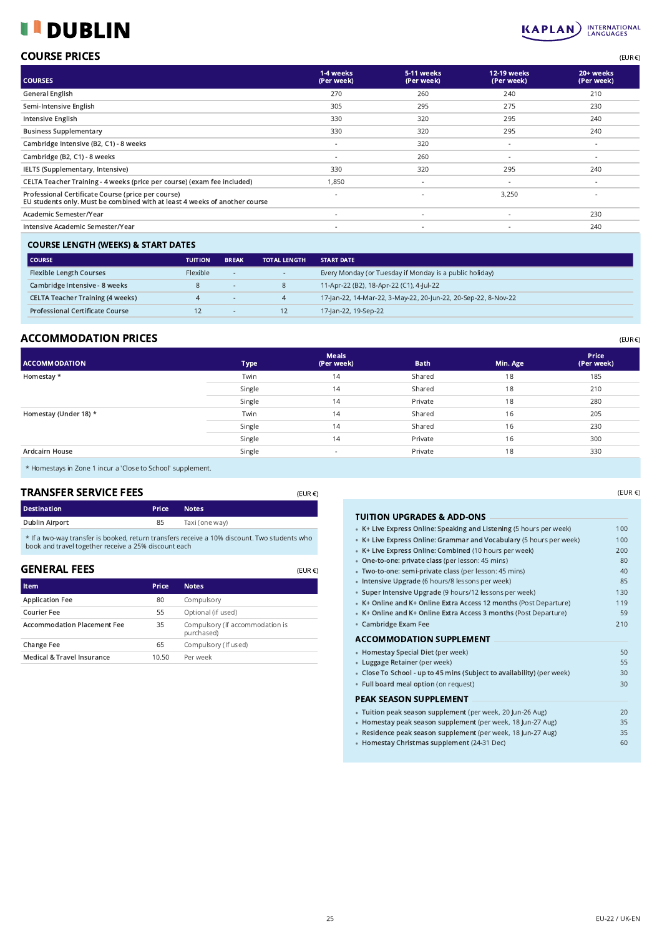#### DUBLIN Г H



| <b>COURSE PRICES</b> | $(EUR \in )$ |
|----------------------|--------------|
|                      |              |

| <b>COURSES</b>                                                                                                                   | 1-4 weeks<br>(Per week)  | 5-11 weeks<br>(Per week) | 12-19 weeks<br>(Per week) | 20+ weeks<br>(Per week) |
|----------------------------------------------------------------------------------------------------------------------------------|--------------------------|--------------------------|---------------------------|-------------------------|
| General English                                                                                                                  | 270                      | 260                      | 240                       | 210                     |
| Semi-Intensive English                                                                                                           | 305                      | 295                      | 275                       | 230                     |
| Intensive English                                                                                                                | 330                      | 320                      | 295                       | 240                     |
| <b>Business Supplementary</b>                                                                                                    | 330                      | 320                      | 295                       | 240                     |
| Cambridge Intensive (B2, C1) - 8 weeks                                                                                           | $\sim$                   | 320                      | $\sim$                    | $\sim$                  |
| Cambridge (B2, C1) - 8 weeks                                                                                                     | ٠                        | 260                      | $\overline{\phantom{a}}$  | $\sim$                  |
| IELTS (Supplementary, Intensive)                                                                                                 | 330                      | 320                      | 295                       | 240                     |
| CELTA Teacher Training - 4 weeks (price per course) (exam fee included)                                                          | 1,850                    | $\overline{\phantom{a}}$ | $\sim$                    | $\sim$                  |
| Professional Certificate Course (price per course)<br>EU students only. Must be combined with at least 4 weeks of another course | $\overline{\phantom{a}}$ | $\overline{\phantom{a}}$ | 3,250                     |                         |
| Academic Semester/Year                                                                                                           | $\overline{\phantom{a}}$ | $\overline{\phantom{a}}$ |                           | 230                     |
| Intensive Academic Semester/Year                                                                                                 | $\overline{\phantom{a}}$ | $\overline{\phantom{a}}$ |                           | 240                     |
|                                                                                                                                  |                          |                          |                           |                         |

## COURSE LENGTH (WEEKS) & START DATES

| <b>COURSE</b>                           | <b>TUITION</b> | <b>BREAK</b> | <b>TOTAL LENGTH</b> | <b>START DATE</b>                                              |
|-----------------------------------------|----------------|--------------|---------------------|----------------------------------------------------------------|
| <b>Flexible Length Courses</b>          | Flexible       |              | $\sim$              | Every Monday (or Tuesday if Monday is a public holiday)        |
| Cambridge Intensive - 8 weeks           |                | $-$          |                     | 11-Apr-22 (B2), 18-Apr-22 (C1), 4-Jul-22                       |
| <b>CELTA Teacher Training (4 weeks)</b> |                |              | $\overline{4}$      | 17-Jan-22, 14-Mar-22, 3-May-22, 20-Jun-22, 20-Sep-22, 8-Nov-22 |
| <b>Professional Certificate Course</b>  |                |              | 12                  | 17-Jan-22, 19-Sep-22                                           |

# $\mathsf{ACCOMMODATION}$  PRICES  $\mathsf{EUR} \in \mathsf{C}$

| <b>ACCOMMODATION</b>  | <b>Type</b> | <b>Meals</b><br>(Per week) | <b>Bath</b> | Min. Age | <b>Price</b><br>(Per week) |
|-----------------------|-------------|----------------------------|-------------|----------|----------------------------|
| Homestay *            | Twin        | 14                         | Shared      | 18       | 185                        |
|                       | Single      | 14                         | Shared      | 18       | 210                        |
|                       | Single      | 14                         | Private     | 18       | 280                        |
| Homestay (Under 18) * | Twin        | 14                         | Shared      | 16       | 205                        |
|                       | Single      | 14                         | Shared      | 16       | 230                        |
|                       | Single      | 14                         | Private     | 16       | 300                        |
| Ardcairn House        | Single      | $\sim$                     | Private     | 18       | 330                        |
|                       |             |                            |             |          |                            |

(EUR €)

(EUR €)

\* Homestays in Zone 1 incur a 'Close to School' supplement.

## TRANSFER SERVICE FEES

| <b>Destination</b> | <b>Price</b> | <b>Notes</b>   |
|--------------------|--------------|----------------|
| Dublin Airport     | 85           | Taxi (one way) |

\* If a two-way transfer is booked, return transfers receive a 10% discount. Two students who book and travel together receive a 25% discount each

## GENERAL FEES

| <b>Item</b>                        | Price | <b>Notes</b>                                  |
|------------------------------------|-------|-----------------------------------------------|
| <b>Application Fee</b>             | 80    | Compulsory                                    |
| Courier Fee                        | 55    | Optional (if used)                            |
| <b>Accommodation Placement Fee</b> | 35    | Compulsory (if accommodation is<br>purchased) |
| Change Fee                         | 65    | Compulsory (If used)                          |
| Medical & Travel Insurance         | 10.50 | Per week                                      |

(EUR €)

### TUITION UPGRADES & ADD-ONS •

| • K+ Live Express Online: Speaking and Listening (5 hours per week)    | 100 |
|------------------------------------------------------------------------|-----|
| • K+ Live Express Online: Grammar and Vocabulary (5 hours per week)    | 100 |
| • K+ Live Express Online: Combined (10 hours per week)                 | 200 |
| • One-to-one: private class (per lesson: 45 mins)                      | 80  |
| · Two-to-one: semi-private class (per lesson: 45 mins)                 | 40  |
| · Intensive Upgrade (6 hours/8 lessons per week)                       | 85  |
| • Super Intensive Upgrade (9 hours/12 lessons per week)                | 130 |
| • K+ Online and K+ Online Extra Access 12 months (Post Departure)      | 119 |
| • K+ Online and K+ Online Extra Access 3 months (Post Departure)       | 59  |
| • Cambridge Exam Fee                                                   | 210 |
| <b>ACCOMMODATION SUPPLEMENT</b>                                        |     |
| • Homestay Special Diet (per week)                                     | 50  |
| • Luggage Retainer (per week)                                          | 55  |
| • Close To School - up to 45 mins (Subject to availability) (per week) | 30  |
| • Full board meal option (on request)                                  | 30  |
| PEAK SEASON SUPPLEMENT                                                 |     |
| · Tuition peak season supplement (per week, 20 Jun-26 Aug)             | 20  |
| · Homestay peak season supplement (per week, 18 Jun-27 Aug)            | 35  |
| · Residence peak season supplement (per week, 18 Jun-27 Aug)           | 35  |
| • Homestay Christmas supplement (24-31 Dec)                            | 60  |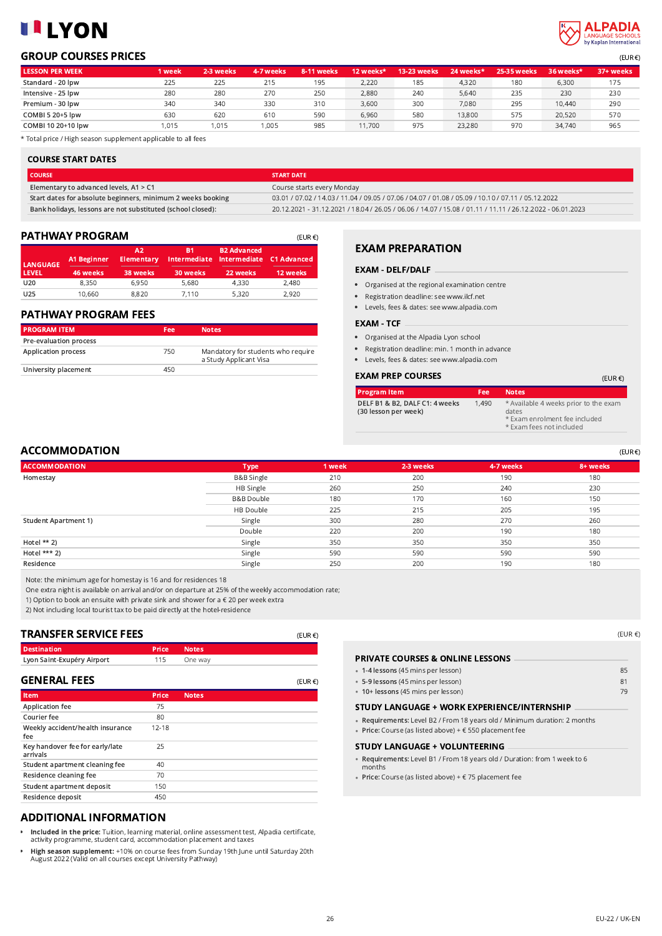# **LILYON**



# **GROUP COURSES PRICES** (EUR €)

| <b>LESSON PER WEEK</b>  | 1 week | 2-3 weeks | 4-7 weeks | 8-11 weeks | 12 weeks* | <b>13-23 weeks</b> | 24 weeks* | <b>25-35 weeks</b> | 36 weeks* | 37+ weeks |
|-------------------------|--------|-----------|-----------|------------|-----------|--------------------|-----------|--------------------|-----------|-----------|
| Standard - 20 lpw       | 225    | 225       | 215       | 195        | 2,220     | 185                | 4.320     | 180                | 6.300     | 175       |
| Intensive - 25 lpw      | 280    | 280       | 270       | 250        | 2,880     | 240                | 5.640     | 235                | 230       | 230       |
| Premium - 30 lpw        | 340    | 340       | 330       | 310        | 3,600     | 300                | 7,080     | 295                | 10,440    | 290       |
| <b>COMBI 5 20+5 lpw</b> | 630    | 620       | 610       | 590        | 6.960     | 580                | 13,800    | 575                | 20.520    | 570       |
| COMBI 10 20+10 lpw      | 1.015  | 1.015     | .005      | 985        | 11.700    | 975                | 23.280    | 970                | 34,740    | 965       |

\* Total price / High season supplement applicable to all fees

#### COURSE START DATES

| I COURSE                                                    | <b>START DATE</b>                                                                                         |
|-------------------------------------------------------------|-----------------------------------------------------------------------------------------------------------|
| Elementary to advanced levels, A1 > C1                      | Course starts every Monday                                                                                |
| Start dates for absolute beginners, minimum 2 weeks booking | 03.01 / 07.02 / 14.03 / 11.04 / 09.05 / 07.06 / 04.07 / 01.08 / 05.09 / 10.10 / 07.11 / 05.12.2022        |
| Bank holidays, lessons are not substituted (school closed): | 20.12.2021 - 31.12.2021 / 18.04 / 26.05 / 06.06 / 14.07 / 15.08 / 01.11 / 11.11 / 26.12.2022 - 06.01.2023 |

### **PATHWAY PROGRAM** (EUR €)

| LANGUAGE <sup>1</sup> | A1 Beginner | A2<br><b>Elementary</b> | B1        | <b>B2 Advanced</b><br>Intermediate Intermediate C1 Advanced |          |
|-----------------------|-------------|-------------------------|-----------|-------------------------------------------------------------|----------|
| <b>LEVEL</b>          | 46 weeks    | 38 weeks                | 'S0 weeks | 22 weeks                                                    | 12 weeks |
| U20                   | 8,350       | 6,950                   | 5,680     | 4,330                                                       | 2,480    |
| U25                   | 10,660      | 8,820                   | 7.110     | 5,320                                                       | 2.920    |

#### PATHWAY PROGRAM FEES

| <b>PROGRAM ITEM</b>        | Fee | <b>Notes</b>                                                 |
|----------------------------|-----|--------------------------------------------------------------|
| Pre-evaluation process     |     |                                                              |
| <b>Application process</b> | 750 | Mandatory for students who require<br>a Study Applicant Visa |
| University placement       | 450 |                                                              |

### EXAM PREPARATION

#### EXAM - DELF/DALF

- Organised at the regional examination centre
- Registration deadline: see www.ilcf.net
- Levels, fees & dates: see www.alpadia.com

#### EXAM - TCF

- Organised at the Alpadia Lyon school
- Registration deadline: min. 1 month in advance
- Levels, fees & dates: see www.alpadia.com

#### **EXAM PREP COURSES**  $E = \{E \in \mathbb{R}^n : E \subseteq E\}$

| <b>Program Item</b>                                    | Fee   | <b>Notes</b>                                                                                                |
|--------------------------------------------------------|-------|-------------------------------------------------------------------------------------------------------------|
| DELF B1 & B2, DALF C1: 4 weeks<br>(30 lesson per week) | 1,490 | * Available 4 weeks prior to the exam<br>dates<br>* Exam enrolment fee included<br>* Exam fees not included |

## $\mathsf{ACCOMMODATION}$  (EUR  $\in$

| <b>ACCOMMODATION</b>        | <b>Type</b>           | 1 week | 2-3 weeks | 4-7 weeks | 8+ weeks |
|-----------------------------|-----------------------|--------|-----------|-----------|----------|
| Homestay                    | <b>B&amp;B Single</b> | 210    | 200       | 190       | 180      |
|                             | HB Single             | 260    | 250       | 240       | 230      |
|                             | <b>B&amp;B Double</b> | 180    | 170       | 160       | 150      |
|                             | HB Double             | 225    | 215       | 205       | 195      |
| <b>Student Apartment 1)</b> | Single                | 300    | 280       | 270       | 260      |
|                             | Double                | 220    | 200       | 190       | 180      |
| Hotel $**$ 2)               | Single                | 350    | 350       | 350       | 350      |
| Hotel *** 2)                | Single                | 590    | 590       | 590       | 590      |
| Residence                   | Single                | 250    | 200       | 190       | 180      |
|                             |                       |        |           |           |          |

•

• 5-9

Note: the minimum age for homestay is 16 and for residences 18

One extra night is available on arrival and/or on departure at 25% of the weekly accommodation rate;

1) Option to book an ensuite with private sink and shower for a € 20 per week extra

2) Not including local tourist tax to be paid directly at the hotel-residence

### TRANSFER SERVICE FEES

| I KANSFEK SEKVILE FEES                      |              | (EUR €)      |             |
|---------------------------------------------|--------------|--------------|-------------|
| <b>Destination</b>                          | <b>Price</b> | <b>Notes</b> |             |
| Lyon Saint-Exupéry Airport                  | 115          | One way      |             |
| <b>GENERAL FEES</b>                         |              |              | $(EUR \in)$ |
| Item                                        | <b>Price</b> | <b>Notes</b> |             |
| Application fee                             | 75           |              |             |
| Courier fee                                 | 80           |              |             |
| Weekly accident/health insurance<br>fee     | $12 - 18$    |              |             |
| Key handover fee for early/late<br>arrivals | 25           |              |             |
| Student apartment cleaning fee              | 40           |              |             |
| Residence cleaning fee                      | 70           |              |             |
| Student apartment deposit                   | 150          |              |             |
| Residence deposit                           | 450          |              |             |

#### ADDITIONAL INFORMATION

- **Included in the price:** Tuition, learning material, online assessment test, Alpadia certificate,<br>activity programme, student card, accommodation placement and taxes
- High season supplement: +10% on course fees from Sunday 19th June until Saturday 20th August 2022 (Valid on all courses except University Pathway)

| PRIVATE COURSES & ONLINE LESSONS   |    |
|------------------------------------|----|
| • 1-4 lessons (45 mins per lesson) | 85 |
| • 5-9 lessons (45 mins per lesson) | 81 |
| • 10+ lessons (45 mins per lesson) | 79 |
|                                    |    |

#### STUDY LANGUAGE + WORK EXPERIENCE/INTERNSHIP •

- Requirements: Level B2 / From 18 years old / Minimum duration: 2 months
- Price: Course (as listed above) + € 550 placement fee

#### STUDY LANGUAGE + VOLUNTEERING •

- Requirements: Level B1 / From 18 years old / Duration: from 1 week to 6 months
- Price: Course (as listed above) + € 75 placement fee

(EUR €)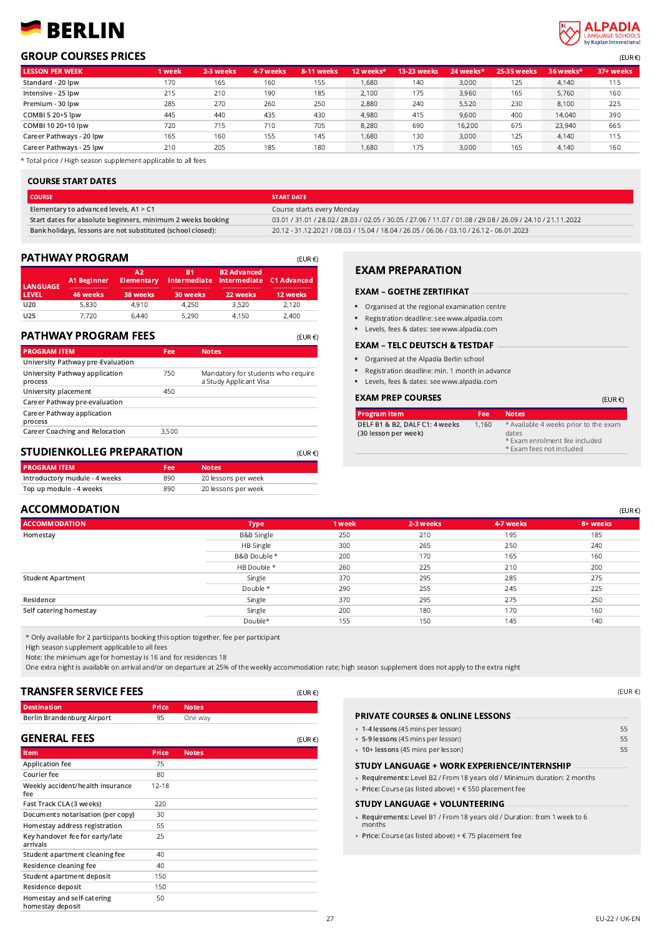# BERLIN



## **GROUP COURSES PRICES** (EUR €)

| <b>LESSON PER WEEK</b>   | 1 week | 2-3 weeks | 4-7 weeks | <b>8-11 weeks/</b> | 12 weeks* | 13-23 weeks | 24 weeks* | <b>25-35 weeks</b> | 36 weeks* | 37+ weeks |
|--------------------------|--------|-----------|-----------|--------------------|-----------|-------------|-----------|--------------------|-----------|-----------|
| Standard - 20 lpw        | 170    | 165       | 160       | 155                | 1.680     | 140         | 3.000     | 125                | 4.140     | 115       |
| Intensive - 25 lpw       | 215    | 210       | 190       | 185                | 2.100     | 175         | 3.960     | 165                | 5,760     | 160       |
| Premium - 30 lpw         | 285    | 270       | 260       | 250                | 2.880     | 240         | 5.520     | 230                | 8,100     | 225       |
| COMBI 5 20+5 lpw         | 445    | 440       | 435       | 430                | 4.980     | 415         | 9.600     | 400                | 14.040    | 390       |
| COMBI 10 20+10 lpw       | 720    | 715       | 710       | 705                | 8.280     | 690         | 16,200    | 675                | 23,940    | 665       |
| Career Pathways - 20 lpw | 165    | 160       | 155       | 145                | 1.680     | 130         | 3.000     | 125                | 4.140     | 115       |
| Career Pathways - 25 lpw | 210    | 205       | 185       | 180                | 1.680     | 175         | 3.000     | 165                | 4.140     | 160       |

\* Total price / High season supplement applicable to all fees

#### COURSE START DATES

**COURSE START DATE** Elementary to advanced levels, A1 > C1 Course starts every Monday Start dates for absolute beginners, minimum 2 weeks booking 03.01 / 31.01 / 28.02 / 28.03 / 02.05 / 30.05 / 27.06 / 11.07 / 01.08 / 29.08 / 26.09 / 24.10 / 21.11.2022 Bank holidays, lessons are not substituted (school closed): 20.12 - 31.12.2021 / 08.03 / 15.04 / 18.04 / 26.05 / 06.06 / 03.10 / 26.12 - 06.01.2023

(EUR €)

(EUR €)

| <b>PATHWAY PROGRAM</b><br>(EUR $\epsilon$ ) |                                |                                     |                       |                                                             |                         |  |  |
|---------------------------------------------|--------------------------------|-------------------------------------|-----------------------|-------------------------------------------------------------|-------------------------|--|--|
| <b>LANGUAGE</b><br><b>LEVEL</b>             | <b>A1 Beginner</b><br>46 weeks | A2<br><b>Elementary</b><br>38 weeks | <b>B1</b><br>30 weeks | <b>B2 Advanced</b><br>Intermediate Intermediate<br>22 weeks | C1 Advanced<br>12 weeks |  |  |
| U20                                         | 5,830                          | 4,910                               | 4,250                 | 3,520                                                       | 2.120                   |  |  |
| U <sub>25</sub>                             | 7.720                          | 6,440                               | 5,290                 | 4,150                                                       | 2,400                   |  |  |

### PATHWAY PROGRAM FEES

| <b>PROGRAM ITEM</b>                       | Fee   | <b>Notes</b>                                                 |
|-------------------------------------------|-------|--------------------------------------------------------------|
| University Pathway pre-Evaluation         |       |                                                              |
| University Pathway application<br>process | 750   | Mandatory for students who require<br>a Study Applicant Visa |
| University placement                      | 450   |                                                              |
| Career Pathway pre-evaluation             |       |                                                              |
| Career Pathway application<br>process     |       |                                                              |
| <b>Career Coaching and Relocation</b>     | 3,500 |                                                              |
|                                           |       |                                                              |

# STUDIENKOLLEG PREPARATION

| <b>PROGRAM ITEM</b>           | Fee | <b>Notes</b>        |
|-------------------------------|-----|---------------------|
| Introductory mudule - 4 weeks | 890 | 20 lessons per week |
| Top up module - 4 weeks       | 890 | 20 lessons per week |

# EXAM PREPARATION

#### EXAM – GOETHE ZERTIFIKAT

- Organised at the regional examination centre
- Registration deadline: see www.alpadia.com  $\bullet$
- Levels, fees & dates: see www.alpadia.com

#### EXAM – TELC DEUTSCH & TESTDAF

- Organised at the Alpadia Berlin school
- Registration deadline: min. 1 month in advance
- Levels, fees & dates: see www.alpadia.com

#### **EXAM PREP COURSES**  $E = \{E \in \mathbb{R}^n : E \in \mathbb{R}^n : E \in \mathbb{R}^n : E \in \mathbb{R}^n : E \in \mathbb{R}^n : E \in \mathbb{R}^n : E \in \mathbb{R}^n : E \in \mathbb{R}^n : E \in \mathbb{R}^n : E \in \mathbb{R}^n : E \in \mathbb{R}^n : E \in \mathbb{R}^n : E \in \mathbb{R}^n : E \in \mathbb{R}^n : E \in \mathbb{R}^n : E \in \mathbb{R}^n : E \in \$

| <b>Program Item</b>                                    | Fee   | <b>Notes</b>                                                                                                |
|--------------------------------------------------------|-------|-------------------------------------------------------------------------------------------------------------|
| DELF B1 & B2, DALF C1: 4 weeks<br>(30 lesson per week) | 1,160 | * Available 4 weeks prior to the exam<br>dates<br>* Exam enrolment fee included<br>* Exam fees not included |

#### $\mathsf{ACCOMMODATION}$  (EUR  $\mathsf{ECOMMODATION}$

| <b>ACCOMMODATION</b>     | <b>Type</b>           | 1 week | 2-3 weeks | 4-7 weeks | 8+ weeks |
|--------------------------|-----------------------|--------|-----------|-----------|----------|
| Homestay                 | <b>B&amp;B Single</b> | 250    | 210       | 195       | 185      |
|                          | HB Single             | 300    | 265       | 250       | 240      |
|                          | B&B Double *          | 200    | 170       | 165       | 160      |
|                          | HB Double *           | 260    | 225       | 210       | 200      |
| <b>Student Apartment</b> | Single                | 370    | 295       | 285       | 275      |
|                          | Double *              | 290    | 255       | 245       | 225      |
| Residence                | Single                | 370    | 295       | 275       | 250      |
| Self catering homestay   | Single                | 200    | 180       | 170       | 160      |
|                          | Double*               | 155    | 150       | 145       | 140      |

\* Only available for 2 participants booking this option together, fee per participant

High season supplement applicable to all fees

Note: the minimum age for homestay is 16 and for residences 18

One extra night is available on arrival and/or on departure at 25% of the weekly accommodation rate; high season supplement does not apply to the extra night

(EUR €)

# TRANSFER SERVICE FEES

| <b>Destination</b>         | <b>Price Notes</b> |         |
|----------------------------|--------------------|---------|
| Berlin Brandenburg Airport | 95                 | One way |

| <b>GENERAL FEES</b>                            |           | $(EUR \in)$  |
|------------------------------------------------|-----------|--------------|
| Item                                           | Price     | <b>Notes</b> |
| Application fee                                | 75        |              |
| Courier fee                                    | 80        |              |
| Weekly accident/health insurance<br>fee        | $12 - 18$ |              |
| Fast Track CLA (3 weeks)                       | 220       |              |
| Documents notarisation (per copy)              | 30        |              |
| Homestay address registration                  | 55        |              |
| Key handover fee for early/late<br>arrivals    | 25        |              |
| Student apartment cleaning fee                 | 40        |              |
| Residence cleaning fee                         | 40        |              |
| Student apartment deposit                      | 150       |              |
| Residence deposit                              | 150       |              |
| Homestay and self-catering<br>homestay deposit | 50        |              |

| 55 |
|----|
| 55 |
| 55 |
|    |
|    |
|    |

Requirements: Level B1 / From 18 years old / Duration: from 1 week to 6 months

Price: Course (as listed above) + € 75 placement fee

(EUR €)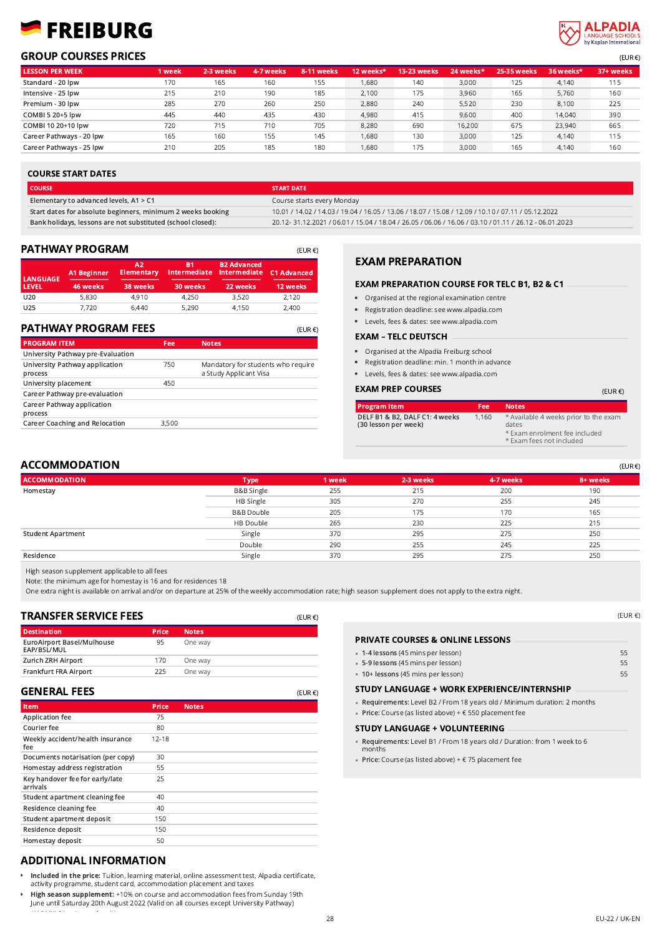# FREIBURG



### $\overline{GROUP}$  COURSES PRICES  $\overline{GUP}$

|                          |        |           |           |             |           |                    |           |                    |           | $\sim$ $\sim$ $\sim$ $\sim$ |
|--------------------------|--------|-----------|-----------|-------------|-----------|--------------------|-----------|--------------------|-----------|-----------------------------|
| <b>LESSON PER WEEK</b>   | 1 week | 2-3 weeks | 4-7 weeks | 8-11 weeks/ | 12 weeks* | <b>13-23 weeks</b> | 24 weeks* | <b>25-35 weeks</b> | 36 weeks* | 37+ weeks                   |
| Standard - 20 lpw        | 170    | 165       | 160       | 155         | 1,680     | 140                | 3,000     | 125                | 4,140     | 115                         |
| Intensive - 25 lpw       | 215    | 210       | 190       | 185         | 2.100     | 175                | 3.960     | 165                | 5.760     | 160                         |
| Premium - 30 lpw         | 285    | 270       | 260       | 250         | 2,880     | 240                | 5.520     | 230                | 8,100     | 225                         |
| COMBI 5 20+5 lpw         | 445    | 440       | 435       | 430         | 4.980     | 415                | 9,600     | 400                | 14,040    | 390                         |
| COMBI 10 20+10 lpw       | 720    | 715       | 710       | 705         | 8.280     | 690                | 16.200    | 675                | 23.940    | 665                         |
| Career Pathways - 20 lpw | 165    | 160       | 155       | 145         | 1,680     | 130                | 3,000     | 125                | 4.140     | 115                         |
| Career Pathways - 25 lpw | 210    | 205       | 185       | 180         | 1.680     | 175                | 3,000     | 165                | 4.140     | 160                         |

#### COURSE START DATES

| <b>COURSE</b>                                               | <b>START DATE</b>                                                                                     |
|-------------------------------------------------------------|-------------------------------------------------------------------------------------------------------|
| Elementary to advanced levels, $A1 > C1$                    | Course starts every Monday                                                                            |
| Start dates for absolute beginners, minimum 2 weeks booking | 10.01 / 14.02 / 14.03 / 19.04 / 16.05 / 13.06 / 18.07 / 15.08 / 12.09 / 10.10 / 07.11 / 05.12.2022    |
| Bank holidays, lessons are not substituted (school closed): | 20.12-31.12.2021 / 06.01 / 15.04 / 18.04 / 26.05 / 06.06 / 16.06 / 03.10 / 01.11 / 26.12 - 06.01.2023 |

### PATHWAY PROGRAM

|                 | PATHWAY PROGRAM    |                         |                           |                                    | $(EUR \in)$        |
|-----------------|--------------------|-------------------------|---------------------------|------------------------------------|--------------------|
| <b>LANGUAGE</b> | <b>A1 Beginner</b> | A2<br><b>Elementary</b> | B1<br><b>Intermediate</b> | <b>B2 Advanced</b><br>Intermediate | <b>C1 Advanced</b> |
| <b>LEVEL</b>    | 46 weeks           | 38 weeks                | 30 weeks                  | 22 weeks                           | 12 weeks           |
| U20             | 5,830              | 4,910                   | 4,250                     | 3,520                              | 2.120              |
| U25             | 7.720              | 6,440                   | 5,290                     | 4,150                              | 2,400              |

#### PATHWAY PROGRAM FEES

| <b>PATHWAY PROGRAM FEES</b>               |       | $(EUR \in)$                                                  |
|-------------------------------------------|-------|--------------------------------------------------------------|
| <b>PROGRAM ITEM</b>                       | Fee   | <b>Notes</b>                                                 |
| University Pathway pre-Evaluation         |       |                                                              |
| University Pathway application<br>process | 750   | Mandatory for students who require<br>a Study Applicant Visa |
| University placement                      | 450   |                                                              |
| Career Pathway pre-evaluation             |       |                                                              |
| Career Pathway application<br>process     |       |                                                              |
| <b>Career Coaching and Relocation</b>     | 3,500 |                                                              |

## EXAM PREPARATION

#### EXAM PREPARATION COURSE FOR TELC B1, B2 & C1

- Organised at the regional examination centre
- Registration deadline: see www.alpadia.com
- Levels, fees & dates: see www.alpadia.com

#### EXAM – TELC DEUTSCH

- Organised at the Alpadia Freiburg school
- Registration deadline: min. 1 month in advance
- Levels, fees & dates: see www.alpadia.com

#### EXAM PREP COURSES (EUR €)

| <b>Program Item</b>                                    | Fee   | <b>Notes</b>                                                                                                |
|--------------------------------------------------------|-------|-------------------------------------------------------------------------------------------------------------|
| DELF B1 & B2, DALF C1: 4 weeks<br>(30 lesson per week) | 1.160 | * Available 4 weeks prior to the exam<br>dates<br>* Exam enrolment fee included<br>* Exam fees not included |

### $\mathsf{ACCOMMODATION}$  (EUR  $\mathsf{C}$

| <b>ACCOMMODATION</b> | <b>Type</b>           | 1 week | 2-3 weeks | 4-7 weeks | 8+ weeks |
|----------------------|-----------------------|--------|-----------|-----------|----------|
| Homestay             | <b>B&amp;B Single</b> | 255    | 215       | 200       | 190      |
|                      | HB Single             | 305    | 270       | 255       | 245      |
|                      | B&B Double            | 205    | 175       | 170       | 165      |
|                      | HB Double             | 265    | 230       | 225       | 215      |
| Student Apartment    | Single                | 370    | 295       | 275       | 250      |
|                      | Double                | 290    | 255       | 245       | 225      |
| Residence            | Single                | 370    | 295       | 275       | 250      |

High season supplement applicable to all fees

Note: the minimum age for homestay is 16 and for residences 18

One extra night is available on arrival and/or on departure at 25% of the weekly accommodation rate; high season supplement does not apply to the extra night.

(EUR €)

(EUR €)

### TRANSFER SERVICE FEES

| <b>Destination</b>                        | <b>Price</b> | <b>Notes</b> |  |
|-------------------------------------------|--------------|--------------|--|
| EuroAirport Basel/Mulhouse<br>EAP/BSL/MUL | 95           | One way      |  |
| <b>Zurich ZRH Airport</b>                 | 170          | One way      |  |
| Frankfurt FRA Airport                     | 225          | One way      |  |
|                                           |              |              |  |

#### GENERAL FEES

| Item                                        | <b>Price</b> | <b>Notes</b> |
|---------------------------------------------|--------------|--------------|
| Application fee                             | 75           |              |
| Courier fee                                 | 80           |              |
| Weekly accident/health insurance<br>fee     | $12 - 18$    |              |
| Documents notarisation (per copy)           | 30           |              |
| Homestay address registration               | 55           |              |
| Key handover fee for early/late<br>arrivals | 25           |              |
| Student apartment cleaning fee              | 40           |              |
| Residence cleaning fee                      | 40           |              |
| Student apartment deposit                   | 150          |              |
| Residence deposit                           | 150          |              |
| Homestay deposit                            | 50           |              |

# ADDITIONAL INFORMATION

/ALPMIILS/can't populate it's a range

- Included in the price: Tuition, learning material, online assessment test, Alpadia certificate, activity programme, student card, accommodation placement and taxes
- High season supplement: +10% on course and accommodation fees from Sunday 19th  $\bullet$ June until Saturday 20th August 2022 (Valid on all courses except University Pathway)

| <b>PRIVATE COURSES &amp; ONLINE LESSONS</b>        |    |
|----------------------------------------------------|----|
| • 1-4 lessons (45 mins per lesson)                 | 55 |
| • 5-9 lessons (45 mins per lesson)                 | 55 |
| • 10+ lessons (45 mins per lesson)                 | 55 |
| <b>CTUDY LANCUACE : WODY EVOEDIENCE/INTEDNCUID</b> |    |

# STUDY LANGUAGE + WORK EXPERIENCE/INTERNSHIP •

- Requirements: Level B2 / From 18 years old / Minimum duration: 2 months Price: Course (as listed above) + € 550 placement fee
- 
- STUDY LANGUAGE + VOLUNTEERING •• **Requirements:** Level B1 / From 18 years old / Duration: from 1 week to 6<br>months months
- Price: Course (as listed above) + € 75 placement fee

(EUR €)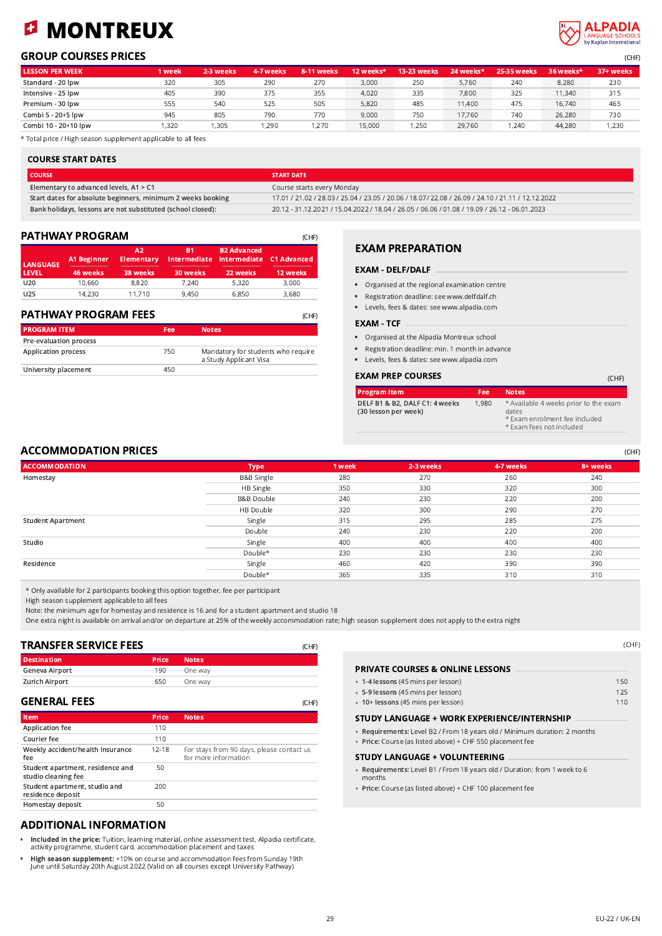## MONTREUX Ø

# **ALPADIA** Kanlan International

# GROUP COURSES PRICES (CHF)

| <b>LESSON PER WEEK</b> | 1 week | 2-3 weeks | 4-7 weeks | 8-11 weeks | 12 weeks* | 13-23 weeks | 24 weeks* | <b>25-35 weeks</b> | 36 weeks* | 37+ weeks |
|------------------------|--------|-----------|-----------|------------|-----------|-------------|-----------|--------------------|-----------|-----------|
| Standard - 20 lpw      | 320    | 305       | 290       | 270        | 3.000     | 250         | 5.760     | 240                | 8,280     | 230       |
| Intensive - 25 lpw     | 405    | 390       | 375       | 355        | 4.020     | 335         | 7.800     | 325                | 11,340    | 315       |
| Premium - 30 lpw       | 555    | 540       | 525       | 505        | 5.820     | 485         | 11.400    | 475                | 16,740    | 465       |
| Combi 5 - 20+5 lpw     | 945    | 805       | 790       | 770        | 9.000     | 750         | 17.760    | 740                | 26.280    | 730       |
| Combi 10 - 20+10 lpw   | ,320   | .305      | ,290      | 1,270      | 15,000    | 1,250       | 29.760    | 1,240              | 44,280    | ,230      |

\* Total price / High season supplement applicable to all fees

### COURSE START DATES

| I COURSE                                                    | <b>START DATE</b>                                                                                 |
|-------------------------------------------------------------|---------------------------------------------------------------------------------------------------|
| Elementary to advanced levels, A1 > C1                      | Course starts every Monday                                                                        |
| Start dates for absolute beginners, minimum 2 weeks booking | 17.01 / 21.02 / 28.03 / 25.04 / 23.05 / 20.06 / 18.07/ 22.08 / 26.09 / 24.10 / 21.11 / 12.12.2022 |
| Bank holidays, lessons are not substituted (school closed): | 20.12 - 31.12.2021 / 15.04.2022 / 18.04 / 26.05 / 06.06 / 01.08 / 19.09 / 26.12 - 06.01.2023      |

### PATHWAY PROGRAM

| <b>LANGUAGE</b> | <b>A1 Beginner</b> | A2<br><b>Elementary</b> | В1<br>Intermediate | <b>B2 Advanced</b><br><b>Intermediate</b> | <b>C1 Advanced</b> |
|-----------------|--------------------|-------------------------|--------------------|-------------------------------------------|--------------------|
| <b>LEVEL</b>    | 46 weeks           | 38 weeks                | 30 weeks           | 22 weeks                                  | 12 weeks           |
| U20             | 10,660             | 8,820                   | 7.240              | 5,320                                     | 3,000              |
| U <sub>25</sub> | 14.230             | 11,710                  | 9,450              | 6,850                                     | 3,680              |

| <b>PROGRAM ITEM</b>        | Fee | <b>Notes</b>                                                 |
|----------------------------|-----|--------------------------------------------------------------|
| Pre-evaluation process     |     |                                                              |
| <b>Application process</b> | 750 | Mandatory for students who require<br>a Study Applicant Visa |
| University placement       | 450 |                                                              |

### EXAM PREPARATION

#### EXAM - DELF/DALF

- Organised at the regional examination centre
- Registration deadline: see www.delfdalf.ch
- Levels, fees & dates: see www.alpadia.com

#### EXAM - TCF

- Organised at the Alpadia Montreux school
- Registration deadline: min. 1 month in advance
- Levels, fees & dates: see www.alpadia.com

#### EXAM PREP COURSES (CHF)

| <b>Program Item</b>                                    | Fee   | <b>Notes</b>                                                                                                |
|--------------------------------------------------------|-------|-------------------------------------------------------------------------------------------------------------|
| DELF B1 & B2, DALF C1: 4 weeks<br>(30 lesson per week) | 1.980 | * Available 4 weeks prior to the exam<br>dates<br>* Exam enrolment fee included<br>* Exam fees not included |

### ACCOMMODATION PRICES **EXECUTED ACCOMMODATION PRICES**

| <b>ACCOMMODATION</b>     | <b>Type</b>           | 1 week | 2-3 weeks | 4-7 weeks | 8+ weeks |
|--------------------------|-----------------------|--------|-----------|-----------|----------|
| Homestay                 | B&B Single            | 280    | 270       | 260       | 240      |
|                          | HB Single             | 350    | 330       | 320       | 300      |
|                          | <b>B&amp;B Double</b> | 240    | 230       | 220       | 200      |
|                          | HB Double             | 320    | 300       | 290       | 270      |
| <b>Student Apartment</b> | Single                | 315    | 295       | 285       | 275      |
|                          | Double                | 240    | 230       | 220       | 200      |
| Studio                   | Single                | 400    | 400       | 400       | 400      |
|                          | Double*               | 230    | 230       | 230       | 230      |
| Residence                | Single                | 460    | 420       | 390       | 390      |
|                          | Double*               | 365    | 335       | 310       | 310      |

\* Only available for 2 participants booking this option together, fee per participant

High season supplement applicable to all fees

Note: the minimum age for homestay and residence is 16 and for a student apartment and studio 18

One extra night is available on arrival and/or on departure at 25% of the weekly accommodation rate; high season supplement does not apply to the extra night

 $(CHP)$ 

| TRANSFER SERVICE FEES |              |              | (CHF) |
|-----------------------|--------------|--------------|-------|
| <b>Destination</b>    | <b>Price</b> | <b>Notes</b> |       |
| Geneva Airport        | 190          | One way      |       |
| <b>Zurich Airport</b> | 650          | One way      |       |
|                       |              |              |       |

#### GENERAL FEES

| Item                                                    | Price     | <b>Notes</b>                                                      |
|---------------------------------------------------------|-----------|-------------------------------------------------------------------|
| Application fee                                         | 110       |                                                                   |
| Courier fee                                             | 110       |                                                                   |
| Weekly accident/health insurance<br>fee                 | $12 - 18$ | For stays from 90 days, please contact us<br>for more information |
| Student apartment, residence and<br>studio cleaning fee | 50        |                                                                   |
| Student apartment, studio and<br>residence deposit      | 200       |                                                                   |
| Homestay deposit                                        | 50        |                                                                   |

### ADDITIONAL INFORMATION

- Included in the price: Tuition, learning material, online assessment test, Alpadia certificate, activity programme, student card, accommodation placement and taxes
- High season supplement: +10% on course and accommodation fees from Sunday 19th June until Saturday 20th August 2022 (Valid on all courses except University Pathway)

| <b>PRIVATE COURSES &amp; ONLINE LESSONS</b>                               |     |
|---------------------------------------------------------------------------|-----|
| • 1-4 lessons (45 mins per lesson)                                        | 150 |
| • 5-9 lessons (45 mins per lesson)                                        | 125 |
| • 10+ lessons (45 mins per lesson)                                        | 110 |
| STUDY LANGUAGE + WORK EXPERIENCE/INTERNSHIP                               |     |
| • Requirements: Level B2 / From 18 years old / Minimum duration: 2 months |     |

Price: Course (as listed above) + CHF 550 placement fee

#### STUDY LANGUAGE + VOLUNTEERING •

months

- **Requirements:** Level B1 / From 18 years old / Duration: from 1 week to 6<br>months
- Price: Course (as listed above) + CHF 100 placement fee

(CHF)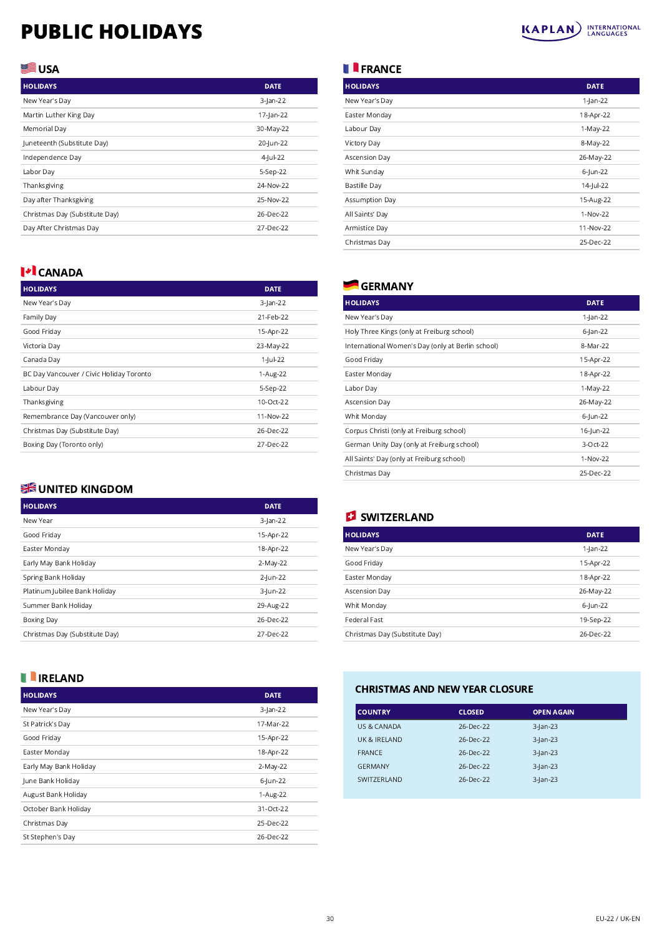# PUBLIC HOLIDAYS



# USA<sup></sup>

| <b>HOLIDAYS</b>                | <b>DATE</b> |
|--------------------------------|-------------|
| New Year's Day                 | $3$ -Jan-22 |
| Martin Luther King Day         | 17-Jan-22   |
| Memorial Day                   | 30-May-22   |
| Juneteenth (Substitute Day)    | 20-Jun-22   |
| Independence Day               | 4-Jul-22    |
| Labor Day                      | 5-Sep-22    |
| Thanksgiving                   | 24-Nov-22   |
| Day after Thanksgiving         | 25-Nov-22   |
| Christmas Day (Substitute Day) | 26-Dec-22   |
| Day After Christmas Day        | 27-Dec-22   |

# **I+I** CANADA

| <b>HOLIDAYS</b>                          | <b>DATE</b> |
|------------------------------------------|-------------|
| New Year's Day                           | 3-Jan-22    |
| Family Day                               | 21-Feb-22   |
| Good Friday                              | 15-Apr-22   |
| Victoria Day                             | 23-May-22   |
| Canada Day                               | 1-Jul-22    |
| BC Day Vancouver / Civic Holiday Toronto | 1-Aug-22    |
| Labour Day                               | 5-Sep-22    |
| Thanksgiving                             | 10-Oct-22   |
| Remembrance Day (Vancouver only)         | 11-Nov-22   |
| Christmas Day (Substitute Day)           | 26-Dec-22   |
| Boxing Day (Toronto only)                | 27-Dec-22   |
|                                          |             |

# **SHE UNITED KINGDOM**

| <b>HOLIDAYS</b>                | <b>DATE</b> |
|--------------------------------|-------------|
| New Year                       | $3$ -Jan-22 |
| Good Friday                    | 15-Apr-22   |
| Easter Monday                  | 18-Apr-22   |
| Early May Bank Holiday         | 2-May-22    |
| Spring Bank Holiday            | 2-Jun-22    |
| Platinum Jubilee Bank Holiday  | 3-Jun-22    |
| Summer Bank Holiday            | 29-Aug-22   |
| <b>Boxing Day</b>              | 26-Dec-22   |
| Christmas Day (Substitute Day) | 27-Dec-22   |

# **II** IRELAND

| <b>HOLIDAYS</b>        | <b>DATE</b> |
|------------------------|-------------|
| New Year's Day         | $3$ -Jan-22 |
| St Patrick's Day       | 17-Mar-22   |
| Good Friday            | 15-Apr-22   |
| Easter Monday          | 18-Apr-22   |
| Early May Bank Holiday | 2-May-22    |
| June Bank Holiday      | 6-Jun-22    |
| August Bank Holiday    | 1-Aug-22    |
| October Bank Holiday   | 31-Oct-22   |
| Christmas Day          | 25-Dec-22   |
| St Stephen's Day       | 26-Dec-22   |

# **FRANCE**

| <b>HOLIDAYS</b>     | <b>DATE</b> |
|---------------------|-------------|
| New Year's Day      | $1$ -Jan-22 |
| Easter Monday       | 18-Apr-22   |
| Labour Day          | 1-May-22    |
| Victory Day         | 8-May-22    |
| Ascension Day       | 26-May-22   |
| Whit Sunday         | 6-Jun-22    |
| <b>Bastille Day</b> | 14-Jul-22   |
| Assumption Day      | 15-Aug-22   |
| All Saints' Day     | 1-Nov-22    |
| Armistice Day       | 11-Nov-22   |
| Christmas Day       | 25-Dec-22   |

# **GERMANY**

| <b>HOLIDAYS</b>                                   | <b>DATE</b> |
|---------------------------------------------------|-------------|
| New Year's Day                                    | $1$ -Jan-22 |
| Holy Three Kings (only at Freiburg school)        | $6$ -Jan-22 |
| International Women's Day (only at Berlin school) | 8-Mar-22    |
| Good Friday                                       | 15-Apr-22   |
| Easter Monday                                     | 18-Apr-22   |
| Labor Day                                         | 1-May-22    |
| <b>Ascension Day</b>                              | 26-May-22   |
| Whit Monday                                       | 6-Jun-22    |
| Corpus Christi (only at Freiburg school)          | 16-Jun-22   |
| German Unity Day (only at Freiburg school)        | 3-Oct-22    |
| All Saints' Day (only at Freiburg school)         | 1-Nov-22    |
| Christmas Day                                     | 25-Dec-22   |

# **B** SWITZERLAND

| <b>HOLIDAYS</b>                | <b>DATE</b> |
|--------------------------------|-------------|
| New Year's Day                 | 1-Jan-22    |
| Good Friday                    | 15-Apr-22   |
| Easter Monday                  | 18-Apr-22   |
| Ascension Day                  | 26-May-22   |
| Whit Monday                    | 6-Jun-22    |
| Federal Fast                   | 19-Sep-22   |
| Christmas Day (Substitute Day) | 26-Dec-22   |
|                                |             |

# CHRISTMAS AND NEW YEAR CLOSURE

| <b>COUNTRY</b> | <b>CLOSED</b> | <b>OPEN AGAIN</b> |
|----------------|---------------|-------------------|
| US & CANADA    | 26-Dec-22     | $3$ -Jan-23       |
| UK & IRFI AND  | 26-Dec-22     | $3$ -Jan-23       |
| <b>FRANCE</b>  | 26-Dec-22     | $3$ -Jan-23       |
| <b>GFRMANY</b> | 26-Dec-22     | $3$ -Jan-23       |
| SWITZERI AND   | 26-Dec-22     | $3$ -Jan-23       |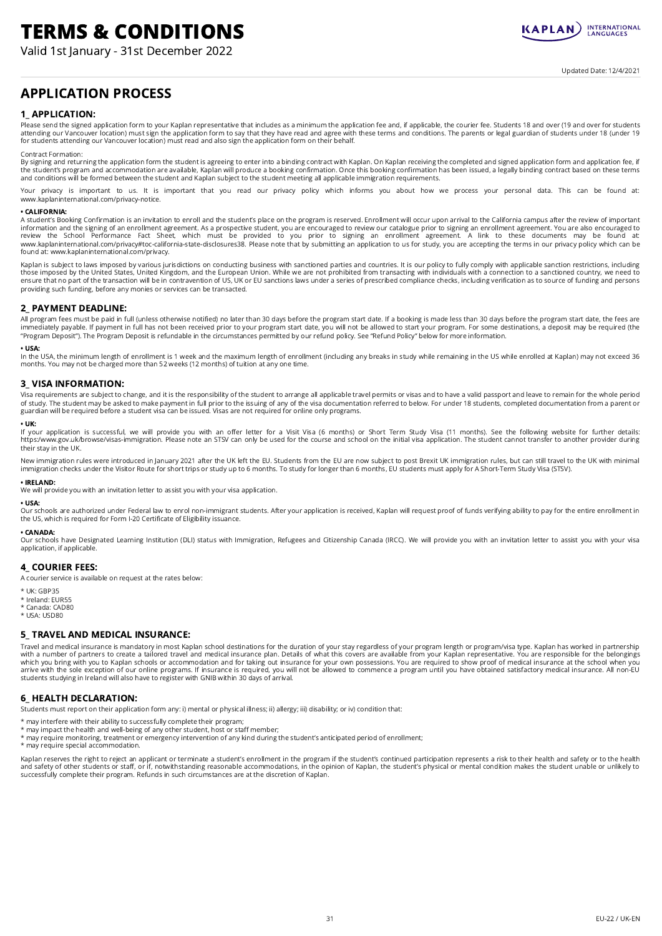# TERMS & CONDITIONS

Valid 1st January - 31st December 2022



Updated Date: 12/4/2021

# APPLICATION PROCESS

#### 1\_ APPLICATION:

Please send the signed application form to your Kaplan representative that includes as a minimum the application fee and, if applicable, the courier fee. Students 18 and over (19 and over for students attending our Vancouver location) must sign the application form to say that they have read and agree with these terms and conditions. The parents or legal guardian of students under 18 (under 19<br>for students attending our

#### Contract Formation:

By signing and returning the application form the student is agreeing to enter into a binding contract with Kaplan. On Kaplan receiving the completed and signed application form and application fee, if the student's program and accommodation are available, Kaplan will produce a booking confirmation. Once this booking confirmation has been issued, a legally binding contract based on these terms<br>and conditions will be form

Your privacy is important to us. It is important that you read our privacy policy which informs you about how we process your personal data. This can be found at: www.kaplaninternational.com/privacy-notice.

#### • CALIFORNIA:

A student's Booking Confirmation is an invitation to enroll and the student's place on the program is reserved. Enrollment will occur upon arrival to the California campus after the review of important information and the signing of an enrollment agreement. As a prospective student, you are encouraged to review our catalogue prior to signing an enrollment agreement. You are also encouraged to<br>review the School Performanc found at: www.kaplaninternational.com/privacy.

Kaplan is subject to laws imposed by various jurisdictions on conducting business with sanctioned parties and countries. It is our policy to fully comply with applicable sanction restrictions, including<br>those imposed by th ensure that no part of the transaction will be in contravention of US, UK or EU sanctions laws under a series of prescribed compliance checks, including verification as to source of funding and persons providing such funding, before any monies or services can be transacted.

#### 2\_ PAYMENT DEADLINE:

All program fees must be paid in full (unless otherwise notified) no later than 30 days before the program start date. If a booking is made less than 30 days before the program start date, the fees are immediately payable. If payment in full has not been received prior to your program start date, you will not be allowed to start your program. For some destinations, a deposit may be required (the "Program Deposit"). The Program Deposit is refundable in the circumstances permitted by our refund policy. See "Refund Policy" below for more information.

• **USA:**<br>In the USA, the minimum length of enrollment is 1 week and the maximum length of enrollment (including any breaks in study while remaining in the US while enrolled at Kaplan) may not exceed 36<br>months. You may not

#### 3\_ VISA INFORMATION:

Visa requirements are subject to change, and it is the responsibility of the student to arrange all applicable travel permits or visas and to have a valid passport and leave to remain for the whole period of study. The student may be asked to make payment in full prior to the issuing of any of the visa documentation referred to below. For under 18 students, completed documentation from a parent or guardian will be required before a student visa can be issued. Visas are not required for online only programs.

#### • UK:

If your application is successful, we will provide you with an offer letter for a Visit Visa (6 months) or Short Term Study Visa (11 months). See the following website for further details:<br>https:/www.gov.uk/browse/visas-im their stay in the UK.

New immigration rules were introduced in January 2021 after the UK left the EU. Students from the EU are now subject to post Brexit UK immigration rules, but can still travel to the UK with minimal immigration checks under the Visitor Route for short trips or study up to 6 months. To study for longer than 6 months, EU students must apply for A Short-Term Study Visa (STSV).

#### • IRELAND:

• USA:

We will provide you with an invitation letter to assist you with your visa application.

Our schools are authorized under Federal law to enrol non-immigrant students. After your application is received, Kaplan will request proof of funds verifying ability to pay for the entire enrollment in the US, which is required for Form I-20 Certificate of Eligibility issuance.

#### • CANADA:

Our schools have Designated Learning Institution (DLI) status with Immigration, Refugees and Citizenship Canada (IRCC). We will provide you with an invitation letter to assist you with your visa application, if applicable.

#### 4\_ COURIER FEES:

A courier service is available on request at the rates below:

- \* UK: GBP35
- \* Ireland: EUR55
- \* Canada: CAD80
- \* USA: USD80

#### 5\_ TRAVEL AND MEDICAL INSURANCE:

Travel and medical insurance is mandatory in most Kaplan school destinations for the duration of your stay regardless of your program length or program/visa type. Kaplan has worked in partnership with a number of partners to create a tailored travel and medical insurance plan. Details of what this covers are available from your Kaplan representative. You are responsible for the belongings<br>which you bring with you t students studying in Ireland will also have to register with GNIB within 30 days of arrival.

#### 6\_ HEALTH DECLARATION:

Students must report on their application form any: i) mental or physical illness; ii) allergy; iii) disability; or iv) condition that:

- \* may interfere with their ability to successfully complete their program;
- \* may impact the health and well-being of any other student, host or staff member;
- \* may require monitoring, treatment or emergency intervention of any kind during the student's anticipated period of enrollment; \* may require special accommodation.
- 

Kaplan reserves the right to reject an applicant or terminate a student's enrollment in the program if the student's continued participation represents a risk to their health and safety or to the health<br>and safety of other successfully complete their program. Refunds in such circumstances are at the discretion of Kaplan.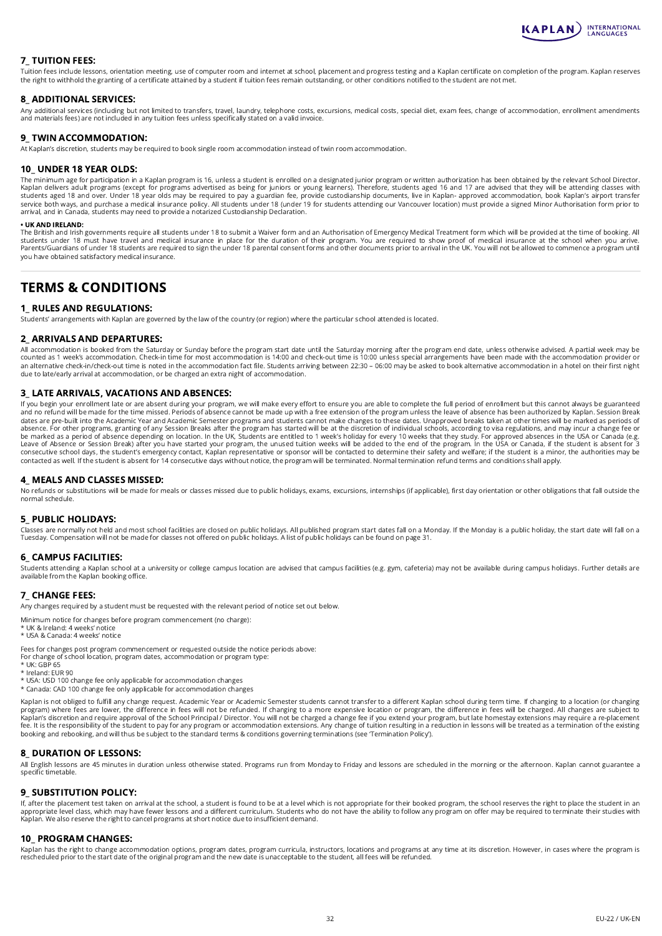

#### 7\_ TUITION FEES:

Tuition fees include lessons, orientation meeting, use of computer room and internet at school, placement and progress testing and a Kaplan certificate on completion of the program. Kaplan reserves the right to withhold the granting of a certificate attained by a student if tuition fees remain outstanding, or other conditions notified to the student are not met.

#### 8\_ ADDITIONAL SERVICES:

Any additional services (including but not limited to transfers, travel, laundry, telephone costs, excursions, medical costs, special diet, exam fees, change of accommodation, enrollment amendments<br>and materials fees) are

#### 9 TWIN ACCOMMODATION:

At Kaplan's discretion, students may be required to book single room accommodation instead of twin room accommodation.

#### 10\_ UNDER 18 YEAR OLDS:

The minimum age for participation in a Kaplan program is 16, unless a student is enrolled on a designated junior program or written authorization has been obtained by the relevant School Director.<br>Kaplan delivers adult pro students aged 18 and over. Under 18 year olds may be required to pay a guardian fee, provide custodianship documents, live in Kaplan- approved accommodation, book Kaplan's airport transfer service both ways, and purchase a medical insurance policy. All students under 18 (under 19 for students attending our Vancouver location) must provide a signed Minor Authorisation form prior to<br>arrival, and in Canada, stu

#### • UK AND IRELAND:

The British and Irish governments require all students under 18 to submit a Waiver form and an Authorisation of Emergency Medical Treatment form which will be provided at the time of booking. All students under 18 must have travel and medical insurance in place for the duration of their program. You are required to show proof of medical insurance at the school when you arrive. Parents/Guardians of under 18 students are required to sign the under 18 parental consent forms and other documents prior to arrival in the UK. You will not be allowed to commence a program until you have obtained satisfactory medical insurance.

# TERMS & CONDITIONS

#### 1 RULES AND REGULATIONS:

Students' arrangements with Kaplan are governed by the law of the country (or region) where the particular school attended is located.

#### 2\_ ARRIVALS AND DEPARTURES:

All accommodation is booked from the Saturday or Sunday before the program start date until the Saturday morning after the program end date, unless otherwise advised. A partial week may be counted as 1 week's accommodation. Check-in time for most accommodation is 14:00 and check-out time is 10:00 unless special arrangements have been made with the accommodation provider or<br>an alternative check-in/check-out t due to late/early arrival at accommodation, or be charged an extra night of accommodation.

#### 3\_ LATE ARRIVALS, VACATIONS AND ABSENCES:

If you begin your enrollment late or are absent during your program, we will make every effort to ensure you are able to complete the full period of enrollment but this cannot always be guaranteed<br>and no refund will be mad dates are pre-built into the Academic Year and Academic Semester programs and students cannot make changes to these dates. Unapproved breaks taken at other times will be marked as periods of absence. For other times will b contacted as well. If the student is absent for 14 consecutive days without notice, the program will be terminated. Normal termination refund terms and conditions shall apply.

#### 4\_ MEALS AND CLASSES MISSED:

No refunds or substitutions will be made for meals or classes missed due to public holidays, exams, excursions, internships (if applicable), first day orientation or other obligations that fall outside the normal schedule.

#### 5\_ PUBLIC HOLIDAYS:

Classes are normally not held and most school facilities are closed on public holidays. All published program start dates fall on a Monday. If the Monday is a public holiday, the start date will fall on a<br>Tuesday. Compensa

#### 6\_ CAMPUS FACILITIES:

Students attending a Kaplan school at a university or college campus location are advised that campus facilities (e.g. gym, cafeteria) may not be available during campus holidays. Further details are available from the Kaplan booking office.

#### 7\_ CHANGE FEES:

Any changes required by a student must be requested with the relevant period of notice set out below.

- Minimum notice for changes before program commencement (no charge):
- \* UK & Ireland: 4 weeks' notice \* USA & Canada: 4 weeks' notice

Fees for changes post program commencement or requested outside the notice periods above: For change of school location, program dates, accommodation or program type:

- \* UK: GBP 65
- 
- \* Ireland: EUR 90 \* USA: USD 100 change fee only applicable for accommodation changes
- \* Canada: CAD 100 change fee only applicable for accommodation changes

Kaplan is not obliged to fulfill any change request. Academic Year or Academic Semester students cannot transfer to a different Kaplan school during term time. If changing to a location (or changing program) where fees are lower, the difference in fees will not be refunded. If changing to a more expensive location or program, the difference in fees will be charged. All changes are subject to<br>Kaplan's discretion and re fee. It is the responsibility of the student to pay for any program or accommodation extensions. Any change of tuition resulting in a reduction in lessons will be treated as a termination of the existing booking and rebooking, and will thus be subject to the standard terms & conditions governing terminations (see 'Termination Policy').

#### 8\_ DURATION OF LESSONS:

All English lessons are 45 minutes in duration unless otherwise stated. Programs run from Monday to Friday and lessons are scheduled in the morning or the afternoon. Kaplan cannot guarantee a specific timetable.

#### 9 SUBSTITUTION POLICY:

lf, after the placement test taken on arrival at the school, a student is found to be at a level which is not appropriate for their booked program, the school reserves the right to place the student in an<br>appropriate level Kaplan. We also reserve the right to cancel programs at short notice due to insufficient demand.

#### 10\_ PROGRAM CHANGES:

Kaplan has the right to change accommodation options, program dates, program curricula, instructors, locations and programs at any time at its discretion. However, in cases where the program is<br>rescheduled prior to the sta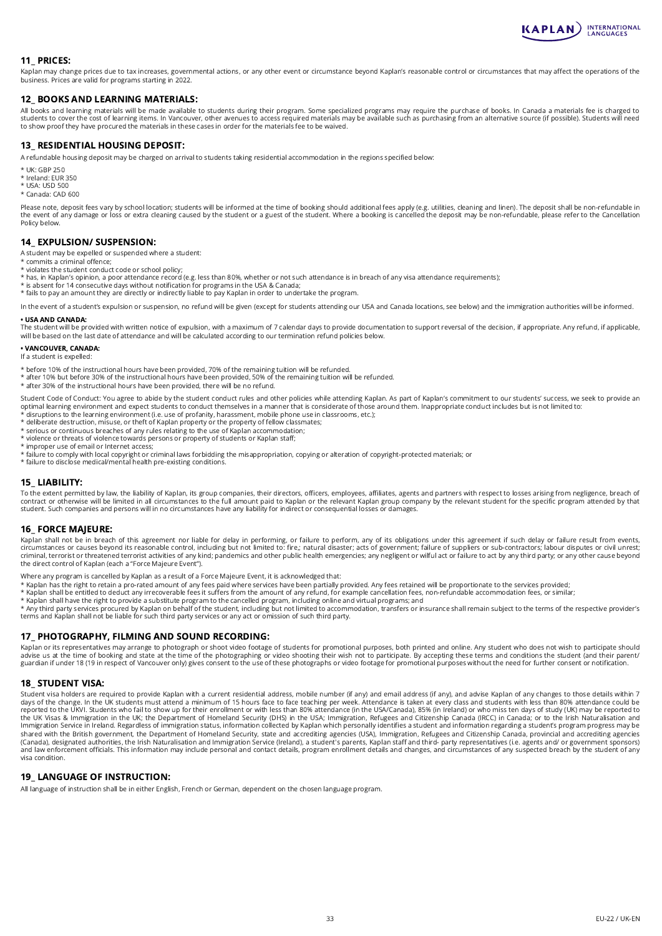

#### 11\_ PRICES:

Kaplan may change prices due to tax increases, governmental actions, or any other event or circumstance beyond Kaplan's reasonable control or circumstances that may affect the operations of the business. Prices are valid for programs starting in 2022.

#### 12\_ BOOKS AND LEARNING MATERIALS:

All books and learning materials will be made available to students during their program. Some specialized programs may require the purchase of books. In Canada a materials fee is charged to<br>students to cover the cost of l to show proof they have procured the materials in these cases in order for the materials fee to be waived.

#### 13 RESIDENTIAL HOUSING DEPOSIT:

A refundable housing deposit may be charged on arrival to students taking residential accommodation in the regions specified below:

- \* UK: GBP 250
- \* Ireland: EUR 350
- \* USA: USD 500
- \* Canada: CAD 600

Please note, deposit fees vary by school location; students will be informed at the time of booking should additional fees apply (e.g. utilities, cleaning and linen). The deposit shall be non-refundable in<br>the event of any Policy below.

#### 14\_ EXPULSION/ SUSPENSION:

A student may be expelled or suspended where a student:

- \* commits a criminal offence;
- \* violates the student conduct code or school policy; \* has, in Kaplan's opinion, a poor attendance record (e.g. less than 80%, whether or not such attendance is in breach of any visa attendance requirements);
- \* is absent for 14 consecutive days without notification for programs in the USA & Canada; \* fails to pay an amount they are directly or indirectly liable to pay Kaplan in order to undertake the program.
- 

In the event of a student's expulsion or suspension, no refund will be given (except for students attending our USA and Canada locations, see below) and the immigration authorities will be informed. • USA AND CANADA:

The student will be provided with written notice of expulsion, with a maximum of 7 calendar days to provide documentation to support reversal of the decision, if appropriate. Any refund, if applicable, will be based on the last date of attendance and will be calculated according to our termination refund policies below.

#### • VANCOUVER, CANADA:

- If a student is expelled:
- 
- \* before 10% of the instructional hours have been provided, 70% of the remaining tuition will be refunded.<br>\* after 10% but before 30% of the instructional hours have been provided, 50% of the remaining tuition will be refu
- \* after 30% of the instructional hours have been provided, there will be no refund.

Student Code of Conduct: You agree to abide by the student conduct rules and other policies while attending Kaplan. As part of Kaplan's commitment to our students' success, we seek to provide an<br>optimal learning environmen

- \* disruptions to the learning environment (i.e. use of profanity, harassment, mobile phone use in classrooms, etc.); \* deliberate destruction, misuse, or theft of Kaplan property or the property of fellow classmates;
- \* serious or continuous breaches of any rules relating to the use of Kaplan accommodation;
- \* violence or threats of violence towards persons or property of students or Kaplan staff;
- \* improper use of email or Internet access;
- \* failure to comply with local copyright or criminal laws forbidding the misappropriation, copying or alteration of copyright-protected materials; or \* failure to disclose medical/mental health pre-existing conditions.

#### 15\_ LIABILITY:

To the extent permitted by law, the liability of Kaplan, its group companies, their directors, officers, employees, affiliates, agents and partners with respect to losses arising from negligence, breach of contract or otherwise will be limited in all circumstances to the full amount paid to Kaplan or the relevant Kaplan group company by the relevant student for the specific program attended by that<br>student. Such companies an

#### 16\_ FORCE MAJEURE:

Kaplan shall not be in breach of this agreement nor liable for delay in performing, or failure to perform, any of its obligations under this agreement if such delay or failure result from events,<br>circumstances or causes be criminal, terrorist or threatened terrorist activities of any kind; pandemics and other public health emergencies; any negligent or wilful act or failure to act by any third party; or any other cause beyond criminal, terro the direct control of Kaplan (each a "Force Majeure Event").

Where any program is cancelled by Kaplan as a result of a Force Majeure Event, it is acknowledged that:

- 
- \* Kaplan has the right to retain a pro-rated amount of any fees paid where services have been partially provided. Any fees retained will be proportionate to the services provided;<br>\* Kaplan shall be entitled to deduct any i
- 

\* Kaplan shall have the right to provide a substitute program to the cancelled program, including online and virtual programs; and<br>\* Any third party services procured by Kaplan on behalf of the student, including but not l

#### 17\_ PHOTOGRAPHY, FILMING AND SOUND RECORDING:

Kaplan or its representatives may arrange to photograph or shoot video footage of students for promotional purposes, both printed and online. Any student who does not wish to participate should build be hold booking the sh

#### 18\_ STUDENT VISA:

Student visa holders are required to provide Kaplan with a current residential address, mobile number (if any) and email address (if any), and advise Kaplan of any changes to those details within 7<br>days of the change. In t reported to the UKVI. Students who fail to show up for their enrollment or with less than 80% attendance (in the USA/Canada), 85% (in Ireland) or who miss ten days of study (UK) may be reported to<br>the UK Visas & Immigratio visa condition.

#### 19\_ LANGUAGE OF INSTRUCTION:

All language of instruction shall be in either English, French or German, dependent on the chosen language program.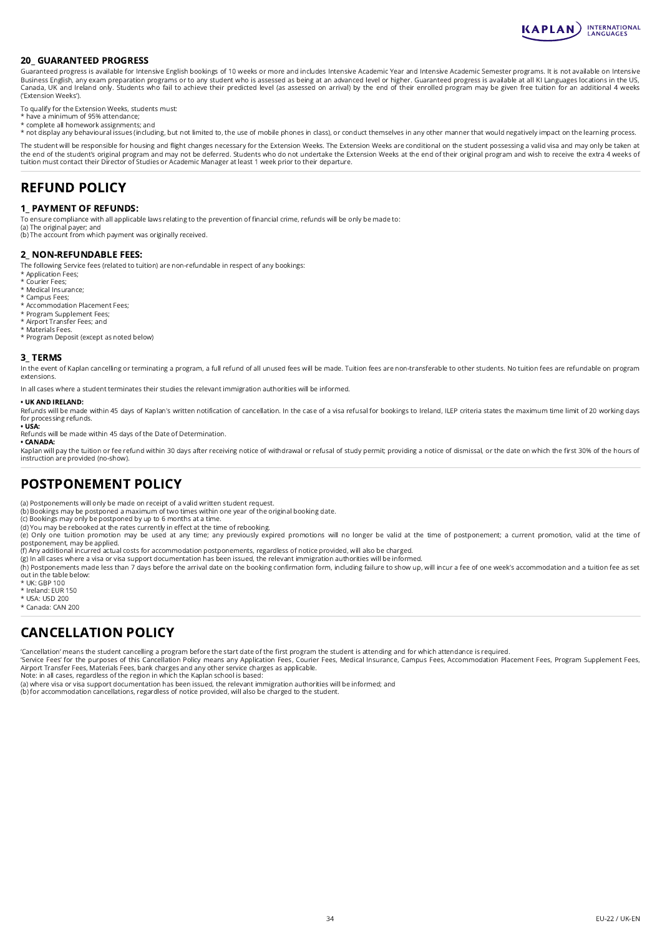

#### 20\_ GUARANTEED PROGRESS

Guaranteed progress is available for Intensive English bookings of 10 weeks or more and includes Intensive Academic Year and Intensive Academic Semester programs. It is not available on Intensive Business English, any exam preparation programs or to any student who is assessed as being at an advanced level or higher. Guaranteed progress is available at all KI Languages locations in the US,<br>Canada, UK and Ireland on ('Extension Weeks').

To qualify for the Extension Weeks, students must: \* have a minimum of 95% attendance;

- 
- \* complete all homework assignments; and

\* not display any behavioural issues (including, but not limited to, the use of mobile phones in class), or conduct themselves in any other manner that would negatively impact on the learning process.

The student will be responsible for housing and flight changes necessary for the Extension Weeks. The Extension Weeks are conditional on the student possessing a valid visa and may only be taken at<br>the end of the student's tuition must contact their Director of Studies or Academic Manager at least 1 week prior to their departure.

# REFUND POLICY

#### 1\_ PAYMENT OF REFUNDS:

To ensure compliance with all applicable laws relating to the prevention of financial crime, refunds will be only be made to:

(a) The original payer; and (b) The account from which payment was originally received.

#### 2\_ NON-REFUNDABLE FEES:

The following Service fees (related to tuition) are non-refundable in respect of any bookings:

- \* Application Fees; \* Courier Fees;
- \* Medical Insurance;
- \* Campus Fees;
- \* Accommodation Placement Fees;
- \* Program Supplement Fees; \* Airport Transfer Fees; and
- 
- \* Materials Fees. \* Program Deposit (except as noted below)

#### 3\_ TERMS

In the event of Kaplan cancelling or terminating a program, a full refund of all unused fees will be made. Tuition fees are non-transferable to other students. No tuition fees are refundable on program extensions.

In all cases where a student terminates their studies the relevant immigration authorities will be informed.

#### • UK AND IRELAND:

Refunds will be made within 45 days of Kaplan's written notification of cancellation. In the case of a visa refusal for bookings to Ireland, ILEP criteria states the maximum time limit of 20 working days for processing refunds.

• USA: Refunds will be made within 45 days of the Date of Determination. • CANADA:

Kaplan will pay the tuition or fee refund within 30 days after receiving notice of withdrawal or refusal of study permit; providing a notice of dismissal, or the date on which the first 30% of the hours of<br>instruction are

# POSTPONEMENT POLICY

(a) Postponements will only be made on receipt of a valid written student request.

(b) Bookings may be postponed a maximum of two times within one year of the original booking date.

(c) Bookings may only be postponed by up to 6 months at a time.

(d) You may be rebooked at the rates currently in effect at the time of rebooking.

(e) Only one tuition promotion may be used at any time; any previously expired promotions will no longer be valid at the time of postponement; a current promotion, valid at the time of postponement, may be applied.<br>(f) Any additional incurred actual costs for accommodation postponements, regardless of notice provided, will also be charged.<br>(g) In all cases where a visa or visa support documentation has b

(h) Postponements made less than 7 days before the arrival date on the booking confirmation form, including failure to show up, will incur a fee of one week's accommodation and a tuition fee as set out in the table below:

- \* UK: GBP 100
- \* Ireland: EUR 150
- \* USA: USD 200
- \* Canada: CAN 200

# CANCELLATION POLICY

'Cancellation' means the student cancelling a program before the start date of the first program the student is attending and for which attendance is required.

'Service Fees' for the purposes of this Cancellation Policy means any Application Fees, Courier Fees, Medical Insurance, Campus Fees, Accommodation Placement Fees, Program Supplement Fees,<br>Airport Transfer Fees, Materials

Note: in all cases, regardless of the region in which the Kaplan school is based: (a) where visa or visa support documentation has been issued, the relevant immigration authorities will be informed; and

(b) for accommodation cancellations, regardless of notice provided, will also be charged to the student.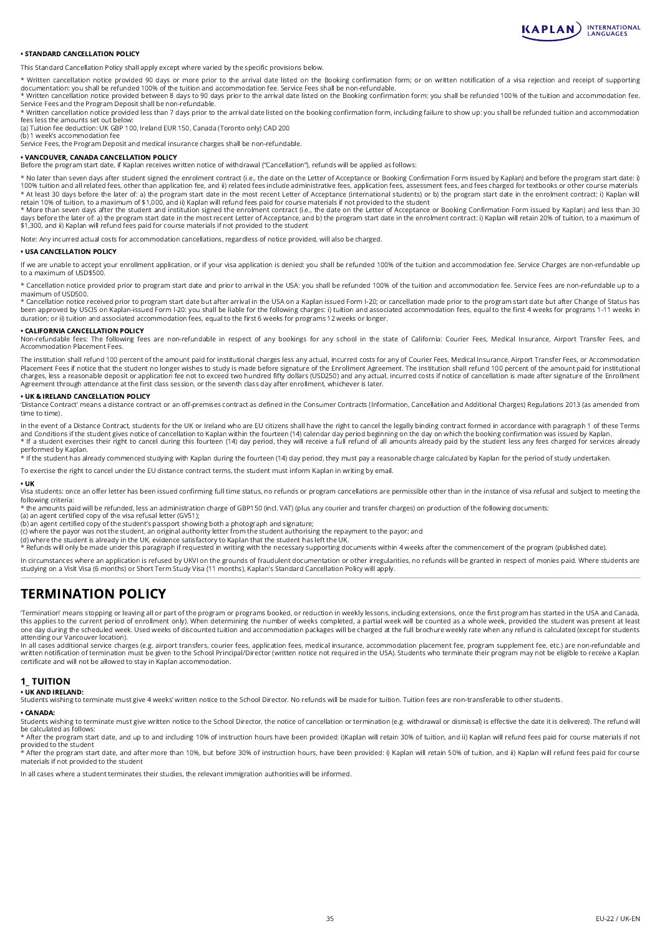

#### • STANDARD CANCELLATION POLICY

This Standard Cancellation Policy shall apply except where varied by the specific provisions below.

\* Written cancellation notice provided 90 days or more prior to the arrival date listed on the Booking confirmation form; or on written notification of a visa rejection and receipt of supporting documentation: you shall be refunded 100% of the tuition and accommodation fee. Service Fees shall be non-refundable.

\* Written cancellation notice provided between 8 days to 90 days prior to the arrival date listed on the Booking confirmation form: you shall be refunded 100% of the tuition and accommodation fee. Service Fees and the Program Deposit shall be non-refundable.

\* Written cancellation notice provided less than 7 days prior to the arrival date listed on the booking confirmation form, including failure to show up: you shall be refunded tuition and accommodation fees less the amounts set out below:

(a) Tuition fee deduction: UK GBP 100, Ireland EUR 150, Canada (Toronto only) CAD 200 (b) 1 week's accommodation fee

Service Fees, the Program Deposit and medical insurance charges shall be non-refundable.

#### • VANCOUVER, CANADA CANCELLATION POLICY

Before the program start date, if Kaplan receives written notice of withdrawal ("Cancellation"), refunds will be applied as follows:

\* No later than seven days after student signed the enrolment contract (i.e., the date on the Letter of Acceptance or Booking Confirmation Form issued by Kaplan) and before the program start date: i) 100% tuition and all related fees, other than application fee, and ii) related fees include administrative fees, application fees, assessment fees, and fees charged for textbooks or other course materials<br>\* At least 30 day

retain 10% of tuition, to a maximum of \$1,000, and ii) Kaplan will refund fees paid for course materials if not provided to the student<br>\* More than seven days after the student and institution signed the enrolment contract days before the later of: a) the program start date in the most recent Letter of Acceptance, and b) the program start date in the enrolment contract: i) Kaplan will retain 20% of tuition, to a maximum of \$1,300, and ii) Kaplan will refund fees paid for course materials if not provided to the student

Note: Any incurred actual costs for accommodation cancellations, regardless of notice provided, will also be charged.

#### • USA CANCELLATION POLICY

If we are unable to accept your enrollment application, or if your visa application is denied: you shall be refunded 100% of the tuition and accommodation fee. Service Charges are non-refundable up to a maximum of USD\$500.

\* Cancellation notice provided prior to program start date and prior to arrival in the USA: you shall be refunded 100% of the tuition and accommodation fee. Service Fees are non-refundable up to a maximum of USD500.

\* Cancellation notice received prior to program start date but after arrival in the USA on a Kaplan issued Form I-20; or cancellation made prior to the program start date but after Change of Status has<br>been approved by USC duration; or ii) tuition and associated accommodation fees, equal to the first 6 weeks for programs 12 weeks or longer.

#### • CALIFORNIA CANCELLATION POLICY

Non-refundable fees: The following fees are non-refundable in respect of any bookings for any school in the state of California: Courier Fees, Medical Insurance, Airport Transfer Fees, and Accommodation Placement Fees.

The institution shall refund 100 percent of the amount paid for institutional charges less any actual, incurred costs for any of Courier Fees, Medical Insurance, Airport Transfer Fees, or Accommodation<br>Placement Fees if no Agreement through attendance at the first class session, or the seventh class day after enrollment, whichever is later.

#### • UK & IRELAND CANCELLATION POLICY

'Distance Contract' means a distance contract or an off-premises contract as defined in the Consumer Contracts (Information, Cancellation and Additional Charges) Regulations 2013 (as amended from time to time).

In the event of a Distance Contract, students for the UK or Ireland who are EU citizens shall have the right to cancel the legally binding contract formed in accordance with paragraph 1 of these Terms and Conditions if the student gives notice of cancellation to Kaplan within the fourteen (14) calendar day period beginning on the day on which the booking confirmation was issued by Kaplan.<br>\* If a student exercises their

\* If the student has already commenced studying with Kaplan during the fourteen (14) day period, they must pay a reasonable charge calculated by Kaplan for the period of study undertaken.

To exercise the right to cancel under the EU distance contract terms, the student must inform Kaplan in writing by email.

#### • UK

performed by Kaplan.

Visa students: once an offer letter has been issued confirming full time status, no refunds or program cancellations are permissible other than in the instance of visa refusal and subject to meeting the following criteria:

\* the amounts paid will be refunded, less an administration charge of GBP150 (incl. VAT) (plus any courier and transfer charges) on production of the following documents:

(a) an agent certified copy of the visa refusal letter (GV51);

(b) an agent certified copy of the student's passport showing both a photograph and signature;

(c) where the payor was not the student, an original authority letter from the student authorising the repayment to the payor; and<br>(d) where the student is already in the UK, evidence satisfactory to kaplan that the stude

In circumstances where an application is refused by UKVI on the grounds of fraudulent documentation or other irregularities, no refunds will be granted in respect of monies paid. Where students are studying on a Visit Visa (6 months) or Short Term Study Visa (11 months), Kaplan's Standard Cancellation Policy will apply.

# TERMINATION POLICY

'Termination' means stopping or leaving all or part of the program or programs booked, or reduction in weekly lessons, including extensions, once the first program has started in the USA and Canada,<br>this applies to the cur one day during the scheduled week. Used weeks of discounted tuition and accommodation packages will be charged at the full brochure weekly rate when any refund is calculated (except for students attending our Vancouver location).

In all cases additional service charges (e.g. airport transfers, courier fees, application fees, medical insurance, accommodation placement fee, program supplement fee, etc.) are non-refundable and<br>written notification of certificate and will not be allowed to stay in Kaplan accommodation.

#### 1\_ TUITION

#### • UK AND IRELAND:

Students wishing to terminate must give 4 weeks' written notice to the School Director. No refunds will be made for tuition. Tuition fees are non-transferable to other students.

#### • CANADA:

Students wishing to terminate must give written notice to the School Director, the notice of cancellation or termination (e.g. withdrawal or dismissal) is effective the date it is delivered). The refund will be calculated as follows:

\* After the program start date, and up to and including 10% of instruction hours have been provided: i)Kaplan will retain 30% of tuition, and ii) Kaplan will refund fees paid for course materials if not

provided to the student<br>\* After the program start date, and after more than 10%, but before 30% of instruction hours, have been provided: i) Kaplan will retain 50% of tuition, and ii) Kaplan will refund fees paid for cours materials if not provided to the student

In all cases where a student terminates their studies, the relevant immigration authorities will be informed.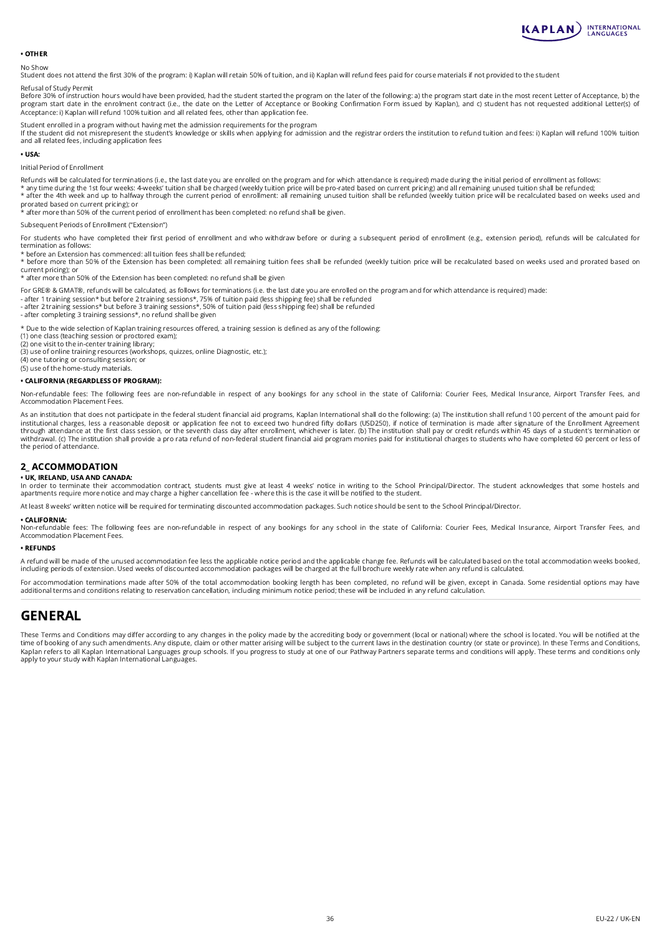

#### • OTHER

No Show

Student does not attend the first 30% of the program: i) Kaplan will retain 50% of tuition, and ii) Kaplan will refund fees paid for course materials if not provided to the student

Refusal of Study Permit

Before 30% of instruction hours would have been provided, had the student started the program on the later of the following: a) the program start date in the most recent Letter of Acceptance, b) the program start date in the enrolment contract (i.e., the date on the Letter of Acceptance or Booking Confirmation Form issued by Kaplan), and c) student has not requested additional Letter(s) of Acceptance: i) Kaplan will refund 100% tuition and all related fees, other than application fee.

Student enrolled in a program without having met the admission requirements for the program

lf the student did not misrepresent the student's knowledge or skills when applying for admission and the registrar orders the institution to refund tuition and fees: i) Kaplan will refund 100% tuition<br>and all related fees

#### • USA:

Initial Period of Enrollment

Refunds will be calculated for terminations (i.e., the last date you are enrolled on the program and for which attendance is required) made during the initial period of enrollment as follows:<br>\* any time during the 1st four

prorated based on current pricing); or

\* after more than 50% of the current period of enrollment has been completed: no refund shall be given.

Subsequent Periods of Enrollment ("Extension")

For students who have completed their first period of enrollment and who withdraw before or during a subsequent period of enrollment (e.g., extension period), refunds will be calculated for termination as follows:

\* before an Extension has commenced: all tuition fees shall be refunded;

\* before more than 50% of the Extension has been completed: all remaining tuition fees shall be refunded (weekly tuition price will be recalculated based on weeks used and prorated based on current pricing); or

\* after more than 50% of the Extension has been completed: no refund shall be given

- For GRE® & GMAT®, refunds will be calculated, as follows for terminations (i.e. the last date you are enrolled on the program and for which attendance is required) made:
- after 1 training session\* but before 2 training sessions\*, 75% of tuition paid (less shipping fee) shall be refunded<br>- after 2 training sessions\* but before 3 training sessions\*, 50% of tuition paid (less shipping fee) s
- 
- 

\* Due to the wide selection of Kaplan training resources offered, a training session is defined as any of the following:

(1) one class (teaching session or proctored exam);

(2) one visit to the in-center training library;

(3) use of online training resources (workshops, quizzes, online Diagnostic, etc.);

(4) one tutoring or consulting session; or (5) use of the home-study materials.

#### • CALIFORNIA (REGARDLESS OF PROGRAM):

Non-refundable fees: The following fees are non-refundable in respect of any bookings for any school in the state of California: Courier Fees, Medical Insurance, Airport Transfer Fees, and Accommodation Placement Fees.

As an institution that does not participate in the federal student financial aid programs, Kaplan International shall do the following: (a) The institution shall refund 100 percent of the amount paid for institutional charges, less a reasonable deposit or application fee not to exceed two hundred fifty dollars (USD250), if notice of termination is made after signature of the Enrollment Agreement<br>through attendance at the f withdrawal. (c) The institution shall provide a pro rata refund of non-federal student financial aid program monies paid for institutional charges to students who have completed 60 percent or less of<br>the period of attendan

#### 2\_ ACCOMMODATION

#### • UK, IRELAND, USA AND CANADA:

In order to terminate their accommodation contract, students must give at least 4 weeks' notice in writing to the School Principal/Director. The student acknowledges that some hostels and<br>apartments require more notice and

At least 8 weeks' written notice will be required for terminating discounted accommodation packages. Such notice should be sent to the School Principal/Director.

#### • CALIFORNIA:

Non-refundable fees: The following fees are non-refundable in respect of any bookings for any school in the state of California: Courier Fees, Medical Insurance, Airport Transfer Fees, and Accommodation Placement Fees.

#### • REFUNDS

A refund will be made of the unused accommodation fee less the applicable notice period and the applicable change fee. Refunds will be calculated based on the total accommodation weeks booked, including periods of extension. Used weeks of discounted accommodation packages will be charged at the full brochure weekly rate when any refund is calculated.

For accommodation terminations made after 50% of the total accommodation booking length has been completed, no refund will be given, except in Canada. Some residential options may have additional terms and conditions relating to reservation cancellation, including minimum notice period; these will be included in any refund calculation.

# GENERAL

These Terms and Conditions may differ according to any changes in the policy made by the accrediting body or government (local or national) where the school is located. You will be notified at the<br>time of booking of any su Kaplan refers to all Kaplan International Languages group schools. If you progress to study at one of our Pathway Partners separate terms and conditions will apply. These terms and conditions only<br>apply to your study with